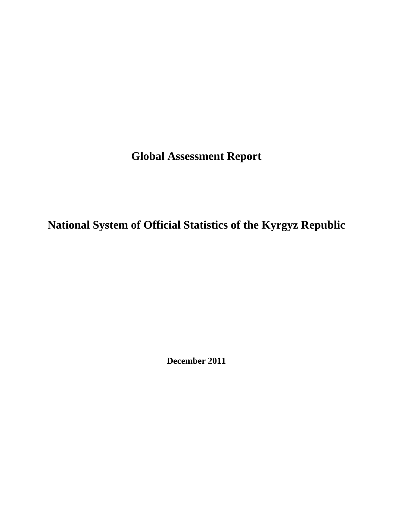**Global Assessment Report** 

**National System of Official Statistics of the Kyrgyz Republic** 

**December 2011**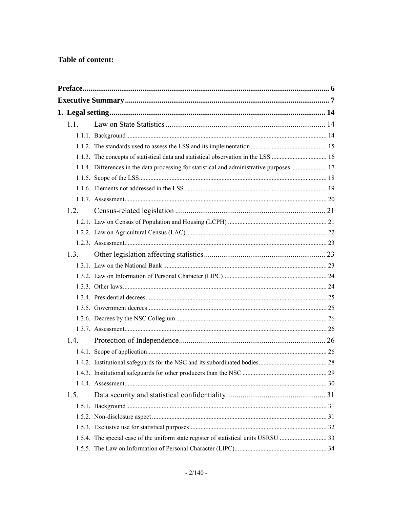## Table of content:

| 1.1. |                                                                                           |  |
|------|-------------------------------------------------------------------------------------------|--|
|      |                                                                                           |  |
|      |                                                                                           |  |
|      |                                                                                           |  |
|      | 1.1.4. Differences in the data processing for statistical and administrative purposes  17 |  |
|      |                                                                                           |  |
|      |                                                                                           |  |
|      |                                                                                           |  |
| 1.2. |                                                                                           |  |
|      |                                                                                           |  |
|      |                                                                                           |  |
|      |                                                                                           |  |
| 1.3. |                                                                                           |  |
|      |                                                                                           |  |
|      |                                                                                           |  |
|      |                                                                                           |  |
|      |                                                                                           |  |
|      |                                                                                           |  |
|      |                                                                                           |  |
|      |                                                                                           |  |
| 1.4. |                                                                                           |  |
|      |                                                                                           |  |
|      |                                                                                           |  |
|      |                                                                                           |  |
|      |                                                                                           |  |
| 1.5. |                                                                                           |  |
|      |                                                                                           |  |
|      |                                                                                           |  |
|      |                                                                                           |  |
|      |                                                                                           |  |
|      |                                                                                           |  |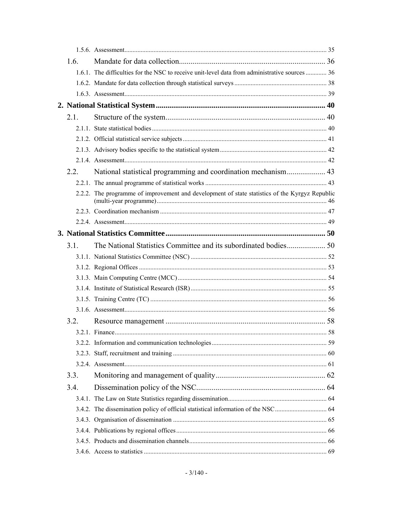| 1.6. |      |                                                                                                |  |
|------|------|------------------------------------------------------------------------------------------------|--|
|      |      | 1.6.1. The difficulties for the NSC to receive unit-level data from administrative sources  36 |  |
|      |      |                                                                                                |  |
|      |      |                                                                                                |  |
|      |      |                                                                                                |  |
| 2.1  |      |                                                                                                |  |
|      |      |                                                                                                |  |
|      |      |                                                                                                |  |
|      |      |                                                                                                |  |
|      |      |                                                                                                |  |
|      | 2.2. |                                                                                                |  |
|      |      |                                                                                                |  |
|      |      | 2.2.2. The programme of improvement and development of state statistics of the Kyrgyz Republic |  |
|      |      |                                                                                                |  |
|      |      |                                                                                                |  |
|      |      |                                                                                                |  |
| 3.1. |      |                                                                                                |  |
|      |      |                                                                                                |  |
|      |      |                                                                                                |  |
|      |      |                                                                                                |  |
|      |      |                                                                                                |  |
|      |      |                                                                                                |  |
|      |      |                                                                                                |  |
|      | 3.2. |                                                                                                |  |
|      |      |                                                                                                |  |
|      |      |                                                                                                |  |
|      |      |                                                                                                |  |
|      |      |                                                                                                |  |
| 3.3. |      |                                                                                                |  |
| 3.4. |      |                                                                                                |  |
|      |      |                                                                                                |  |
|      |      |                                                                                                |  |
|      |      |                                                                                                |  |
|      |      |                                                                                                |  |
|      |      |                                                                                                |  |
|      |      |                                                                                                |  |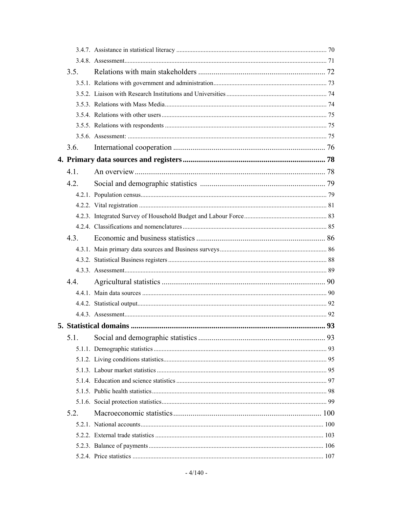| 3.5. |  |
|------|--|
|      |  |
|      |  |
|      |  |
|      |  |
|      |  |
|      |  |
| 3.6. |  |
|      |  |
| 4.1. |  |
| 4.2. |  |
|      |  |
|      |  |
|      |  |
|      |  |
| 4.3  |  |
|      |  |
|      |  |
|      |  |
| 4.4  |  |
|      |  |
|      |  |
|      |  |
|      |  |
| 5.1. |  |
|      |  |
|      |  |
|      |  |
|      |  |
|      |  |
|      |  |
| 5.2. |  |
|      |  |
|      |  |
|      |  |
|      |  |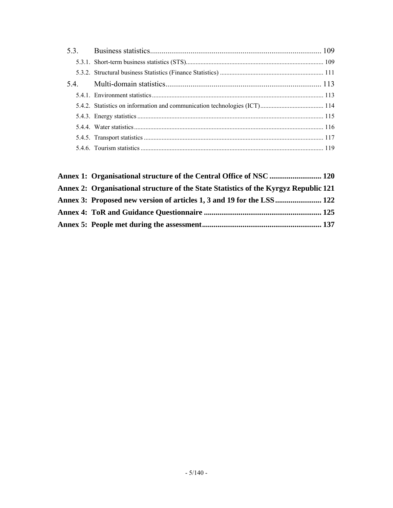| Annex 1: Organisational structure of the Central Office of NSC  120                  |  |
|--------------------------------------------------------------------------------------|--|
| Annex 2: Organisational structure of the State Statistics of the Kyrgyz Republic 121 |  |
| Annex 3: Proposed new version of articles 1, 3 and 19 for the LSS 122                |  |
|                                                                                      |  |
|                                                                                      |  |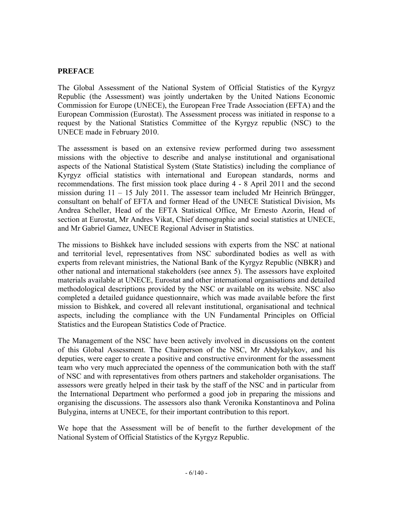### <span id="page-5-0"></span>**PREFACE**

The Global Assessment of the National System of Official Statistics of the Kyrgyz Republic (the Assessment) was jointly undertaken by the United Nations Economic Commission for Europe (UNECE), the European Free Trade Association (EFTA) and the European Commission (Eurostat). The Assessment process was initiated in response to a request by the National Statistics Committee of the Kyrgyz republic (NSC) to the UNECE made in February 2010.

The assessment is based on an extensive review performed during two assessment missions with the objective to describe and analyse institutional and organisational aspects of the National Statistical System (State Statistics) including the compliance of Kyrgyz official statistics with international and European standards, norms and recommendations. The first mission took place during 4 - 8 April 2011 and the second mission during 11 – 15 July 2011. The assessor team included Mr Heinrich Brüngger, consultant on behalf of EFTA and former Head of the UNECE Statistical Division, Ms Andrea Scheller, Head of the EFTA Statistical Office, Mr Ernesto Azorin, Head of section at Eurostat, Mr Andres Vikat, Chief demographic and social statistics at UNECE, and Mr Gabriel Gamez, UNECE Regional Adviser in Statistics.

The missions to Bishkek have included sessions with experts from the NSC at national and territorial level, representatives from NSC subordinated bodies as well as with experts from relevant ministries, the National Bank of the Kyrgyz Republic (NBKR) and other national and international stakeholders (see annex 5). The assessors have exploited materials available at UNECE, Eurostat and other international organisations and detailed methodological descriptions provided by the NSC or available on its website. NSC also completed a detailed guidance questionnaire, which was made available before the first mission to Bishkek, and covered all relevant institutional, organisational and technical aspects, including the compliance with the UN Fundamental Principles on Official Statistics and the European Statistics Code of Practice.

The Management of the NSC have been actively involved in discussions on the content of this Global Assessment. The Chairperson of the NSC, Mr Abdykalykov, and his deputies, were eager to create a positive and constructive environment for the assessment team who very much appreciated the openness of the communication both with the staff of NSC and with representatives from others partners and stakeholder organisations. The assessors were greatly helped in their task by the staff of the NSC and in particular from the International Department who performed a good job in preparing the missions and organising the discussions. The assessors also thank Veronika Konstantinova and Polina Bulygina, interns at UNECE, for their important contribution to this report.

We hope that the Assessment will be of benefit to the further development of the National System of Official Statistics of the Kyrgyz Republic.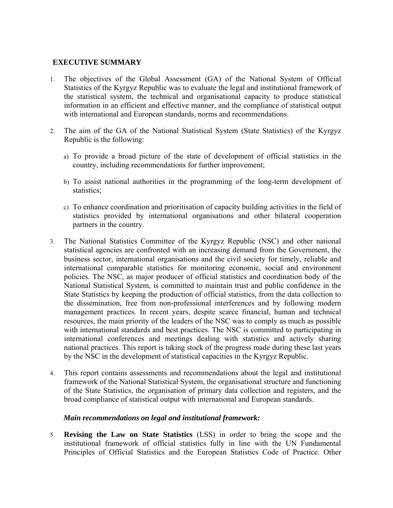#### **EXECUTIVE SUMMARY**

- <span id="page-6-0"></span>1. The objectives of the Global Assessment (GA) of the National System of Official Statistics of the Kyrgyz Republic was to evaluate the legal and institutional framework of the statistical system, the technical and organisational capacity to produce statistical information in an efficient and effective manner, and the compliance of statistical output with international and European standards, norms and recommendations.
- 2. The aim of the GA of the National Statistical System (State Statistics) of the Kyrgyz Republic is the following:
	- a) To provide a broad picture of the state of development of official statistics in the country, including recommendations for further improvement;
	- b) To assist national authorities in the programming of the long-term development of statistics;
	- c) To enhance coordination and prioritisation of capacity building activities in the field of statistics provided by international organisations and other bilateral cooperation partners in the country.
- 3. The National Statistics Committee of the Kyrgyz Republic (NSC) and other national statistical agencies are confronted with an increasing demand from the Government, the business sector, international organisations and the civil society for timely, reliable and international comparable statistics for monitoring economic, social and environment policies. The NSC, as major producer of official statistics and coordination body of the National Statistical System, is committed to maintain trust and public confidence in the State Statistics by keeping the production of official statistics, from the data collection to the dissemination, free from non-professional interferences and by following modern management practices. In recent years, despite scarce financial, human and technical resources, the main priority of the leaders of the NSC was to comply as much as possible with international standards and best practices. The NSC is committed to participating in international conferences and meetings dealing with statistics and actively sharing national practices. This report is taking stock of the progress made during these last years by the NSC in the development of statistical capacities in the Kyrgyz Republic.
- 4. This report contains assessments and recommendations about the legal and institutional framework of the National Statistical System, the organisational structure and functioning of the State Statistics, the organisation of primary data collection and registers, and the broad compliance of statistical output with international and European standards.

#### *Main recommendations on legal and institutional framework:*

5. **Revising the Law on State Statistics** (LSS) in order to bring the scope and the institutional framework of official statistics fully in line with the UN Fundamental Principles of Official Statistics and the European Statistics Code of Practice. Other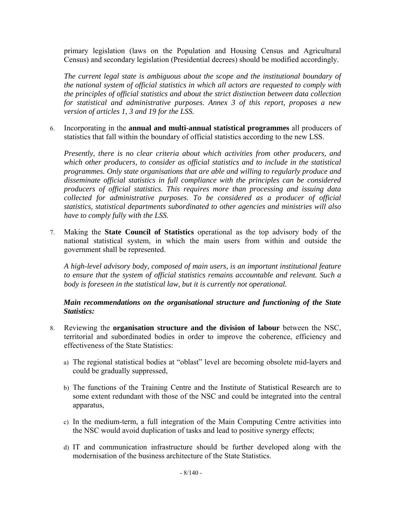primary legislation (laws on the Population and Housing Census and Agricultural Census) and secondary legislation (Presidential decrees) should be modified accordingly.

*The current legal state is ambiguous about the scope and the institutional boundary of the national system of official statistics in which all actors are requested to comply with the principles of official statistics and about the strict distinction between data collection for statistical and administrative purposes. Annex 3 of this report, proposes a new version of articles 1, 3 and 19 for the LSS.* 

6. Incorporating in the **annual and multi-annual statistical programmes** all producers of statistics that fall within the boundary of official statistics according to the new LSS.

*Presently, there is no clear criteria about which activities from other producers, and which other producers, to consider as official statistics and to include in the statistical programmes. Only state organisations that are able and willing to regularly produce and disseminate official statistics in full compliance with the principles can be considered producers of official statistics. This requires more than processing and issuing data collected for administrative purposes. To be considered as a producer of official statistics, statistical departments subordinated to other agencies and ministries will also have to comply fully with the LSS.* 

7. Making the **State Council of Statistics** operational as the top advisory body of the national statistical system, in which the main users from within and outside the government shall be represented.

*A high-level advisory body, composed of main users, is an important institutional feature to ensure that the system of official statistics remains accountable and relevant. Such a body is foreseen in the statistical law, but it is currently not operational.* 

#### *Main recommendations on the organisational structure and functioning of the State Statistics:*

- 8. Reviewing the **organisation structure and the division of labour** between the NSC, territorial and subordinated bodies in order to improve the coherence, efficiency and effectiveness of the State Statistics:
	- a) The regional statistical bodies at "oblast" level are becoming obsolete mid-layers and could be gradually suppressed,
	- b) The functions of the Training Centre and the Institute of Statistical Research are to some extent redundant with those of the NSC and could be integrated into the central apparatus,
	- c) In the medium-term, a full integration of the Main Computing Centre activities into the NSC would avoid duplication of tasks and lead to positive synergy effects;
	- d) IT and communication infrastructure should be further developed along with the modernisation of the business architecture of the State Statistics.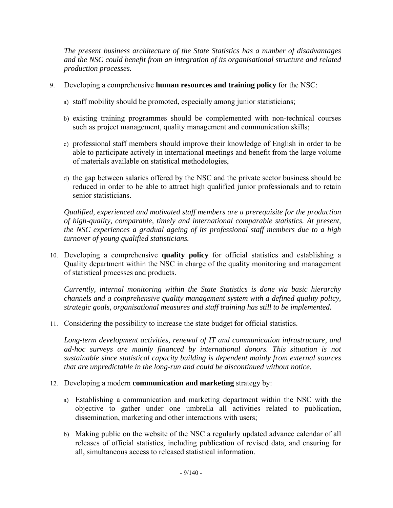*The present business architecture of the State Statistics has a number of disadvantages and the NSC could benefit from an integration of its organisational structure and related production processes.* 

- 9. Developing a comprehensive **human resources and training policy** for the NSC:
	- a) staff mobility should be promoted, especially among junior statisticians;
	- b) existing training programmes should be complemented with non-technical courses such as project management, quality management and communication skills;
	- c) professional staff members should improve their knowledge of English in order to be able to participate actively in international meetings and benefit from the large volume of materials available on statistical methodologies,
	- d) the gap between salaries offered by the NSC and the private sector business should be reduced in order to be able to attract high qualified junior professionals and to retain senior statisticians.

*Qualified, experienced and motivated staff members are a prerequisite for the production of high-quality, comparable, timely and international comparable statistics. At present, the NSC experiences a gradual ageing of its professional staff members due to a high turnover of young qualified statisticians.* 

10. Developing a comprehensive **quality policy** for official statistics and establishing a Quality department within the NSC in charge of the quality monitoring and management of statistical processes and products.

*Currently, internal monitoring within the State Statistics is done via basic hierarchy channels and a comprehensive quality management system with a defined quality policy, strategic goals, organisational measures and staff training has still to be implemented.* 

11. Considering the possibility to increase the state budget for official statistics.

*Long-term development activities, renewal of IT and communication infrastructure, and ad-hoc surveys are mainly financed by international donors. This situation is not sustainable since statistical capacity building is dependent mainly from external sources that are unpredictable in the long-run and could be discontinued without notice.* 

- 12. Developing a modern **communication and marketing** strategy by:
	- a) Establishing a communication and marketing department within the NSC with the objective to gather under one umbrella all activities related to publication, dissemination, marketing and other interactions with users;
	- b) Making public on the website of the NSC a regularly updated advance calendar of all releases of official statistics, including publication of revised data, and ensuring for all, simultaneous access to released statistical information.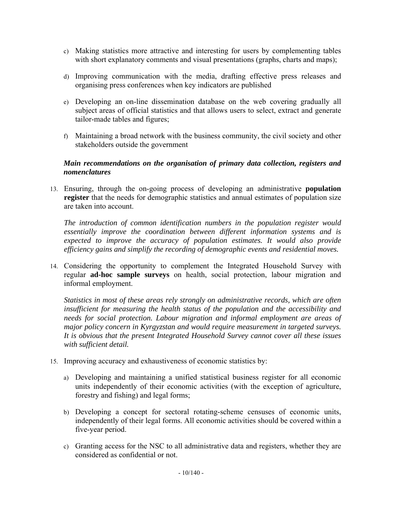- c) Making statistics more attractive and interesting for users by complementing tables with short explanatory comments and visual presentations (graphs, charts and maps);
- d) Improving communication with the media, drafting effective press releases and organising press conferences when key indicators are published
- e) Developing an on-line dissemination database on the web covering gradually all subject areas of official statistics and that allows users to select, extract and generate tailor-made tables and figures;
- f) Maintaining a broad network with the business community, the civil society and other stakeholders outside the government

### *Main recommendations on the organisation of primary data collection, registers and nomenclatures*

13. Ensuring, through the on-going process of developing an administrative **population register** that the needs for demographic statistics and annual estimates of population size are taken into account.

*The introduction of common identification numbers in the population register would essentially improve the coordination between different information systems and is*  expected to improve the accuracy of population estimates. It would also provide *efficiency gains and simplify the recording of demographic events and residential moves.* 

14. Considering the opportunity to complement the Integrated Household Survey with regular **ad-hoc sample surveys** on health, social protection, labour migration and informal employment.

*Statistics in most of these areas rely strongly on administrative records, which are often insufficient for measuring the health status of the population and the accessibility and needs for social protection. Labour migration and informal employment are areas of major policy concern in Kyrgyzstan and would require measurement in targeted surveys. It is obvious that the present Integrated Household Survey cannot cover all these issues with sufficient detail.* 

- 15. Improving accuracy and exhaustiveness of economic statistics by:
	- a) Developing and maintaining a unified statistical business register for all economic units independently of their economic activities (with the exception of agriculture, forestry and fishing) and legal forms;
	- b) Developing a concept for sectoral rotating-scheme censuses of economic units, independently of their legal forms. All economic activities should be covered within a five-year period.
	- c) Granting access for the NSC to all administrative data and registers, whether they are considered as confidential or not.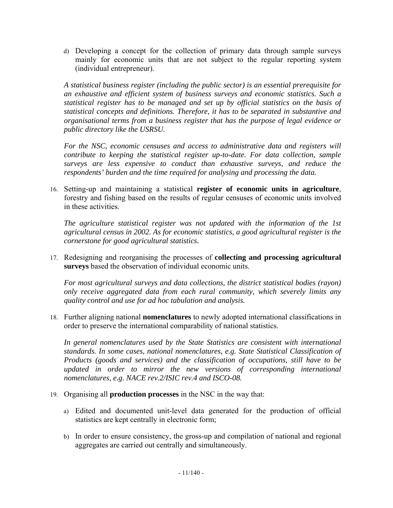d) Developing a concept for the collection of primary data through sample surveys mainly for economic units that are not subject to the regular reporting system (individual entrepreneur).

*A statistical business register (including the public sector) is an essential prerequisite for an exhaustive and efficient system of business surveys and economic statistics. Such a statistical register has to be managed and set up by official statistics on the basis of statistical concepts and definitions. Therefore, it has to be separated in substantive and organisational terms from a business register that has the purpose of legal evidence or public directory like the USRSU.* 

For the NSC, economic censuses and access to administrative data and registers will *contribute to keeping the statistical register up-to-date. For data collection, sample surveys are less expensive to conduct than exhaustive surveys, and reduce the respondents' burden and the time required for analysing and processing the data.* 

16. Setting-up and maintaining a statistical **register of economic units in agriculture**, forestry and fishing based on the results of regular censuses of economic units involved in these activities.

*The agriculture statistical register was not updated with the information of the 1st agricultural census in 2002. As for economic statistics, a good agricultural register is the cornerstone for good agricultural statistics.* 

17. Redesigning and reorganising the processes of **collecting and processing agricultural surveys** based the observation of individual economic units.

*For most agricultural surveys and data collections, the district statistical bodies (rayon) only receive aggregated data from each rural community, which severely limits any quality control and use for ad hoc tabulation and analysis.* 

18. Further aligning national **nomenclatures** to newly adopted international classifications in order to preserve the international comparability of national statistics.

*In general nomenclatures used by the State Statistics are consistent with international standards. In some cases, national nomenclatures, e.g. State Statistical Classification of Products (goods and services) and the classification of occupations, still have to be updated in order to mirror the new versions of corresponding international nomenclatures, e.g. NACE rev.2/ISIC rev.4 and ISCO-08.* 

- 19. Organising all **production processes** in the NSC in the way that:
	- a) Edited and documented unit-level data generated for the production of official statistics are kept centrally in electronic form;
	- b) In order to ensure consistency, the gross-up and compilation of national and regional aggregates are carried out centrally and simultaneously.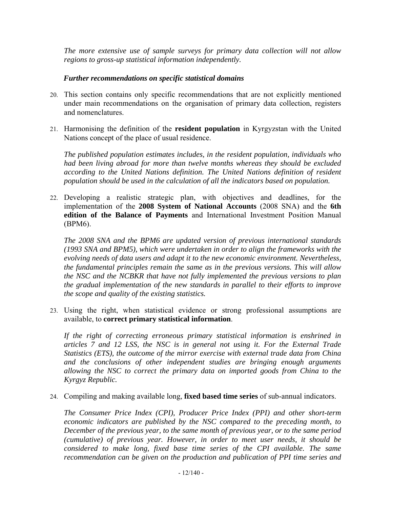*The more extensive use of sample surveys for primary data collection will not allow regions to gross-up statistical information independently.* 

#### *Further recommendations on specific statistical domains*

- 20. This section contains only specific recommendations that are not explicitly mentioned under main recommendations on the organisation of primary data collection, registers and nomenclatures.
- 21. Harmonising the definition of the **resident population** in Kyrgyzstan with the United Nations concept of the place of usual residence.

*The published population estimates includes, in the resident population, individuals who had been living abroad for more than twelve months whereas they should be excluded according to the United Nations definition. The United Nations definition of resident population should be used in the calculation of all the indicators based on population.* 

22. Developing a realistic strategic plan, with objectives and deadlines, for the implementation of the **2008 System of National Accounts** (2008 SNA) and the **6th edition of the Balance of Payments** and International Investment Position Manual (BPM6).

*The 2008 SNA and the BPM6 are updated version of previous international standards (1993 SNA and BPM5), which were undertaken in order to align the frameworks with the evolving needs of data users and adapt it to the new economic environment. Nevertheless, the fundamental principles remain the same as in the previous versions. This will allow the NSC and the NCBKR that have not fully implemented the previous versions to plan the gradual implementation of the new standards in parallel to their efforts to improve the scope and quality of the existing statistics.* 

23. Using the right, when statistical evidence or strong professional assumptions are available, to **correct primary statistical information**.

*If the right of correcting erroneous primary statistical information is enshrined in articles 7 and 12 LSS, the NSC is in general not using it. For the External Trade Statistics (ETS), the outcome of the mirror exercise with external trade data from China and the conclusions of other independent studies are bringing enough arguments allowing the NSC to correct the primary data on imported goods from China to the Kyrgyz Republic.* 

24. Compiling and making available long, **fixed based time series** of sub-annual indicators.

*The Consumer Price Index (CPI), Producer Price Index (PPI) and other short-term economic indicators are published by the NSC compared to the preceding month, to December of the previous year, to the same month of previous year, or to the same period (cumulative) of previous year. However, in order to meet user needs, it should be considered to make long, fixed base time series of the CPI available. The same recommendation can be given on the production and publication of PPI time series and*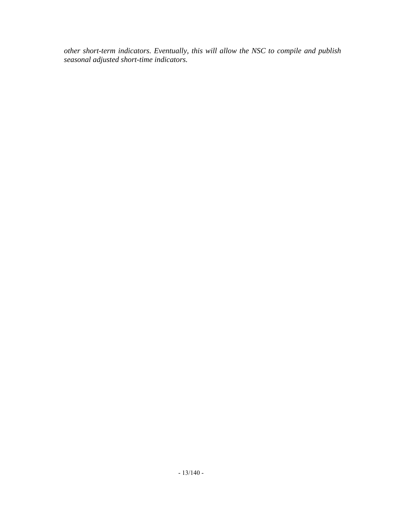*other short-term indicators. Eventually, this will allow the NSC to compile and publish seasonal adjusted short-time indicators.*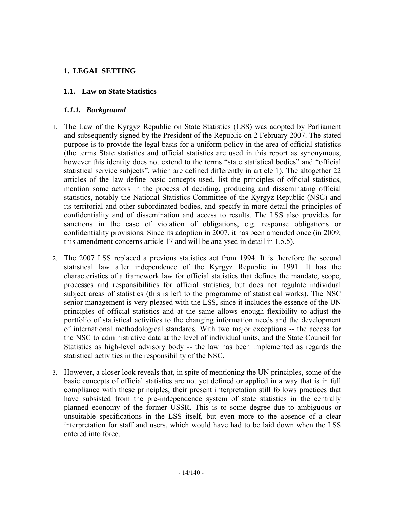### <span id="page-13-0"></span>**1. LEGAL SETTING**

### **1.1. Law on State Statistics**

### *1.1.1. Background*

- <span id="page-13-2"></span><span id="page-13-1"></span>1. The Law of the Kyrgyz Republic on State Statistics (LSS) was adopted by Parliament and subsequently signed by the President of the Republic on 2 February 2007. The stated purpose is to provide the legal basis for a uniform policy in the area of official statistics (the terms State statistics and official statistics are used in this report as synonymous, however this identity does not extend to the terms "state statistical bodies" and "official statistical service subjects", which are defined differently in article 1). The altogether 22 articles of the law define basic concepts used, list the principles of official statistics, mention some actors in the process of deciding, producing and disseminating official statistics, notably the National Statistics Committee of the Kyrgyz Republic (NSC) and its territorial and other subordinated bodies, and specify in more detail the principles of confidentiality and of dissemination and access to results. The LSS also provides for sanctions in the case of violation of obligations, e.g. response obligations or confidentiality provisions. Since its adoption in 2007, it has been amended once (in 2009; this amendment concerns article 17 and will be analysed in detail in 1.5.5).
- 2. The 2007 LSS replaced a previous statistics act from 1994. It is therefore the second statistical law after independence of the Kyrgyz Republic in 1991. It has the characteristics of a framework law for official statistics that defines the mandate, scope, processes and responsibilities for official statistics, but does not regulate individual subject areas of statistics (this is left to the programme of statistical works). The NSC senior management is very pleased with the LSS, since it includes the essence of the UN principles of official statistics and at the same allows enough flexibility to adjust the portfolio of statistical activities to the changing information needs and the development of international methodological standards. With two major exceptions -- the access for the NSC to administrative data at the level of individual units, and the State Council for Statistics as high-level advisory body -- the law has been implemented as regards the statistical activities in the responsibility of the NSC.
- 3. However, a closer look reveals that, in spite of mentioning the UN principles, some of the basic concepts of official statistics are not yet defined or applied in a way that is in full compliance with these principles; their present interpretation still follows practices that have subsisted from the pre-independence system of state statistics in the centrally planned economy of the former USSR. This is to some degree due to ambiguous or unsuitable specifications in the LSS itself, but even more to the absence of a clear interpretation for staff and users, which would have had to be laid down when the LSS entered into force.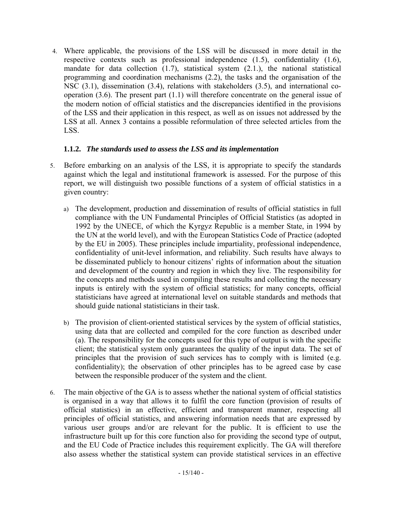4. Where applicable, the provisions of the LSS will be discussed in more detail in the respective contexts such as professional independence (1.5), confidentiality (1.6), mandate for data collection (1.7), statistical system (2.1.), the national statistical programming and coordination mechanisms (2.2), the tasks and the organisation of the NSC (3.1), dissemination (3.4), relations with stakeholders (3.5), and international cooperation (3.6). The present part (1.1) will therefore concentrate on the general issue of the modern notion of official statistics and the discrepancies identified in the provisions of the LSS and their application in this respect, as well as on issues not addressed by the LSS at all. Annex 3 contains a possible reformulation of three selected articles from the LSS.

### **1.1.2.** *The standards used to assess the LSS and its implementation*

- <span id="page-14-0"></span>5. Before embarking on an analysis of the LSS, it is appropriate to specify the standards against which the legal and institutional framework is assessed. For the purpose of this report, we will distinguish two possible functions of a system of official statistics in a given country:
	- a) The development, production and dissemination of results of official statistics in full compliance with the UN Fundamental Principles of Official Statistics (as adopted in 1992 by the UNECE, of which the Kyrgyz Republic is a member State, in 1994 by the UN at the world level), and with the European Statistics Code of Practice (adopted by the EU in 2005). These principles include impartiality, professional independence, confidentiality of unit-level information, and reliability. Such results have always to be disseminated publicly to honour citizens' rights of information about the situation and development of the country and region in which they live. The responsibility for the concepts and methods used in compiling these results and collecting the necessary inputs is entirely with the system of official statistics; for many concepts, official statisticians have agreed at international level on suitable standards and methods that should guide national statisticians in their task.
	- b) The provision of client-oriented statistical services by the system of official statistics, using data that are collected and compiled for the core function as described under (a). The responsibility for the concepts used for this type of output is with the specific client; the statistical system only guarantees the quality of the input data. The set of principles that the provision of such services has to comply with is limited (e.g. confidentiality); the observation of other principles has to be agreed case by case between the responsible producer of the system and the client.
- 6. The main objective of the GA is to assess whether the national system of official statistics is organised in a way that allows it to fulfil the core function (provision of results of official statistics) in an effective, efficient and transparent manner, respecting all principles of official statistics, and answering information needs that are expressed by various user groups and/or are relevant for the public. It is efficient to use the infrastructure built up for this core function also for providing the second type of output, and the EU Code of Practice includes this requirement explicitly. The GA will therefore also assess whether the statistical system can provide statistical services in an effective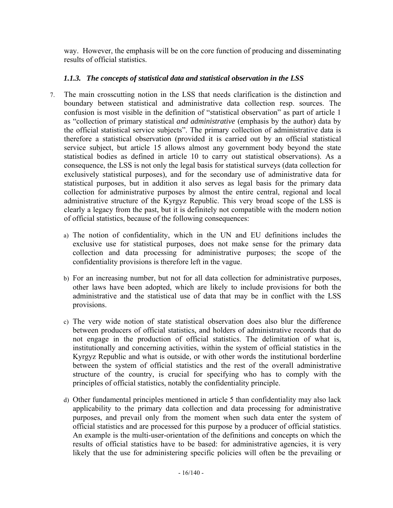way. However, the emphasis will be on the core function of producing and disseminating results of official statistics.

# *1.1.3. The concepts of statistical data and statistical observation in the LSS*

- <span id="page-15-0"></span>7. The main crosscutting notion in the LSS that needs clarification is the distinction and boundary between statistical and administrative data collection resp. sources. The confusion is most visible in the definition of "statistical observation" as part of article 1 as "collection of primary statistical *and administrative* (emphasis by the author) data by the official statistical service subjects". The primary collection of administrative data is therefore a statistical observation (provided it is carried out by an official statistical service subject, but article 15 allows almost any government body beyond the state statistical bodies as defined in article 10 to carry out statistical observations). As a consequence, the LSS is not only the legal basis for statistical surveys (data collection for exclusively statistical purposes), and for the secondary use of administrative data for statistical purposes, but in addition it also serves as legal basis for the primary data collection for administrative purposes by almost the entire central, regional and local administrative structure of the Kyrgyz Republic. This very broad scope of the LSS is clearly a legacy from the past, but it is definitely not compatible with the modern notion of official statistics, because of the following consequences:
	- a) The notion of confidentiality, which in the UN and EU definitions includes the exclusive use for statistical purposes, does not make sense for the primary data collection and data processing for administrative purposes; the scope of the confidentiality provisions is therefore left in the vague.
	- b) For an increasing number, but not for all data collection for administrative purposes, other laws have been adopted, which are likely to include provisions for both the administrative and the statistical use of data that may be in conflict with the LSS provisions.
	- c) The very wide notion of state statistical observation does also blur the difference between producers of official statistics, and holders of administrative records that do not engage in the production of official statistics. The delimitation of what is, institutionally and concerning activities, within the system of official statistics in the Kyrgyz Republic and what is outside, or with other words the institutional borderline between the system of official statistics and the rest of the overall administrative structure of the country, is crucial for specifying who has to comply with the principles of official statistics, notably the confidentiality principle.
	- d) Other fundamental principles mentioned in article 5 than confidentiality may also lack applicability to the primary data collection and data processing for administrative purposes, and prevail only from the moment when such data enter the system of official statistics and are processed for this purpose by a producer of official statistics. An example is the multi-user-orientation of the definitions and concepts on which the results of official statistics have to be based: for administrative agencies, it is very likely that the use for administering specific policies will often be the prevailing or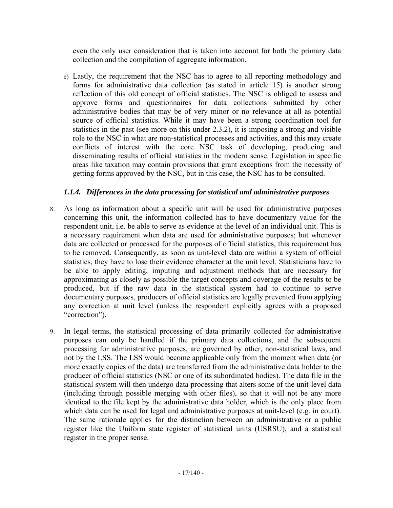even the only user consideration that is taken into account for both the primary data collection and the compilation of aggregate information.

e) Lastly, the requirement that the NSC has to agree to all reporting methodology and forms for administrative data collection (as stated in article 15) is another strong reflection of this old concept of official statistics. The NSC is obliged to assess and approve forms and questionnaires for data collections submitted by other administrative bodies that may be of very minor or no relevance at all as potential source of official statistics. While it may have been a strong coordination tool for statistics in the past (see more on this under 2.3.2), it is imposing a strong and visible role to the NSC in what are non-statistical processes and activities, and this may create conflicts of interest with the core NSC task of developing, producing and disseminating results of official statistics in the modern sense. Legislation in specific areas like taxation may contain provisions that grant exceptions from the necessity of getting forms approved by the NSC, but in this case, the NSC has to be consulted.

# *1.1.4. Differences in the data processing for statistical and administrative purposes*

- <span id="page-16-0"></span>8. As long as information about a specific unit will be used for administrative purposes concerning this unit, the information collected has to have documentary value for the respondent unit, i.e. be able to serve as evidence at the level of an individual unit. This is a necessary requirement when data are used for administrative purposes; but whenever data are collected or processed for the purposes of official statistics, this requirement has to be removed. Consequently, as soon as unit-level data are within a system of official statistics, they have to lose their evidence character at the unit level. Statisticians have to be able to apply editing, imputing and adjustment methods that are necessary for approximating as closely as possible the target concepts and coverage of the results to be produced, but if the raw data in the statistical system had to continue to serve documentary purposes, producers of official statistics are legally prevented from applying any correction at unit level (unless the respondent explicitly agrees with a proposed "correction").
- 9. In legal terms, the statistical processing of data primarily collected for administrative purposes can only be handled if the primary data collections, and the subsequent processing for administrative purposes, are governed by other, non-statistical laws, and not by the LSS. The LSS would become applicable only from the moment when data (or more exactly copies of the data) are transferred from the administrative data holder to the producer of official statistics (NSC or one of its subordinated bodies). The data file in the statistical system will then undergo data processing that alters some of the unit-level data (including through possible merging with other files), so that it will not be any more identical to the file kept by the administrative data holder, which is the only place from which data can be used for legal and administrative purposes at unit-level (e.g. in court). The same rationale applies for the distinction between an administrative or a public register like the Uniform state register of statistical units (USRSU), and a statistical register in the proper sense.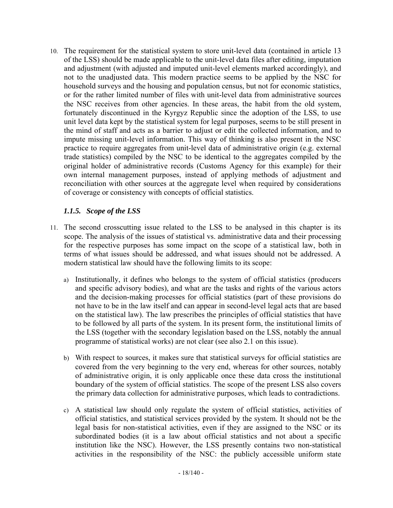10. The requirement for the statistical system to store unit-level data (contained in article 13 of the LSS) should be made applicable to the unit-level data files after editing, imputation and adjustment (with adjusted and imputed unit-level elements marked accordingly), and not to the unadjusted data. This modern practice seems to be applied by the NSC for household surveys and the housing and population census, but not for economic statistics, or for the rather limited number of files with unit-level data from administrative sources the NSC receives from other agencies. In these areas, the habit from the old system, fortunately discontinued in the Kyrgyz Republic since the adoption of the LSS, to use unit level data kept by the statistical system for legal purposes, seems to be still present in the mind of staff and acts as a barrier to adjust or edit the collected information, and to impute missing unit-level information. This way of thinking is also present in the NSC practice to require aggregates from unit-level data of administrative origin (e.g. external trade statistics) compiled by the NSC to be identical to the aggregates compiled by the original holder of administrative records (Customs Agency for this example) for their own internal management purposes, instead of applying methods of adjustment and reconciliation with other sources at the aggregate level when required by considerations of coverage or consistency with concepts of official statistics.

### *1.1.5. Scope of the LSS*

- <span id="page-17-0"></span>11. The second crosscutting issue related to the LSS to be analysed in this chapter is its scope. The analysis of the issues of statistical vs. administrative data and their processing for the respective purposes has some impact on the scope of a statistical law, both in terms of what issues should be addressed, and what issues should not be addressed. A modern statistical law should have the following limits to its scope:
	- a) Institutionally, it defines who belongs to the system of official statistics (producers and specific advisory bodies), and what are the tasks and rights of the various actors and the decision-making processes for official statistics (part of these provisions do not have to be in the law itself and can appear in second-level legal acts that are based on the statistical law). The law prescribes the principles of official statistics that have to be followed by all parts of the system. In its present form, the institutional limits of the LSS (together with the secondary legislation based on the LSS, notably the annual programme of statistical works) are not clear (see also 2.1 on this issue).
	- b) With respect to sources, it makes sure that statistical surveys for official statistics are covered from the very beginning to the very end, whereas for other sources, notably of administrative origin, it is only applicable once these data cross the institutional boundary of the system of official statistics. The scope of the present LSS also covers the primary data collection for administrative purposes, which leads to contradictions.
	- c) A statistical law should only regulate the system of official statistics, activities of official statistics, and statistical services provided by the system. It should not be the legal basis for non-statistical activities, even if they are assigned to the NSC or its subordinated bodies (it is a law about official statistics and not about a specific institution like the NSC). However, the LSS presently contains two non-statistical activities in the responsibility of the NSC: the publicly accessible uniform state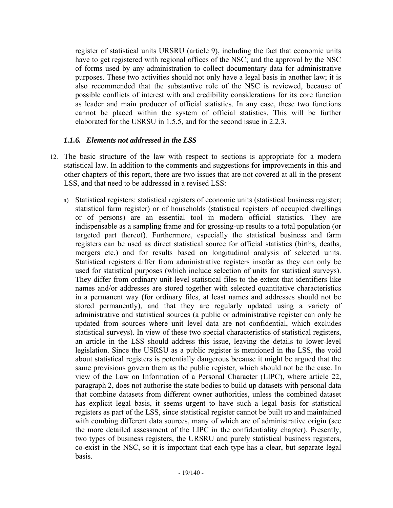register of statistical units URSRU (article 9), including the fact that economic units have to get registered with regional offices of the NSC; and the approval by the NSC of forms used by any administration to collect documentary data for administrative purposes. These two activities should not only have a legal basis in another law; it is also recommended that the substantive role of the NSC is reviewed, because of possible conflicts of interest with and credibility considerations for its core function as leader and main producer of official statistics. In any case, these two functions cannot be placed within the system of official statistics. This will be further elaborated for the USRSU in 1.5.5, and for the second issue in 2.2.3.

#### *1.1.6. Elements not addressed in the LSS*

- <span id="page-18-0"></span>12. The basic structure of the law with respect to sections is appropriate for a modern statistical law. In addition to the comments and suggestions for improvements in this and other chapters of this report, there are two issues that are not covered at all in the present LSS, and that need to be addressed in a revised LSS:
	- a) Statistical registers: statistical registers of economic units (statistical business register; statistical farm register) or of households (statistical registers of occupied dwellings or of persons) are an essential tool in modern official statistics. They are indispensable as a sampling frame and for grossing-up results to a total population (or targeted part thereof). Furthermore, especially the statistical business and farm registers can be used as direct statistical source for official statistics (births, deaths, mergers etc.) and for results based on longitudinal analysis of selected units. Statistical registers differ from administrative registers insofar as they can only be used for statistical purposes (which include selection of units for statistical surveys). They differ from ordinary unit-level statistical files to the extent that identifiers like names and/or addresses are stored together with selected quantitative characteristics in a permanent way (for ordinary files, at least names and addresses should not be stored permanently), and that they are regularly updated using a variety of administrative and statistical sources (a public or administrative register can only be updated from sources where unit level data are not confidential, which excludes statistical surveys). In view of these two special characteristics of statistical registers, an article in the LSS should address this issue, leaving the details to lower-level legislation. Since the USRSU as a public register is mentioned in the LSS, the void about statistical registers is potentially dangerous because it might be argued that the same provisions govern them as the public register, which should not be the case. In view of the Law on Information of a Personal Character (LIPC), where article 22, paragraph 2, does not authorise the state bodies to build up datasets with personal data that combine datasets from different owner authorities, unless the combined dataset has explicit legal basis, it seems urgent to have such a legal basis for statistical registers as part of the LSS, since statistical register cannot be built up and maintained with combing different data sources, many of which are of administrative origin (see the more detailed assessment of the LIPC in the confidentiality chapter). Presently, two types of business registers, the URSRU and purely statistical business registers, co-exist in the NSC, so it is important that each type has a clear, but separate legal basis.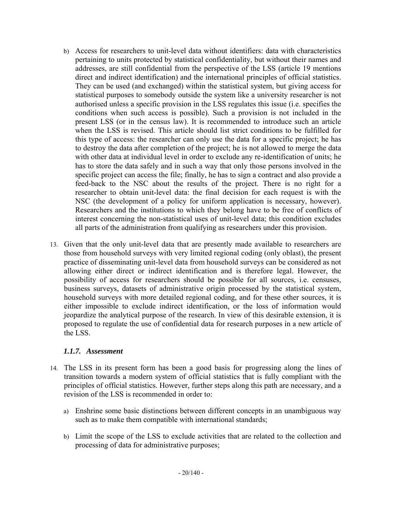- b) Access for researchers to unit-level data without identifiers: data with characteristics pertaining to units protected by statistical confidentiality, but without their names and addresses, are still confidential from the perspective of the LSS (article 19 mentions direct and indirect identification) and the international principles of official statistics. They can be used (and exchanged) within the statistical system, but giving access for statistical purposes to somebody outside the system like a university researcher is not authorised unless a specific provision in the LSS regulates this issue (i.e. specifies the conditions when such access is possible). Such a provision is not included in the present LSS (or in the census law). It is recommended to introduce such an article when the LSS is revised. This article should list strict conditions to be fulfilled for this type of access: the researcher can only use the data for a specific project; he has to destroy the data after completion of the project; he is not allowed to merge the data with other data at individual level in order to exclude any re-identification of units; he has to store the data safely and in such a way that only those persons involved in the specific project can access the file; finally, he has to sign a contract and also provide a feed-back to the NSC about the results of the project. There is no right for a researcher to obtain unit-level data: the final decision for each request is with the NSC (the development of a policy for uniform application is necessary, however). Researchers and the institutions to which they belong have to be free of conflicts of interest concerning the non-statistical uses of unit-level data; this condition excludes all parts of the administration from qualifying as researchers under this provision.
- 13. Given that the only unit-level data that are presently made available to researchers are those from household surveys with very limited regional coding (only oblast), the present practice of disseminating unit-level data from household surveys can be considered as not allowing either direct or indirect identification and is therefore legal. However, the possibility of access for researchers should be possible for all sources, i.e. censuses, business surveys, datasets of administrative origin processed by the statistical system, household surveys with more detailed regional coding, and for these other sources, it is either impossible to exclude indirect identification, or the loss of information would jeopardize the analytical purpose of the research. In view of this desirable extension, it is proposed to regulate the use of confidential data for research purposes in a new article of the LSS.

### *1.1.7. Assessment*

- <span id="page-19-0"></span>14. The LSS in its present form has been a good basis for progressing along the lines of transition towards a modern system of official statistics that is fully compliant with the principles of official statistics. However, further steps along this path are necessary, and a revision of the LSS is recommended in order to:
	- a) Enshrine some basic distinctions between different concepts in an unambiguous way such as to make them compatible with international standards;
	- b) Limit the scope of the LSS to exclude activities that are related to the collection and processing of data for administrative purposes;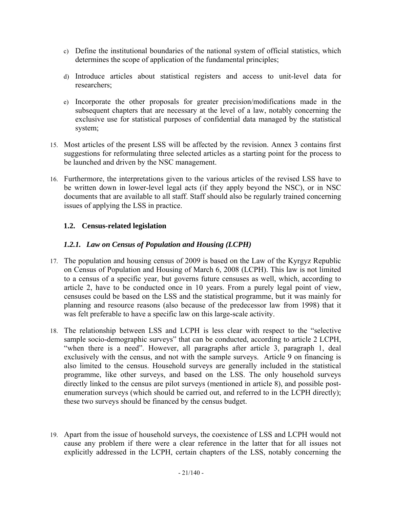- c) Define the institutional boundaries of the national system of official statistics, which determines the scope of application of the fundamental principles;
- d) Introduce articles about statistical registers and access to unit-level data for researchers;
- e) Incorporate the other proposals for greater precision/modifications made in the subsequent chapters that are necessary at the level of a law, notably concerning the exclusive use for statistical purposes of confidential data managed by the statistical system;
- 15. Most articles of the present LSS will be affected by the revision. Annex 3 contains first suggestions for reformulating three selected articles as a starting point for the process to be launched and driven by the NSC management.
- 16. Furthermore, the interpretations given to the various articles of the revised LSS have to be written down in lower-level legal acts (if they apply beyond the NSC), or in NSC documents that are available to all staff. Staff should also be regularly trained concerning issues of applying the LSS in practice.

# **1.2. Census-related legislation**

### *1.2.1. Law on Census of Population and Housing (LCPH)*

- <span id="page-20-1"></span><span id="page-20-0"></span>17. The population and housing census of 2009 is based on the Law of the Kyrgyz Republic on Census of Population and Housing of March 6, 2008 (LCPH). This law is not limited to a census of a specific year, but governs future censuses as well, which, according to article 2, have to be conducted once in 10 years. From a purely legal point of view, censuses could be based on the LSS and the statistical programme, but it was mainly for planning and resource reasons (also because of the predecessor law from 1998) that it was felt preferable to have a specific law on this large-scale activity.
- 18. The relationship between LSS and LCPH is less clear with respect to the "selective sample socio-demographic surveys" that can be conducted, according to article 2 LCPH, "when there is a need". However, all paragraphs after article 3, paragraph 1, deal exclusively with the census, and not with the sample surveys. Article 9 on financing is also limited to the census. Household surveys are generally included in the statistical programme, like other surveys, and based on the LSS. The only household surveys directly linked to the census are pilot surveys (mentioned in article 8), and possible postenumeration surveys (which should be carried out, and referred to in the LCPH directly); these two surveys should be financed by the census budget.
- 19. Apart from the issue of household surveys, the coexistence of LSS and LCPH would not cause any problem if there were a clear reference in the latter that for all issues not explicitly addressed in the LCPH, certain chapters of the LSS, notably concerning the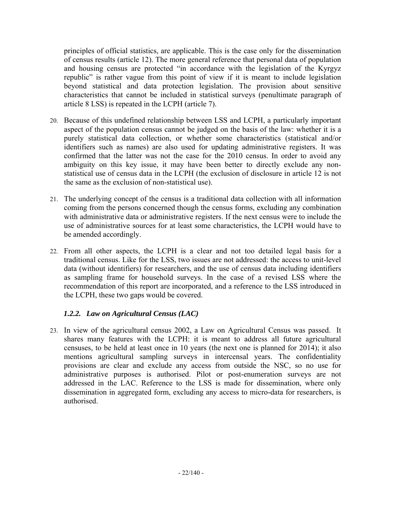principles of official statistics, are applicable. This is the case only for the dissemination of census results (article 12). The more general reference that personal data of population and housing census are protected "in accordance with the legislation of the Kyrgyz republic" is rather vague from this point of view if it is meant to include legislation beyond statistical and data protection legislation. The provision about sensitive characteristics that cannot be included in statistical surveys (penultimate paragraph of article 8 LSS) is repeated in the LCPH (article 7).

- 20. Because of this undefined relationship between LSS and LCPH, a particularly important aspect of the population census cannot be judged on the basis of the law: whether it is a purely statistical data collection, or whether some characteristics (statistical and/or identifiers such as names) are also used for updating administrative registers. It was confirmed that the latter was not the case for the 2010 census. In order to avoid any ambiguity on this key issue, it may have been better to directly exclude any nonstatistical use of census data in the LCPH (the exclusion of disclosure in article 12 is not the same as the exclusion of non-statistical use).
- 21. The underlying concept of the census is a traditional data collection with all information coming from the persons concerned though the census forms, excluding any combination with administrative data or administrative registers. If the next census were to include the use of administrative sources for at least some characteristics, the LCPH would have to be amended accordingly.
- 22. From all other aspects, the LCPH is a clear and not too detailed legal basis for a traditional census. Like for the LSS, two issues are not addressed: the access to unit-level data (without identifiers) for researchers, and the use of census data including identifiers as sampling frame for household surveys. In the case of a revised LSS where the recommendation of this report are incorporated, and a reference to the LSS introduced in the LCPH, these two gaps would be covered.

# *1.2.2. Law on Agricultural Census (LAC)*

<span id="page-21-0"></span>23. In view of the agricultural census 2002, a Law on Agricultural Census was passed. It shares many features with the LCPH: it is meant to address all future agricultural censuses, to be held at least once in 10 years (the next one is planned for 2014); it also mentions agricultural sampling surveys in intercensal years. The confidentiality provisions are clear and exclude any access from outside the NSC, so no use for administrative purposes is authorised. Pilot or post-enumeration surveys are not addressed in the LAC. Reference to the LSS is made for dissemination, where only dissemination in aggregated form, excluding any access to micro-data for researchers, is authorised.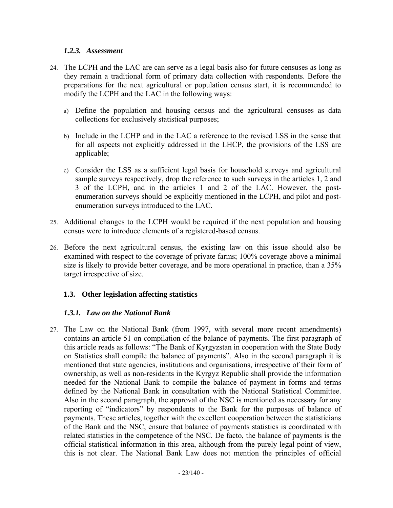#### *1.2.3. Assessment*

- <span id="page-22-0"></span>24. The LCPH and the LAC are can serve as a legal basis also for future censuses as long as they remain a traditional form of primary data collection with respondents. Before the preparations for the next agricultural or population census start, it is recommended to modify the LCPH and the LAC in the following ways:
	- a) Define the population and housing census and the agricultural censuses as data collections for exclusively statistical purposes;
	- b) Include in the LCHP and in the LAC a reference to the revised LSS in the sense that for all aspects not explicitly addressed in the LHCP, the provisions of the LSS are applicable;
	- c) Consider the LSS as a sufficient legal basis for household surveys and agricultural sample surveys respectively, drop the reference to such surveys in the articles 1, 2 and 3 of the LCPH, and in the articles 1 and 2 of the LAC. However, the postenumeration surveys should be explicitly mentioned in the LCPH, and pilot and postenumeration surveys introduced to the LAC.
- 25. Additional changes to the LCPH would be required if the next population and housing census were to introduce elements of a registered-based census.
- 26. Before the next agricultural census, the existing law on this issue should also be examined with respect to the coverage of private farms; 100% coverage above a minimal size is likely to provide better coverage, and be more operational in practice, than a 35% target irrespective of size.

### **1.3. Other legislation affecting statistics**

### *1.3.1. Law on the National Bank*

<span id="page-22-2"></span><span id="page-22-1"></span>27. The Law on the National Bank (from 1997, with several more recent-amendments) contains an article 51 on compilation of the balance of payments. The first paragraph of this article reads as follows: "The Bank of Kyrgyzstan in cooperation with the State Body on Statistics shall compile the balance of payments". Also in the second paragraph it is mentioned that state agencies, institutions and organisations, irrespective of their form of ownership, as well as non-residents in the Kyrgyz Republic shall provide the information needed for the National Bank to compile the balance of payment in forms and terms defined by the National Bank in consultation with the National Statistical Committee. Also in the second paragraph, the approval of the NSC is mentioned as necessary for any reporting of "indicators" by respondents to the Bank for the purposes of balance of payments. These articles, together with the excellent cooperation between the statisticians of the Bank and the NSC, ensure that balance of payments statistics is coordinated with related statistics in the competence of the NSC. De facto, the balance of payments is the official statistical information in this area, although from the purely legal point of view, this is not clear. The National Bank Law does not mention the principles of official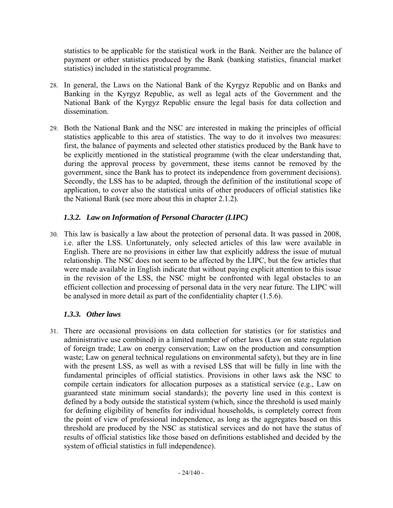statistics to be applicable for the statistical work in the Bank. Neither are the balance of payment or other statistics produced by the Bank (banking statistics, financial market statistics) included in the statistical programme.

- 28. In general, the Laws on the National Bank of the Kyrgyz Republic and on Banks and Banking in the Kyrgyz Republic, as well as legal acts of the Government and the National Bank of the Kyrgyz Republic ensure the legal basis for data collection and dissemination.
- 29. Both the National Bank and the NSC are interested in making the principles of official statistics applicable to this area of statistics. The way to do it involves two measures: first, the balance of payments and selected other statistics produced by the Bank have to be explicitly mentioned in the statistical programme (with the clear understanding that, during the approval process by government, these items cannot be removed by the government, since the Bank has to protect its independence from government decisions). Secondly, the LSS has to be adapted, through the definition of the institutional scope of application, to cover also the statistical units of other producers of official statistics like the National Bank (see more about this in chapter 2.1.2).

# *1.3.2. Law on Information of Personal Character (LIPC)*

<span id="page-23-0"></span>30. This law is basically a law about the protection of personal data. It was passed in 2008, i.e. after the LSS. Unfortunately, only selected articles of this law were available in English. There are no provisions in either law that explicitly address the issue of mutual relationship. The NSC does not seem to be affected by the LIPC, but the few articles that were made available in English indicate that without paying explicit attention to this issue in the revision of the LSS, the NSC might be confronted with legal obstacles to an efficient collection and processing of personal data in the very near future. The LIPC will be analysed in more detail as part of the confidentiality chapter (1.5.6).

# *1.3.3. Other laws*

<span id="page-23-1"></span>31. There are occasional provisions on data collection for statistics (or for statistics and administrative use combined) in a limited number of other laws (Law on state regulation of foreign trade; Law on energy conservation; Law on the production and consumption waste; Law on general technical regulations on environmental safety), but they are in line with the present LSS, as well as with a revised LSS that will be fully in line with the fundamental principles of official statistics. Provisions in other laws ask the NSC to compile certain indicators for allocation purposes as a statistical service (e.g., Law on guaranteed state minimum social standards); the poverty line used in this context is defined by a body outside the statistical system (which, since the threshold is used mainly for defining eligibility of benefits for individual households, is completely correct from the point of view of professional independence, as long as the aggregates based on this threshold are produced by the NSC as statistical services and do not have the status of results of official statistics like those based on definitions established and decided by the system of official statistics in full independence).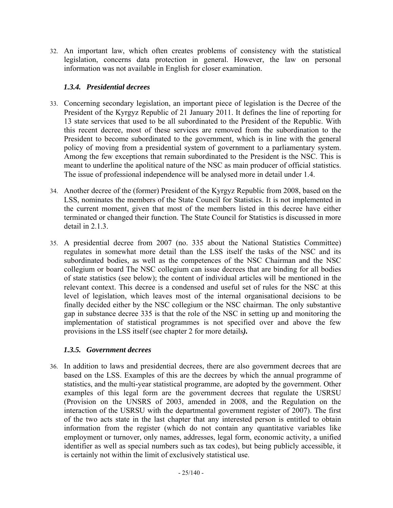32. An important law, which often creates problems of consistency with the statistical legislation, concerns data protection in general. However, the law on personal information was not available in English for closer examination.

# *1.3.4. Presidential decrees*

- <span id="page-24-0"></span>33. Concerning secondary legislation, an important piece of legislation is the Decree of the President of the Kyrgyz Republic of 21 January 2011. It defines the line of reporting for 13 state services that used to be all subordinated to the President of the Republic. With this recent decree, most of these services are removed from the subordination to the President to become subordinated to the government, which is in line with the general policy of moving from a presidential system of government to a parliamentary system. Among the few exceptions that remain subordinated to the President is the NSC. This is meant to underline the apolitical nature of the NSC as main producer of official statistics. The issue of professional independence will be analysed more in detail under 1.4.
- 34. Another decree of the (former) President of the Kyrgyz Republic from 2008, based on the LSS, nominates the members of the State Council for Statistics. It is not implemented in the current moment, given that most of the members listed in this decree have either terminated or changed their function. The State Council for Statistics is discussed in more detail in 2.1.3.
- <span id="page-24-1"></span>35. A presidential decree from 2007 (no. 335 about the National Statistics Committee) regulates in somewhat more detail than the LSS itself the tasks of the NSC and its subordinated bodies, as well as the competences of the NSC Chairman and the NSC collegium or board The NSC collegium can issue decrees that are binding for all bodies of state statistics (see below); the content of individual articles will be mentioned in the relevant context. This decree is a condensed and useful set of rules for the NSC at this level of legislation, which leaves most of the internal organisational decisions to be finally decided either by the NSC collegium or the NSC chairman. The only substantive gap in substance decree 335 is that the role of the NSC in setting up and monitoring the implementation of statistical programmes is not specified over and above the few provisions in the LSS itself (see chapter 2 for more details*).*

# *1.3.5. Government decrees*

36. In addition to laws and presidential decrees, there are also government decrees that are based on the LSS. Examples of this are the decrees by which the annual programme of statistics, and the multi-year statistical programme, are adopted by the government. Other examples of this legal form are the government decrees that regulate the USRSU (Provision on the UNSRS of 2003, amended in 2008, and the Regulation on the interaction of the USRSU with the departmental government register of 2007). The first of the two acts state in the last chapter that any interested person is entitled to obtain information from the register (which do not contain any quantitative variables like employment or turnover, only names, addresses, legal form, economic activity, a unified identifier as well as special numbers such as tax codes), but being publicly accessible, it is certainly not within the limit of exclusively statistical use.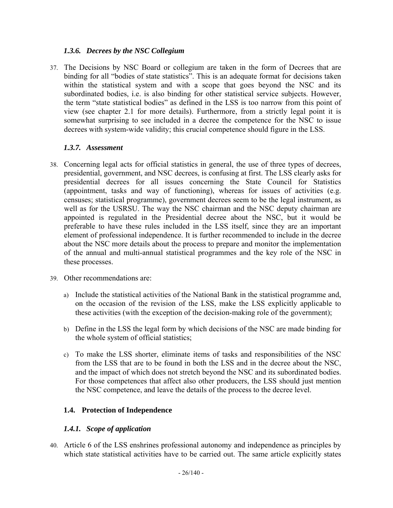### *1.3.6. Decrees by the NSC Collegium*

<span id="page-25-0"></span>37. The Decisions by NSC Board or collegium are taken in the form of Decrees that are binding for all "bodies of state statistics". This is an adequate format for decisions taken within the statistical system and with a scope that goes beyond the NSC and its subordinated bodies, i.e. is also binding for other statistical service subjects. However, the term "state statistical bodies" as defined in the LSS is too narrow from this point of view (see chapter 2.1 for more details). Furthermore, from a strictly legal point it is somewhat surprising to see included in a decree the competence for the NSC to issue decrees with system-wide validity; this crucial competence should figure in the LSS.

### *1.3.7. Assessment*

- <span id="page-25-1"></span>38. Concerning legal acts for official statistics in general, the use of three types of decrees, presidential, government, and NSC decrees, is confusing at first. The LSS clearly asks for presidential decrees for all issues concerning the State Council for Statistics (appointment, tasks and way of functioning), whereas for issues of activities (e.g. censuses; statistical programme), government decrees seem to be the legal instrument, as well as for the USRSU. The way the NSC chairman and the NSC deputy chairman are appointed is regulated in the Presidential decree about the NSC, but it would be preferable to have these rules included in the LSS itself, since they are an important element of professional independence. It is further recommended to include in the decree about the NSC more details about the process to prepare and monitor the implementation of the annual and multi-annual statistical programmes and the key role of the NSC in these processes.
- 39. Other recommendations are:
	- a) Include the statistical activities of the National Bank in the statistical programme and, on the occasion of the revision of the LSS, make the LSS explicitly applicable to these activities (with the exception of the decision-making role of the government);
	- b) Define in the LSS the legal form by which decisions of the NSC are made binding for the whole system of official statistics;
	- c) To make the LSS shorter, eliminate items of tasks and responsibilities of the NSC from the LSS that are to be found in both the LSS and in the decree about the NSC, and the impact of which does not stretch beyond the NSC and its subordinated bodies. For those competences that affect also other producers, the LSS should just mention the NSC competence, and leave the details of the process to the decree level.

# **1.4. Protection of Independence**

# *1.4.1. Scope of application*

<span id="page-25-3"></span><span id="page-25-2"></span>40. Article 6 of the LSS enshrines professional autonomy and independence as principles by which state statistical activities have to be carried out. The same article explicitly states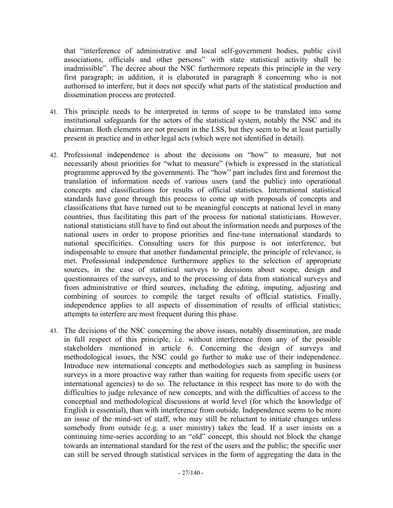that "interference of administrative and local self-government bodies, public civil associations, officials and other persons" with state statistical activity shall be inadmissible". The decree about the NSC furthermore repeats this principle in the very first paragraph; in addition, it is elaborated in paragraph 8 concerning who is not authorised to interfere, but it does not specify what parts of the statistical production and dissemination process are protected.

- 41. This principle needs to be interpreted in terms of scope to be translated into some institutional safeguards for the actors of the statistical system, notably the NSC and its chairman. Both elements are not present in the LSS, but they seem to be at least partially present in practice and in other legal acts (which were not identified in detail).
- 42. Professional independence is about the decisions on "how" to measure, but not necessarily about priorities for "what to measure" (which is expressed in the statistical programme approved by the government). The "how" part includes first and foremost the translation of information needs of various users (and the public) into operational concepts and classifications for results of official statistics. International statistical standards have gone through this process to come up with proposals of concepts and classifications that have turned out to be meaningful concepts at national level in many countries, thus facilitating this part of the process for national statisticians. However, national statisticians still have to find out about the information needs and purposes of the national users in order to propose priorities and fine-tune international standards to national specificities. Consulting users for this purpose is not interference, but indispensable to ensure that another fundamental principle, the principle of relevance, is met. Professional independence furthermore applies to the selection of appropriate sources, in the case of statistical surveys to decisions about scope, design and questionnaires of the surveys, and to the processing of data from statistical surveys and from administrative or third sources, including the editing, imputing, adjusting and combining of sources to compile the target results of official statistics. Finally, independence applies to all aspects of dissemination of results of official statistics; attempts to interfere are most frequent during this phase.
- 43. The decisions of the NSC concerning the above issues, notably dissemination, are made in full respect of this principle, i.e. without interference from any of the possible stakeholders mentioned in article 6. Concerning the design of surveys and methodological issues, the NSC could go further to make use of their independence. Introduce new international concepts and methodologies such as sampling in business surveys in a more proactive way rather than waiting for requests from specific users (or international agencies) to do so. The reluctance in this respect has more to do with the difficulties to judge relevance of new concepts, and with the difficulties of access to the conceptual and methodological discussions at world level (for which the knowledge of English is essential), than with interference from outside. Independence seems to be more an issue of the mind-set of staff, who may still be reluctant to initiate changes unless somebody from outside (e.g. a user ministry) takes the lead. If a user insists on a continuing time-series according to an "old" concept, this should not block the change towards an international standard for the rest of the users and the public; the specific user can still be served through statistical services in the form of aggregating the data in the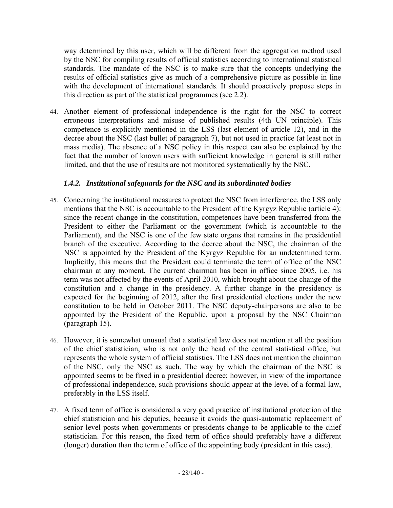way determined by this user, which will be different from the aggregation method used by the NSC for compiling results of official statistics according to international statistical standards. The mandate of the NSC is to make sure that the concepts underlying the results of official statistics give as much of a comprehensive picture as possible in line with the development of international standards. It should proactively propose steps in this direction as part of the statistical programmes (see 2.2).

44. Another element of professional independence is the right for the NSC to correct erroneous interpretations and misuse of published results (4th UN principle). This competence is explicitly mentioned in the LSS (last element of article 12), and in the decree about the NSC (last bullet of paragraph 7), but not used in practice (at least not in mass media). The absence of a NSC policy in this respect can also be explained by the fact that the number of known users with sufficient knowledge in general is still rather limited, and that the use of results are not monitored systematically by the NSC.

# *1.4.2. Institutional safeguards for the NSC and its subordinated bodies*

- <span id="page-27-0"></span>45. Concerning the institutional measures to protect the NSC from interference, the LSS only mentions that the NSC is accountable to the President of the Kyrgyz Republic (article 4): since the recent change in the constitution, competences have been transferred from the President to either the Parliament or the government (which is accountable to the Parliament), and the NSC is one of the few state organs that remains in the presidential branch of the executive. According to the decree about the NSC, the chairman of the NSC is appointed by the President of the Kyrgyz Republic for an undetermined term. Implicitly, this means that the President could terminate the term of office of the NSC chairman at any moment. The current chairman has been in office since 2005, i.e. his term was not affected by the events of April 2010, which brought about the change of the constitution and a change in the presidency. A further change in the presidency is expected for the beginning of 2012, after the first presidential elections under the new constitution to be held in October 2011. The NSC deputy-chairpersons are also to be appointed by the President of the Republic, upon a proposal by the NSC Chairman (paragraph 15).
- 46. However, it is somewhat unusual that a statistical law does not mention at all the position of the chief statistician, who is not only the head of the central statistical office, but represents the whole system of official statistics. The LSS does not mention the chairman of the NSC, only the NSC as such. The way by which the chairman of the NSC is appointed seems to be fixed in a presidential decree; however, in view of the importance of professional independence, such provisions should appear at the level of a formal law, preferably in the LSS itself.
- 47. A fixed term of office is considered a very good practice of institutional protection of the chief statistician and his deputies, because it avoids the quasi-automatic replacement of senior level posts when governments or presidents change to be applicable to the chief statistician. For this reason, the fixed term of office should preferably have a different (longer) duration than the term of office of the appointing body (president in this case).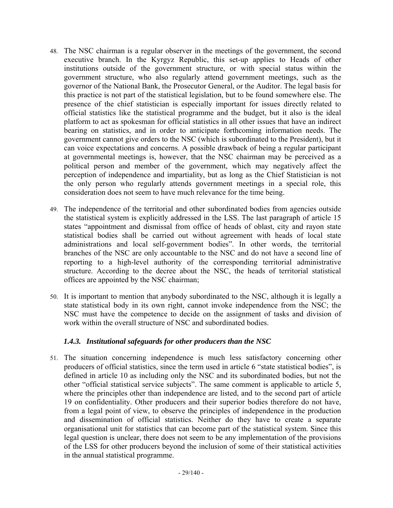- 48. The NSC chairman is a regular observer in the meetings of the government, the second executive branch. In the Kyrgyz Republic, this set-up applies to Heads of other institutions outside of the government structure, or with special status within the government structure, who also regularly attend government meetings, such as the governor of the National Bank, the Prosecutor General, or the Auditor. The legal basis for this practice is not part of the statistical legislation, but to be found somewhere else. The presence of the chief statistician is especially important for issues directly related to official statistics like the statistical programme and the budget, but it also is the ideal platform to act as spokesman for official statistics in all other issues that have an indirect bearing on statistics, and in order to anticipate forthcoming information needs. The government cannot give orders to the NSC (which is subordinated to the President), but it can voice expectations and concerns. A possible drawback of being a regular participant at governmental meetings is, however, that the NSC chairman may be perceived as a political person and member of the government, which may negatively affect the perception of independence and impartiality, but as long as the Chief Statistician is not the only person who regularly attends government meetings in a special role, this consideration does not seem to have much relevance for the time being.
- 49. The independence of the territorial and other subordinated bodies from agencies outside the statistical system is explicitly addressed in the LSS. The last paragraph of article 15 states "appointment and dismissal from office of heads of oblast, city and rayon state statistical bodies shall be carried out without agreement with heads of local state administrations and local self-government bodies". In other words, the territorial branches of the NSC are only accountable to the NSC and do not have a second line of reporting to a high-level authority of the corresponding territorial administrative structure. According to the decree about the NSC, the heads of territorial statistical offices are appointed by the NSC chairman;
- 50. It is important to mention that anybody subordinated to the NSC, although it is legally a state statistical body in its own right, cannot invoke independence from the NSC; the NSC must have the competence to decide on the assignment of tasks and division of work within the overall structure of NSC and subordinated bodies.

### *1.4.3. Institutional safeguards for other producers than the NSC*

<span id="page-28-0"></span>51. The situation concerning independence is much less satisfactory concerning other producers of official statistics, since the term used in article 6 "state statistical bodies", is defined in article 10 as including only the NSC and its subordinated bodies, but not the other "official statistical service subjects". The same comment is applicable to article 5, where the principles other than independence are listed, and to the second part of article 19 on confidentiality. Other producers and their superior bodies therefore do not have, from a legal point of view, to observe the principles of independence in the production and dissemination of official statistics. Neither do they have to create a separate organisational unit for statistics that can become part of the statistical system. Since this legal question is unclear, there does not seem to be any implementation of the provisions of the LSS for other producers beyond the inclusion of some of their statistical activities in the annual statistical programme.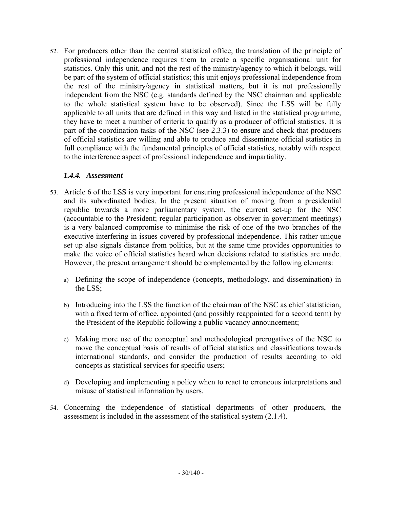52. For producers other than the central statistical office, the translation of the principle of professional independence requires them to create a specific organisational unit for statistics. Only this unit, and not the rest of the ministry/agency to which it belongs, will be part of the system of official statistics; this unit enjoys professional independence from the rest of the ministry/agency in statistical matters, but it is not professionally independent from the NSC (e.g. standards defined by the NSC chairman and applicable to the whole statistical system have to be observed). Since the LSS will be fully applicable to all units that are defined in this way and listed in the statistical programme, they have to meet a number of criteria to qualify as a producer of official statistics. It is part of the coordination tasks of the NSC (see 2.3.3) to ensure and check that producers of official statistics are willing and able to produce and disseminate official statistics in full compliance with the fundamental principles of official statistics, notably with respect to the interference aspect of professional independence and impartiality.

### *1.4.4. Assessment*

- <span id="page-29-0"></span>53. Article 6 of the LSS is very important for ensuring professional independence of the NSC and its subordinated bodies. In the present situation of moving from a presidential republic towards a more parliamentary system, the current set-up for the NSC (accountable to the President; regular participation as observer in government meetings) is a very balanced compromise to minimise the risk of one of the two branches of the executive interfering in issues covered by professional independence. This rather unique set up also signals distance from politics, but at the same time provides opportunities to make the voice of official statistics heard when decisions related to statistics are made. However, the present arrangement should be complemented by the following elements:
	- a) Defining the scope of independence (concepts, methodology, and dissemination) in the LSS;
	- b) Introducing into the LSS the function of the chairman of the NSC as chief statistician, with a fixed term of office, appointed (and possibly reappointed for a second term) by the President of the Republic following a public vacancy announcement;
	- c) Making more use of the conceptual and methodological prerogatives of the NSC to move the conceptual basis of results of official statistics and classifications towards international standards, and consider the production of results according to old concepts as statistical services for specific users;
	- d) Developing and implementing a policy when to react to erroneous interpretations and misuse of statistical information by users.
- 54. Concerning the independence of statistical departments of other producers, the assessment is included in the assessment of the statistical system (2.1.4).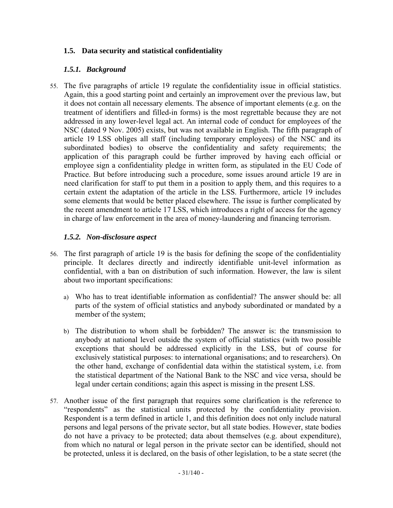## **1.5. Data security and statistical confidentiality**

### *1.5.1. Background*

<span id="page-30-1"></span><span id="page-30-0"></span>55. The five paragraphs of article 19 regulate the confidentiality issue in official statistics. Again, this a good starting point and certainly an improvement over the previous law, but it does not contain all necessary elements. The absence of important elements (e.g. on the treatment of identifiers and filled-in forms) is the most regrettable because they are not addressed in any lower-level legal act. An internal code of conduct for employees of the NSC (dated 9 Nov. 2005) exists, but was not available in English. The fifth paragraph of article 19 LSS obliges all staff (including temporary employees) of the NSC and its subordinated bodies) to observe the confidentiality and safety requirements; the application of this paragraph could be further improved by having each official or employee sign a confidentiality pledge in written form, as stipulated in the EU Code of Practice. But before introducing such a procedure, some issues around article 19 are in need clarification for staff to put them in a position to apply them, and this requires to a certain extent the adaptation of the article in the LSS. Furthermore, article 19 includes some elements that would be better placed elsewhere. The issue is further complicated by the recent amendment to article 17 LSS, which introduces a right of access for the agency in charge of law enforcement in the area of money-laundering and financing terrorism.

### *1.5.2. Non-disclosure aspect*

- <span id="page-30-2"></span>56. The first paragraph of article 19 is the basis for defining the scope of the confidentiality principle. It declares directly and indirectly identifiable unit-level information as confidential, with a ban on distribution of such information. However, the law is silent about two important specifications:
	- a) Who has to treat identifiable information as confidential? The answer should be: all parts of the system of official statistics and anybody subordinated or mandated by a member of the system;
	- b) The distribution to whom shall be forbidden? The answer is: the transmission to anybody at national level outside the system of official statistics (with two possible exceptions that should be addressed explicitly in the LSS, but of course for exclusively statistical purposes: to international organisations; and to researchers). On the other hand, exchange of confidential data within the statistical system, i.e. from the statistical department of the National Bank to the NSC and vice versa, should be legal under certain conditions; again this aspect is missing in the present LSS.
- 57. Another issue of the first paragraph that requires some clarification is the reference to "respondents" as the statistical units protected by the confidentiality provision. Respondent is a term defined in article 1, and this definition does not only include natural persons and legal persons of the private sector, but all state bodies. However, state bodies do not have a privacy to be protected; data about themselves (e.g. about expenditure), from which no natural or legal person in the private sector can be identified, should not be protected, unless it is declared, on the basis of other legislation, to be a state secret (the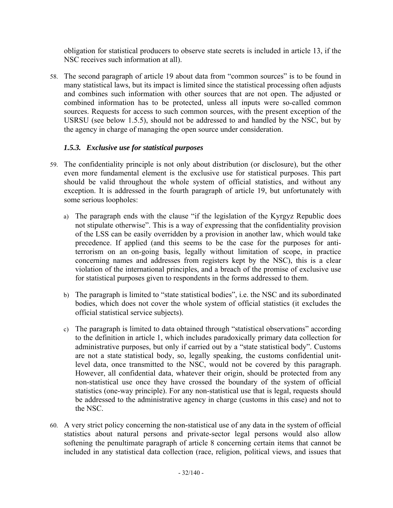obligation for statistical producers to observe state secrets is included in article 13, if the NSC receives such information at all).

58. The second paragraph of article 19 about data from "common sources" is to be found in many statistical laws, but its impact is limited since the statistical processing often adjusts and combines such information with other sources that are not open. The adjusted or combined information has to be protected, unless all inputs were so-called common sources. Requests for access to such common sources, with the present exception of the USRSU (see below 1.5.5), should not be addressed to and handled by the NSC, but by the agency in charge of managing the open source under consideration.

# *1.5.3. Exclusive use for statistical purposes*

- <span id="page-31-0"></span>59. The confidentiality principle is not only about distribution (or disclosure), but the other even more fundamental element is the exclusive use for statistical purposes. This part should be valid throughout the whole system of official statistics, and without any exception. It is addressed in the fourth paragraph of article 19, but unfortunately with some serious loopholes:
	- a) The paragraph ends with the clause "if the legislation of the Kyrgyz Republic does not stipulate otherwise". This is a way of expressing that the confidentiality provision of the LSS can be easily overridden by a provision in another law, which would take precedence. If applied (and this seems to be the case for the purposes for antiterrorism on an on-going basis, legally without limitation of scope, in practice concerning names and addresses from registers kept by the NSC), this is a clear violation of the international principles, and a breach of the promise of exclusive use for statistical purposes given to respondents in the forms addressed to them.
	- b) The paragraph is limited to "state statistical bodies", i.e. the NSC and its subordinated bodies, which does not cover the whole system of official statistics (it excludes the official statistical service subjects).
	- c) The paragraph is limited to data obtained through "statistical observations" according to the definition in article 1, which includes paradoxically primary data collection for administrative purposes, but only if carried out by a "state statistical body". Customs are not a state statistical body, so, legally speaking, the customs confidential unitlevel data, once transmitted to the NSC, would not be covered by this paragraph. However, all confidential data, whatever their origin, should be protected from any non-statistical use once they have crossed the boundary of the system of official statistics (one-way principle). For any non-statistical use that is legal, requests should be addressed to the administrative agency in charge (customs in this case) and not to the NSC.
- 60. A very strict policy concerning the non-statistical use of any data in the system of official statistics about natural persons and private-sector legal persons would also allow softening the penultimate paragraph of article 8 concerning certain items that cannot be included in any statistical data collection (race, religion, political views, and issues that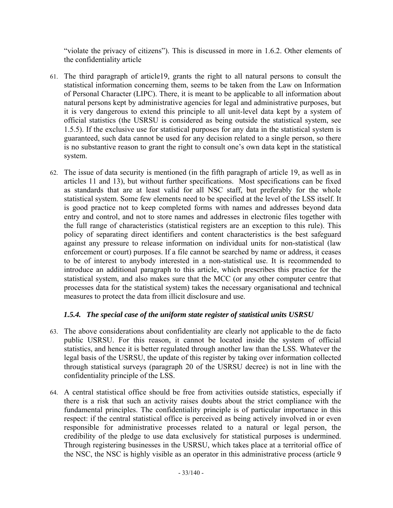"violate the privacy of citizens"). This is discussed in more in 1.6.2. Other elements of the confidentiality article

- 61. The third paragraph of article19, grants the right to all natural persons to consult the statistical information concerning them, seems to be taken from the Law on Information of Personal Character (LIPC). There, it is meant to be applicable to all information about natural persons kept by administrative agencies for legal and administrative purposes, but it is very dangerous to extend this principle to all unit-level data kept by a system of official statistics (the USRSU is considered as being outside the statistical system, see 1.5.5). If the exclusive use for statistical purposes for any data in the statistical system is guaranteed, such data cannot be used for any decision related to a single person, so there is no substantive reason to grant the right to consult one's own data kept in the statistical system.
- 62. The issue of data security is mentioned (in the fifth paragraph of article 19, as well as in articles 11 and 13), but without further specifications. Most specifications can be fixed as standards that are at least valid for all NSC staff, but preferably for the whole statistical system. Some few elements need to be specified at the level of the LSS itself. It is good practice not to keep completed forms with names and addresses beyond data entry and control, and not to store names and addresses in electronic files together with the full range of characteristics (statistical registers are an exception to this rule). This policy of separating direct identifiers and content characteristics is the best safeguard against any pressure to release information on individual units for non-statistical (law enforcement or court) purposes. If a file cannot be searched by name or address, it ceases to be of interest to anybody interested in a non-statistical use. It is recommended to introduce an additional paragraph to this article, which prescribes this practice for the statistical system, and also makes sure that the MCC (or any other computer centre that processes data for the statistical system) takes the necessary organisational and technical measures to protect the data from illicit disclosure and use.

# *1.5.4. The special case of the uniform state register of statistical units USRSU*

- <span id="page-32-0"></span>63. The above considerations about confidentiality are clearly not applicable to the de facto public USRSU. For this reason, it cannot be located inside the system of official statistics, and hence it is better regulated through another law than the LSS. Whatever the legal basis of the USRSU, the update of this register by taking over information collected through statistical surveys (paragraph 20 of the USRSU decree) is not in line with the confidentiality principle of the LSS.
- 64. A central statistical office should be free from activities outside statistics, especially if there is a risk that such an activity raises doubts about the strict compliance with the fundamental principles. The confidentiality principle is of particular importance in this respect: if the central statistical office is perceived as being actively involved in or even responsible for administrative processes related to a natural or legal person, the credibility of the pledge to use data exclusively for statistical purposes is undermined. Through registering businesses in the USRSU, which takes place at a territorial office of the NSC, the NSC is highly visible as an operator in this administrative process (article 9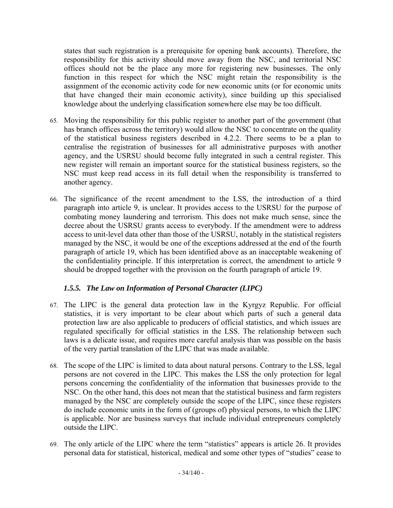states that such registration is a prerequisite for opening bank accounts). Therefore, the responsibility for this activity should move away from the NSC, and territorial NSC offices should not be the place any more for registering new businesses. The only function in this respect for which the NSC might retain the responsibility is the assignment of the economic activity code for new economic units (or for economic units that have changed their main economic activity), since building up this specialised knowledge about the underlying classification somewhere else may be too difficult.

- 65. Moving the responsibility for this public register to another part of the government (that has branch offices across the territory) would allow the NSC to concentrate on the quality of the statistical business registers described in 4.2.2. There seems to be a plan to centralise the registration of businesses for all administrative purposes with another agency, and the USRSU should become fully integrated in such a central register. This new register will remain an important source for the statistical business registers, so the NSC must keep read access in its full detail when the responsibility is transferred to another agency.
- 66. The significance of the recent amendment to the LSS, the introduction of a third paragraph into article 9, is unclear. It provides access to the USRSU for the purpose of combating money laundering and terrorism. This does not make much sense, since the decree about the USRSU grants access to everybody. If the amendment were to address access to unit-level data other than those of the USRSU, notably in the statistical registers managed by the NSC, it would be one of the exceptions addressed at the end of the fourth paragraph of article 19, which has been identified above as an inacceptable weakening of the confidentiality principle. If this interpretation is correct, the amendment to article 9 should be dropped together with the provision on the fourth paragraph of article 19.

# *1.5.5. The Law on Information of Personal Character (LIPC)*

- <span id="page-33-0"></span>67. The LIPC is the general data protection law in the Kyrgyz Republic. For official statistics, it is very important to be clear about which parts of such a general data protection law are also applicable to producers of official statistics, and which issues are regulated specifically for official statistics in the LSS. The relationship between such laws is a delicate issue, and requires more careful analysis than was possible on the basis of the very partial translation of the LIPC that was made available.
- 68. The scope of the LIPC is limited to data about natural persons. Contrary to the LSS, legal persons are not covered in the LIPC. This makes the LSS the only protection for legal persons concerning the confidentiality of the information that businesses provide to the NSC. On the other hand, this does not mean that the statistical business and farm registers managed by the NSC are completely outside the scope of the LIPC, since these registers do include economic units in the form of (groups of) physical persons, to which the LIPC is applicable. Nor are business surveys that include individual entrepreneurs completely outside the LIPC.
- 69. The only article of the LIPC where the term "statistics" appears is article 26. It provides personal data for statistical, historical, medical and some other types of "studies" cease to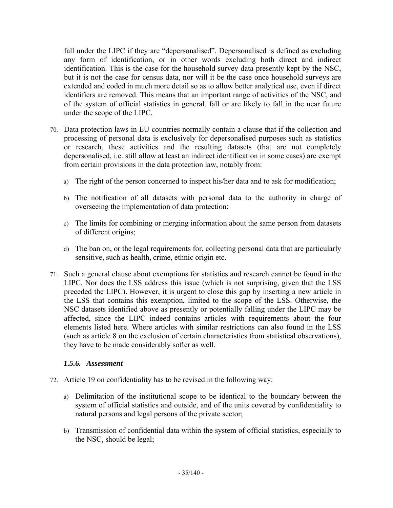fall under the LIPC if they are "depersonalised". Depersonalised is defined as excluding any form of identification, or in other words excluding both direct and indirect identification. This is the case for the household survey data presently kept by the NSC, but it is not the case for census data, nor will it be the case once household surveys are extended and coded in much more detail so as to allow better analytical use, even if direct identifiers are removed. This means that an important range of activities of the NSC, and of the system of official statistics in general, fall or are likely to fall in the near future under the scope of the LIPC.

- 70. Data protection laws in EU countries normally contain a clause that if the collection and processing of personal data is exclusively for depersonalised purposes such as statistics or research, these activities and the resulting datasets (that are not completely depersonalised, i.e. still allow at least an indirect identification in some cases) are exempt from certain provisions in the data protection law, notably from:
	- a) The right of the person concerned to inspect his/her data and to ask for modification;
	- b) The notification of all datasets with personal data to the authority in charge of overseeing the implementation of data protection;
	- c) The limits for combining or merging information about the same person from datasets of different origins;
	- d) The ban on, or the legal requirements for, collecting personal data that are particularly sensitive, such as health, crime, ethnic origin etc.
- 71. Such a general clause about exemptions for statistics and research cannot be found in the LIPC. Nor does the LSS address this issue (which is not surprising, given that the LSS preceded the LIPC). However, it is urgent to close this gap by inserting a new article in the LSS that contains this exemption, limited to the scope of the LSS. Otherwise, the NSC datasets identified above as presently or potentially falling under the LIPC may be affected, since the LIPC indeed contains articles with requirements about the four elements listed here. Where articles with similar restrictions can also found in the LSS (such as article 8 on the exclusion of certain characteristics from statistical observations), they have to be made considerably softer as well.

### *1.5.6. Assessment*

- <span id="page-34-0"></span>72. Article 19 on confidentiality has to be revised in the following way:
	- a) Delimitation of the institutional scope to be identical to the boundary between the system of official statistics and outside, and of the units covered by confidentiality to natural persons and legal persons of the private sector;
	- b) Transmission of confidential data within the system of official statistics, especially to the NSC, should be legal;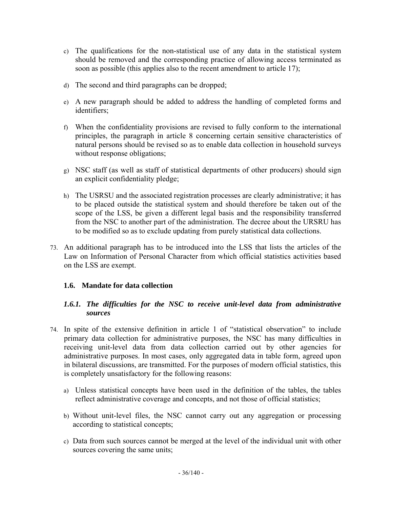- c) The qualifications for the non-statistical use of any data in the statistical system should be removed and the corresponding practice of allowing access terminated as soon as possible (this applies also to the recent amendment to article 17);
- d) The second and third paragraphs can be dropped;
- e) A new paragraph should be added to address the handling of completed forms and identifiers;
- f) When the confidentiality provisions are revised to fully conform to the international principles, the paragraph in article 8 concerning certain sensitive characteristics of natural persons should be revised so as to enable data collection in household surveys without response obligations;
- g) NSC staff (as well as staff of statistical departments of other producers) should sign an explicit confidentiality pledge;
- h) The USRSU and the associated registration processes are clearly administrative; it has to be placed outside the statistical system and should therefore be taken out of the scope of the LSS, be given a different legal basis and the responsibility transferred from the NSC to another part of the administration. The decree about the URSRU has to be modified so as to exclude updating from purely statistical data collections.
- <span id="page-35-0"></span>73. An additional paragraph has to be introduced into the LSS that lists the articles of the Law on Information of Personal Character from which official statistics activities based on the LSS are exempt.

### **1.6. Mandate for data collection**

### *1.6.1. The difficulties for the NSC to receive unit-level data from administrative sources*

- <span id="page-35-1"></span>74. In spite of the extensive definition in article 1 of "statistical observation" to include primary data collection for administrative purposes, the NSC has many difficulties in receiving unit-level data from data collection carried out by other agencies for administrative purposes. In most cases, only aggregated data in table form, agreed upon in bilateral discussions, are transmitted. For the purposes of modern official statistics, this is completely unsatisfactory for the following reasons:
	- a) Unless statistical concepts have been used in the definition of the tables, the tables reflect administrative coverage and concepts, and not those of official statistics;
	- b) Without unit-level files, the NSC cannot carry out any aggregation or processing according to statistical concepts;
	- c) Data from such sources cannot be merged at the level of the individual unit with other sources covering the same units;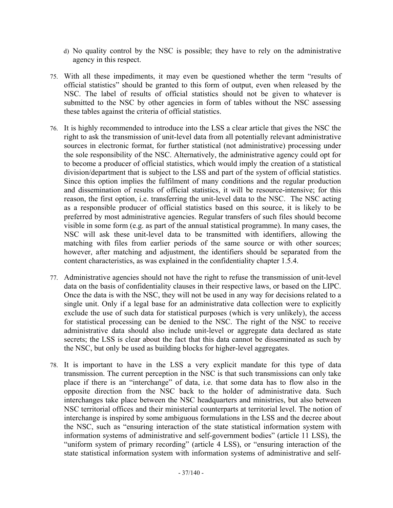- d) No quality control by the NSC is possible; they have to rely on the administrative agency in this respect.
- 75. With all these impediments, it may even be questioned whether the term "results of official statistics" should be granted to this form of output, even when released by the NSC. The label of results of official statistics should not be given to whatever is submitted to the NSC by other agencies in form of tables without the NSC assessing these tables against the criteria of official statistics.
- 76. It is highly recommended to introduce into the LSS a clear article that gives the NSC the right to ask the transmission of unit-level data from all potentially relevant administrative sources in electronic format, for further statistical (not administrative) processing under the sole responsibility of the NSC. Alternatively, the administrative agency could opt for to become a producer of official statistics, which would imply the creation of a statistical division/department that is subject to the LSS and part of the system of official statistics. Since this option implies the fulfilment of many conditions and the regular production and dissemination of results of official statistics, it will be resource-intensive; for this reason, the first option, i.e. transferring the unit-level data to the NSC. The NSC acting as a responsible producer of official statistics based on this source, it is likely to be preferred by most administrative agencies. Regular transfers of such files should become visible in some form (e.g. as part of the annual statistical programme). In many cases, the NSC will ask these unit-level data to be transmitted with identifiers, allowing the matching with files from earlier periods of the same source or with other sources; however, after matching and adjustment, the identifiers should be separated from the content characteristics, as was explained in the confidentiality chapter 1.5.4.
- 77. Administrative agencies should not have the right to refuse the transmission of unit-level data on the basis of confidentiality clauses in their respective laws, or based on the LIPC. Once the data is with the NSC, they will not be used in any way for decisions related to a single unit. Only if a legal base for an administrative data collection were to explicitly exclude the use of such data for statistical purposes (which is very unlikely), the access for statistical processing can be denied to the NSC. The right of the NSC to receive administrative data should also include unit-level or aggregate data declared as state secrets; the LSS is clear about the fact that this data cannot be disseminated as such by the NSC, but only be used as building blocks for higher-level aggregates.
- 78. It is important to have in the LSS a very explicit mandate for this type of data transmission. The current perception in the NSC is that such transmissions can only take place if there is an "interchange" of data, i.e. that some data has to flow also in the opposite direction from the NSC back to the holder of administrative data. Such interchanges take place between the NSC headquarters and ministries, but also between NSC territorial offices and their ministerial counterparts at territorial level. The notion of interchange is inspired by some ambiguous formulations in the LSS and the decree about the NSC, such as "ensuring interaction of the state statistical information system with information systems of administrative and self-government bodies" (article 11 LSS), the "uniform system of primary recording" (article 4 LSS), or "ensuring interaction of the state statistical information system with information systems of administrative and self-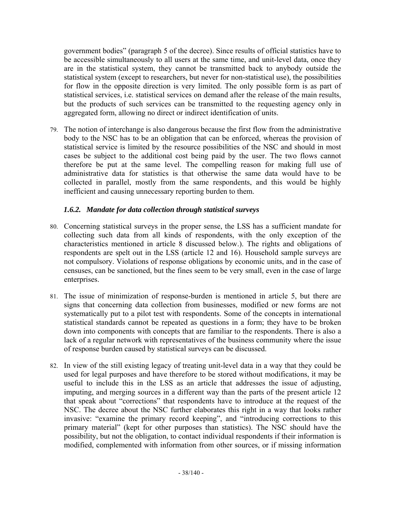government bodies" (paragraph 5 of the decree). Since results of official statistics have to be accessible simultaneously to all users at the same time, and unit-level data, once they are in the statistical system, they cannot be transmitted back to anybody outside the statistical system (except to researchers, but never for non-statistical use), the possibilities for flow in the opposite direction is very limited. The only possible form is as part of statistical services, i.e. statistical services on demand after the release of the main results, but the products of such services can be transmitted to the requesting agency only in aggregated form, allowing no direct or indirect identification of units.

79. The notion of interchange is also dangerous because the first flow from the administrative body to the NSC has to be an obligation that can be enforced, whereas the provision of statistical service is limited by the resource possibilities of the NSC and should in most cases be subject to the additional cost being paid by the user. The two flows cannot therefore be put at the same level. The compelling reason for making full use of administrative data for statistics is that otherwise the same data would have to be collected in parallel, mostly from the same respondents, and this would be highly inefficient and causing unnecessary reporting burden to them.

## *1.6.2. Mandate for data collection through statistical surveys*

- 80. Concerning statistical surveys in the proper sense, the LSS has a sufficient mandate for collecting such data from all kinds of respondents, with the only exception of the characteristics mentioned in article 8 discussed below.). The rights and obligations of respondents are spelt out in the LSS (article 12 and 16). Household sample surveys are not compulsory. Violations of response obligations by economic units, and in the case of censuses, can be sanctioned, but the fines seem to be very small, even in the case of large enterprises.
- 81. The issue of minimization of response-burden is mentioned in article 5, but there are signs that concerning data collection from businesses, modified or new forms are not systematically put to a pilot test with respondents. Some of the concepts in international statistical standards cannot be repeated as questions in a form; they have to be broken down into components with concepts that are familiar to the respondents. There is also a lack of a regular network with representatives of the business community where the issue of response burden caused by statistical surveys can be discussed.
- 82. In view of the still existing legacy of treating unit-level data in a way that they could be used for legal purposes and have therefore to be stored without modifications, it may be useful to include this in the LSS as an article that addresses the issue of adjusting, imputing, and merging sources in a different way than the parts of the present article 12 that speak about "corrections" that respondents have to introduce at the request of the NSC. The decree about the NSC further elaborates this right in a way that looks rather invasive: "examine the primary record keeping", and "introducing corrections to this primary material" (kept for other purposes than statistics). The NSC should have the possibility, but not the obligation, to contact individual respondents if their information is modified, complemented with information from other sources, or if missing information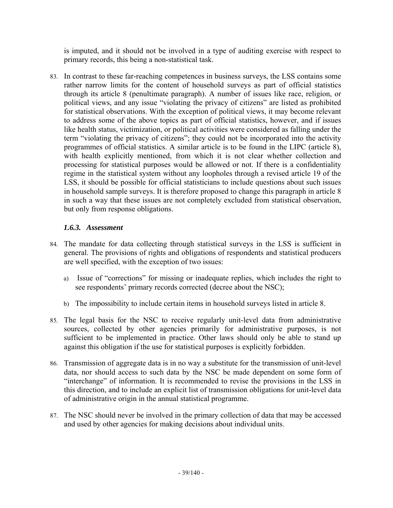is imputed, and it should not be involved in a type of auditing exercise with respect to primary records, this being a non-statistical task.

83. In contrast to these far-reaching competences in business surveys, the LSS contains some rather narrow limits for the content of household surveys as part of official statistics through its article 8 (penultimate paragraph). A number of issues like race, religion, or political views, and any issue "violating the privacy of citizens" are listed as prohibited for statistical observations. With the exception of political views, it may become relevant to address some of the above topics as part of official statistics, however, and if issues like health status, victimization, or political activities were considered as falling under the term "violating the privacy of citizens"; they could not be incorporated into the activity programmes of official statistics. A similar article is to be found in the LIPC (article 8), with health explicitly mentioned, from which it is not clear whether collection and processing for statistical purposes would be allowed or not. If there is a confidentiality regime in the statistical system without any loopholes through a revised article 19 of the LSS, it should be possible for official statisticians to include questions about such issues in household sample surveys. It is therefore proposed to change this paragraph in article 8 in such a way that these issues are not completely excluded from statistical observation, but only from response obligations.

### *1.6.3. Assessment*

- 84. The mandate for data collecting through statistical surveys in the LSS is sufficient in general. The provisions of rights and obligations of respondents and statistical producers are well specified, with the exception of two issues:
	- a) Issue of "corrections" for missing or inadequate replies, which includes the right to see respondents' primary records corrected (decree about the NSC);
	- b) The impossibility to include certain items in household surveys listed in article 8.
- 85. The legal basis for the NSC to receive regularly unit-level data from administrative sources, collected by other agencies primarily for administrative purposes, is not sufficient to be implemented in practice. Other laws should only be able to stand up against this obligation if the use for statistical purposes is explicitly forbidden.
- 86. Transmission of aggregate data is in no way a substitute for the transmission of unit-level data, nor should access to such data by the NSC be made dependent on some form of "interchange" of information. It is recommended to revise the provisions in the LSS in this direction, and to include an explicit list of transmission obligations for unit-level data of administrative origin in the annual statistical programme.
- 87. The NSC should never be involved in the primary collection of data that may be accessed and used by other agencies for making decisions about individual units.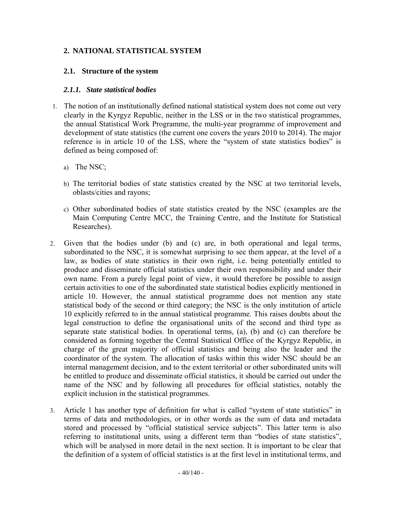### **2. NATIONAL STATISTICAL SYSTEM**

#### **2.1. Structure of the system**

#### *2.1.1. State statistical bodies*

- 1. The notion of an institutionally defined national statistical system does not come out very clearly in the Kyrgyz Republic, neither in the LSS or in the two statistical programmes, the annual Statistical Work Programme, the multi-year programme of improvement and development of state statistics (the current one covers the years 2010 to 2014). The major reference is in article 10 of the LSS, where the "system of state statistics bodies" is defined as being composed of:
	- a) The NSC;
	- b) The territorial bodies of state statistics created by the NSC at two territorial levels, oblasts/cities and rayons;
	- c) Other subordinated bodies of state statistics created by the NSC (examples are the Main Computing Centre MCC, the Training Centre, and the Institute for Statistical Researches).
- 2. Given that the bodies under (b) and (c) are, in both operational and legal terms, subordinated to the NSC, it is somewhat surprising to see them appear, at the level of a law, as bodies of state statistics in their own right, i.e. being potentially entitled to produce and disseminate official statistics under their own responsibility and under their own name. From a purely legal point of view, it would therefore be possible to assign certain activities to one of the subordinated state statistical bodies explicitly mentioned in article 10. However, the annual statistical programme does not mention any state statistical body of the second or third category; the NSC is the only institution of article 10 explicitly referred to in the annual statistical programme. This raises doubts about the legal construction to define the organisational units of the second and third type as separate state statistical bodies. In operational terms, (a), (b) and (c) can therefore be considered as forming together the Central Statistical Office of the Kyrgyz Republic, in charge of the great majority of official statistics and being also the leader and the coordinator of the system. The allocation of tasks within this wider NSC should be an internal management decision, and to the extent territorial or other subordinated units will be entitled to produce and disseminate official statistics, it should be carried out under the name of the NSC and by following all procedures for official statistics, notably the explicit inclusion in the statistical programmes.
- 3. Article 1 has another type of definition for what is called "system of state statistics" in terms of data and methodologies, or in other words as the sum of data and metadata stored and processed by "official statistical service subjects". This latter term is also referring to institutional units, using a different term than "bodies of state statistics", which will be analysed in more detail in the next section. It is important to be clear that the definition of a system of official statistics is at the first level in institutional terms, and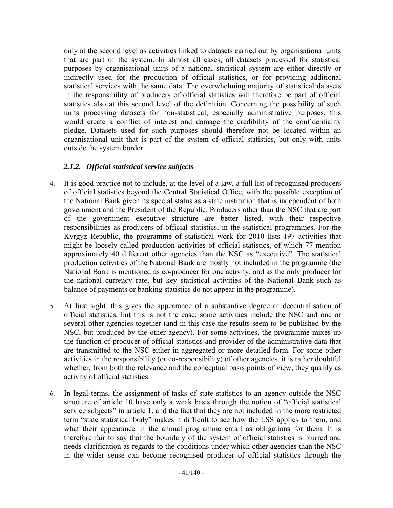only at the second level as activities linked to datasets carried out by organisational units that are part of the system. In almost all cases, all datasets processed for statistical purposes by organisational units of a national statistical system are either directly or indirectly used for the production of official statistics, or for providing additional statistical services with the same data. The overwhelming majority of statistical datasets in the responsibility of producers of official statistics will therefore be part of official statistics also at this second level of the definition. Concerning the possibility of such units processing datasets for non-statistical, especially administrative purposes, this would create a conflict of interest and damage the credibility of the confidentiality pledge. Datasets used for such purposes should therefore not be located within an organisational unit that is part of the system of official statistics, but only with units outside the system border.

## *2.1.2. Official statistical service subjects*

- 4. It is good practice not to include, at the level of a law, a full list of recognised producers of official statistics beyond the Central Statistical Office, with the possible exception of the National Bank given its special status as a state institution that is independent of both government and the President of the Republic. Producers other than the NSC that are part of the government executive structure are better listed, with their respective responsibilities as producers of official statistics, in the statistical programmes. For the Kyrgyz Republic, the programme of statistical work for 2010 lists 197 activities that might be loosely called production activities of official statistics, of which 77 mention approximately 40 different other agencies than the NSC as "executive". The statistical production activities of the National Bank are mostly not included in the programme (the National Bank is mentioned as co-producer for one activity, and as the only producer for the national currency rate, but key statistical activities of the National Bank such as balance of payments or banking statistics do not appear in the programme).
- 5. At first sight, this gives the appearance of a substantive degree of decentralisation of official statistics, but this is not the case: some activities include the NSC and one or several other agencies together (and in this case the results seem to be published by the NSC, but produced by the other agency). For some activities, the programme mixes up the function of producer of official statistics and provider of the administrative data that are transmitted to the NSC either in aggregated or more detailed form. For some other activities in the responsibility (or co-responsibility) of other agencies, it is rather doubtful whether, from both the relevance and the conceptual basis points of view, they qualify as activity of official statistics.
- 6. In legal terms, the assignment of tasks of state statistics to an agency outside the NSC structure of article 10 have only a weak basis through the notion of "official statistical service subjects" in article 1, and the fact that they are not included in the more restricted term "state statistical body" makes it difficult to see how the LSS applies to them, and what their appearance in the annual programme entail as obligations for them. It is therefore fair to say that the boundary of the system of official statistics is blurred and needs clarification as regards to the conditions under which other agencies than the NSC in the wider sense can become recognised producer of official statistics through the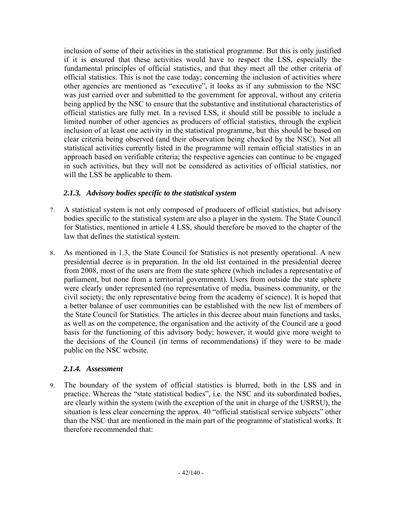inclusion of some of their activities in the statistical programme. But this is only justified if it is ensured that these activities would have to respect the LSS, especially the fundamental principles of official statistics, and that they meet all the other criteria of official statistics. This is not the case today; concerning the inclusion of activities where other agencies are mentioned as "executive", it looks as if any submission to the NSC was just carried over and submitted to the government for approval, without any criteria being applied by the NSC to ensure that the substantive and institutional characteristics of official statistics are fully met. In a revised LSS, it should still be possible to include a limited number of other agencies as producers of official statistics, through the explicit inclusion of at least one activity in the statistical programme, but this should be based on clear criteria being observed (and their observation being checked by the NSC). Not all statistical activities currently listed in the programme will remain official statistics in an approach based on verifiable criteria; the respective agencies can continue to be engaged in such activities, but they will not be considered as activities of official statistics, nor will the LSS be applicable to them.

### *2.1.3. Advisory bodies specific to the statistical system*

- 7. A statistical system is not only composed of producers of official statistics, but advisory bodies specific to the statistical system are also a player in the system. The State Council for Statistics, mentioned in article 4 LSS, should therefore be moved to the chapter of the law that defines the statistical system.
- 8. As mentioned in 1.3, the State Council for Statistics is not presently operational. A new presidential decree is in preparation. In the old list contained in the presidential decree from 2008, most of the users are from the state sphere (which includes a representative of parliament, but none from a territorial government). Users from outside the state sphere were clearly under represented (no representative of media, business community, or the civil society; the only representative being from the academy of science). It is hoped that a better balance of user communities can be established with the new list of members of the State Council for Statistics. The articles in this decree about main functions and tasks, as well as on the competence, the organisation and the activity of the Council are a good basis for the functioning of this advisory body; however, it would give more weight to the decisions of the Council (in terms of recommendations) if they were to be made public on the NSC website.

## *2.1.4. Assessment*

9. The boundary of the system of official statistics is blurred, both in the LSS and in practice. Whereas the "state statistical bodies", i.e. the NSC and its subordinated bodies, are clearly within the system (with the exception of the unit in charge of the USRSU), the situation is less clear concerning the approx. 40 "official statistical service subjects" other than the NSC that are mentioned in the main part of the programme of statistical works. It therefore recommended that: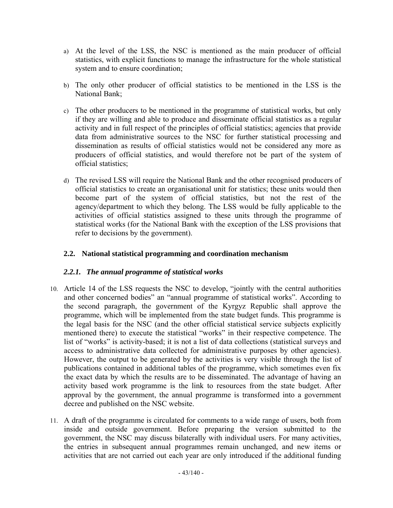- a) At the level of the LSS, the NSC is mentioned as the main producer of official statistics, with explicit functions to manage the infrastructure for the whole statistical system and to ensure coordination;
- b) The only other producer of official statistics to be mentioned in the LSS is the National Bank;
- c) The other producers to be mentioned in the programme of statistical works, but only if they are willing and able to produce and disseminate official statistics as a regular activity and in full respect of the principles of official statistics; agencies that provide data from administrative sources to the NSC for further statistical processing and dissemination as results of official statistics would not be considered any more as producers of official statistics, and would therefore not be part of the system of official statistics;
- d) The revised LSS will require the National Bank and the other recognised producers of official statistics to create an organisational unit for statistics; these units would then become part of the system of official statistics, but not the rest of the agency/department to which they belong. The LSS would be fully applicable to the activities of official statistics assigned to these units through the programme of statistical works (for the National Bank with the exception of the LSS provisions that refer to decisions by the government).

### **2.2. National statistical programming and coordination mechanism**

## *2.2.1. The annual programme of statistical works*

- 10. Article 14 of the LSS requests the NSC to develop, "jointly with the central authorities and other concerned bodies" an "annual programme of statistical works". According to the second paragraph, the government of the Kyrgyz Republic shall approve the programme, which will be implemented from the state budget funds. This programme is the legal basis for the NSC (and the other official statistical service subjects explicitly mentioned there) to execute the statistical "works" in their respective competence. The list of "works" is activity-based; it is not a list of data collections (statistical surveys and access to administrative data collected for administrative purposes by other agencies). However, the output to be generated by the activities is very visible through the list of publications contained in additional tables of the programme, which sometimes even fix the exact data by which the results are to be disseminated. The advantage of having an activity based work programme is the link to resources from the state budget. After approval by the government, the annual programme is transformed into a government decree and published on the NSC website.
- 11. A draft of the programme is circulated for comments to a wide range of users, both from inside and outside government. Before preparing the version submitted to the government, the NSC may discuss bilaterally with individual users. For many activities, the entries in subsequent annual programmes remain unchanged, and new items or activities that are not carried out each year are only introduced if the additional funding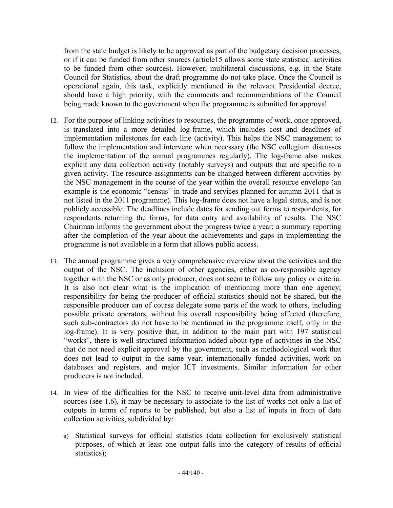from the state budget is likely to be approved as part of the budgetary decision processes, or if it can be funded from other sources (article15 allows some state statistical activities to be funded from other sources). However, multilateral discussions, e.g. in the State Council for Statistics, about the draft programme do not take place. Once the Council is operational again, this task, explicitly mentioned in the relevant Presidential decree, should have a high priority, with the comments and recommendations of the Council being made known to the government when the programme is submitted for approval.

- 12. For the purpose of linking activities to resources, the programme of work, once approved, is translated into a more detailed log-frame, which includes cost and deadlines of implementation milestones for each line (activity). This helps the NSC management to follow the implementation and intervene when necessary (the NSC collegium discusses the implementation of the annual programmes regularly). The log-frame also makes explicit any data collection activity (notably surveys) and outputs that are specific to a given activity. The resource assignments can be changed between different activities by the NSC management in the course of the year within the overall resource envelope (an example is the economic "census" in trade and services planned for autumn 2011 that is not listed in the 2011 programme). This log-frame does not have a legal status, and is not publicly accessible. The deadlines include dates for sending out forms to respondents, for respondents returning the forms, for data entry and availability of results. The NSC Chairman informs the government about the progress twice a year; a summary reporting after the completion of the year about the achievements and gaps in implementing the programme is not available in a form that allows public access.
- 13. The annual programme gives a very comprehensive overview about the activities and the output of the NSC. The inclusion of other agencies, either as co-responsible agency together with the NSC or as only producer, does not seem to follow any policy or criteria. It is also not clear what is the implication of mentioning more than one agency; responsibility for being the producer of official statistics should not be shared, but the responsible producer can of course delegate some parts of the work to others, including possible private operators, without his overall responsibility being affected (therefore, such sub-contractors do not have to be mentioned in the programme itself, only in the log-frame). It is very positive that, in addition to the main part with 197 statistical "works", there is well structured information added about type of activities in the NSC that do not need explicit approval by the government, such as methodological work that does not lead to output in the same year, internationally funded activities, work on databases and registers, and major ICT investments. Similar information for other producers is not included.
- 14. In view of the difficulties for the NSC to receive unit-level data from administrative sources (see 1.6), it may be necessary to associate to the list of works not only a list of outputs in terms of reports to be published, but also a list of inputs in from of data collection activities, subdivided by:
	- a) Statistical surveys for official statistics (data collection for exclusively statistical purposes, of which at least one output falls into the category of results of official statistics);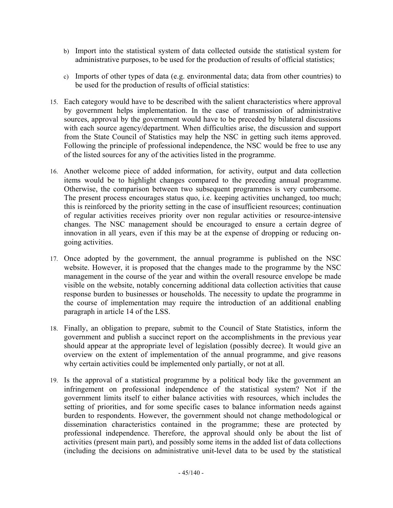- b) Import into the statistical system of data collected outside the statistical system for administrative purposes, to be used for the production of results of official statistics;
- c) Imports of other types of data (e.g. environmental data; data from other countries) to be used for the production of results of official statistics:
- 15. Each category would have to be described with the salient characteristics where approval by government helps implementation. In the case of transmission of administrative sources, approval by the government would have to be preceded by bilateral discussions with each source agency/department. When difficulties arise, the discussion and support from the State Council of Statistics may help the NSC in getting such items approved. Following the principle of professional independence, the NSC would be free to use any of the listed sources for any of the activities listed in the programme.
- 16. Another welcome piece of added information, for activity, output and data collection items would be to highlight changes compared to the preceding annual programme. Otherwise, the comparison between two subsequent programmes is very cumbersome. The present process encourages status quo, i.e. keeping activities unchanged, too much; this is reinforced by the priority setting in the case of insufficient resources; continuation of regular activities receives priority over non regular activities or resource-intensive changes. The NSC management should be encouraged to ensure a certain degree of innovation in all years, even if this may be at the expense of dropping or reducing ongoing activities.
- 17. Once adopted by the government, the annual programme is published on the NSC website. However, it is proposed that the changes made to the programme by the NSC management in the course of the year and within the overall resource envelope be made visible on the website, notably concerning additional data collection activities that cause response burden to businesses or households. The necessity to update the programme in the course of implementation may require the introduction of an additional enabling paragraph in article 14 of the LSS.
- 18. Finally, an obligation to prepare, submit to the Council of State Statistics, inform the government and publish a succinct report on the accomplishments in the previous year should appear at the appropriate level of legislation (possibly decree). It would give an overview on the extent of implementation of the annual programme, and give reasons why certain activities could be implemented only partially, or not at all.
- 19. Is the approval of a statistical programme by a political body like the government an infringement on professional independence of the statistical system? Not if the government limits itself to either balance activities with resources, which includes the setting of priorities, and for some specific cases to balance information needs against burden to respondents. However, the government should not change methodological or dissemination characteristics contained in the programme; these are protected by professional independence. Therefore, the approval should only be about the list of activities (present main part), and possibly some items in the added list of data collections (including the decisions on administrative unit-level data to be used by the statistical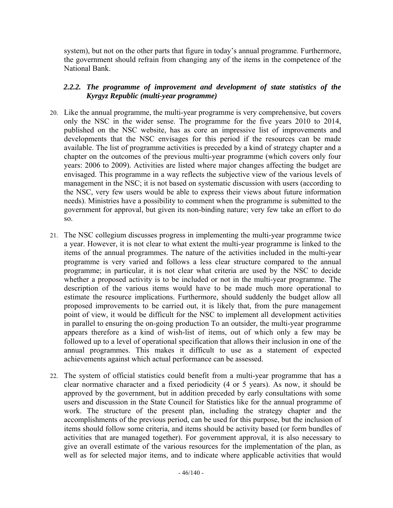system), but not on the other parts that figure in today's annual programme. Furthermore, the government should refrain from changing any of the items in the competence of the National Bank.

### *2.2.2. The programme of improvement and development of state statistics of the Kyrgyz Republic (multi-year programme)*

- 20. Like the annual programme, the multi-year programme is very comprehensive, but covers only the NSC in the wider sense. The programme for the five years 2010 to 2014, published on the NSC website, has as core an impressive list of improvements and developments that the NSC envisages for this period if the resources can be made available. The list of programme activities is preceded by a kind of strategy chapter and a chapter on the outcomes of the previous multi-year programme (which covers only four years: 2006 to 2009). Activities are listed where major changes affecting the budget are envisaged. This programme in a way reflects the subjective view of the various levels of management in the NSC; it is not based on systematic discussion with users (according to the NSC, very few users would be able to express their views about future information needs). Ministries have a possibility to comment when the programme is submitted to the government for approval, but given its non-binding nature; very few take an effort to do so.
- 21. The NSC collegium discusses progress in implementing the multi-year programme twice a year. However, it is not clear to what extent the multi-year programme is linked to the items of the annual programmes. The nature of the activities included in the multi-year programme is very varied and follows a less clear structure compared to the annual programme; in particular, it is not clear what criteria are used by the NSC to decide whether a proposed activity is to be included or not in the multi-year programme. The description of the various items would have to be made much more operational to estimate the resource implications. Furthermore, should suddenly the budget allow all proposed improvements to be carried out, it is likely that, from the pure management point of view, it would be difficult for the NSC to implement all development activities in parallel to ensuring the on-going production To an outsider, the multi-year programme appears therefore as a kind of wish-list of items, out of which only a few may be followed up to a level of operational specification that allows their inclusion in one of the annual programmes. This makes it difficult to use as a statement of expected achievements against which actual performance can be assessed.
- 22. The system of official statistics could benefit from a multi-year programme that has a clear normative character and a fixed periodicity (4 or 5 years). As now, it should be approved by the government, but in addition preceded by early consultations with some users and discussion in the State Council for Statistics like for the annual programme of work. The structure of the present plan, including the strategy chapter and the accomplishments of the previous period, can be used for this purpose, but the inclusion of items should follow some criteria, and items should be activity based (or form bundles of activities that are managed together). For government approval, it is also necessary to give an overall estimate of the various resources for the implementation of the plan, as well as for selected major items, and to indicate where applicable activities that would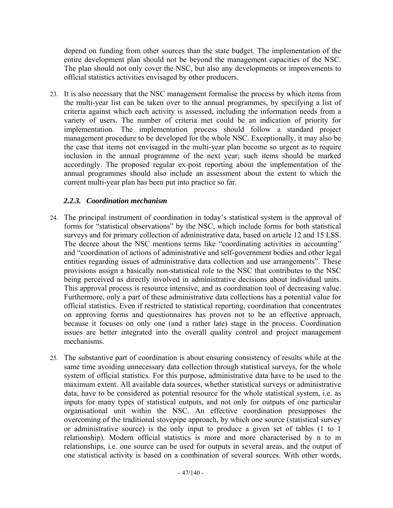depend on funding from other sources than the state budget. The implementation of the entire development plan should not be beyond the management capacities of the NSC. The plan should not only cover the NSC, but also any developments or improvements to official statistics activities envisaged by other producers.

23. It is also necessary that the NSC management formalise the process by which items from the multi-year list can be taken over to the annual programmes, by specifying a list of criteria against which each activity is assessed, including the information needs from a variety of users. The number of criteria met could be an indication of priority for implementation. The implementation process should follow a standard project management procedure to be developed for the whole NSC. Exceptionally, it may also be the case that items not envisaged in the multi-year plan become so urgent as to require inclusion in the annual programme of the next year; such items should be marked accordingly. The proposed regular ex-post reporting about the implementation of the annual programmes should also include an assessment about the extent to which the current multi-year plan has been put into practice so far.

### *2.2.3. Coordination mechanism*

- 24. The principal instrument of coordination in today's statistical system is the approval of forms for "statistical observations" by the NSC, which include forms for both statistical surveys and for primary collection of administrative data, based on article 12 and 15 LSS. The decree about the NSC mentions terms like "coordinating activities in accounting" and "coordination of actions of administrative and self-government bodies and other legal entities regarding issues of administrative data collection and use arrangements". These provisions assign a basically non-statistical role to the NSC that contributes to the NSC being perceived as directly involved in administrative decisions about individual units. This approval process is resource intensive, and as coordination tool of decreasing value. Furthermore, only a part of these administrative data collections has a potential value for official statistics. Even if restricted to statistical reporting, coordination that concentrates on approving forms and questionnaires has proven not to be an effective approach, because it focuses on only one (and a rather late) stage in the process. Coordination issues are better integrated into the overall quality control and project management mechanisms.
- 25. The substantive part of coordination is about ensuring consistency of results while at the same time avoiding unnecessary data collection through statistical surveys, for the whole system of official statistics. For this purpose, administrative data have to be used to the maximum extent. All available data sources, whether statistical surveys or administrative data, have to be considered as potential resource for the whole statistical system, i.e. as inputs for many types of statistical outputs, and not only for outputs of one particular organisational unit within the NSC. An effective coordination presupposes the overcoming of the traditional stovepipe approach, by which one source (statistical survey or administrative source) is the only input to produce a given set of tables (1 to 1 relationship). Modern official statistics is more and more characterised by n to m relationships, i.e. one source can be used for outputs in several areas, and the output of one statistical activity is based on a combination of several sources. With other words,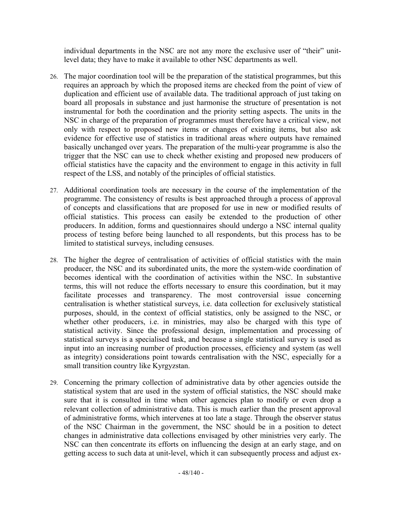individual departments in the NSC are not any more the exclusive user of "their" unitlevel data; they have to make it available to other NSC departments as well.

- 26. The major coordination tool will be the preparation of the statistical programmes, but this requires an approach by which the proposed items are checked from the point of view of duplication and efficient use of available data. The traditional approach of just taking on board all proposals in substance and just harmonise the structure of presentation is not instrumental for both the coordination and the priority setting aspects. The units in the NSC in charge of the preparation of programmes must therefore have a critical view, not only with respect to proposed new items or changes of existing items, but also ask evidence for effective use of statistics in traditional areas where outputs have remained basically unchanged over years. The preparation of the multi-year programme is also the trigger that the NSC can use to check whether existing and proposed new producers of official statistics have the capacity and the environment to engage in this activity in full respect of the LSS, and notably of the principles of official statistics.
- 27. Additional coordination tools are necessary in the course of the implementation of the programme. The consistency of results is best approached through a process of approval of concepts and classifications that are proposed for use in new or modified results of official statistics. This process can easily be extended to the production of other producers. In addition, forms and questionnaires should undergo a NSC internal quality process of testing before being launched to all respondents, but this process has to be limited to statistical surveys, including censuses.
- 28. The higher the degree of centralisation of activities of official statistics with the main producer, the NSC and its subordinated units, the more the system-wide coordination of becomes identical with the coordination of activities within the NSC. In substantive terms, this will not reduce the efforts necessary to ensure this coordination, but it may facilitate processes and transparency. The most controversial issue concerning centralisation is whether statistical surveys, i.e. data collection for exclusively statistical purposes, should, in the context of official statistics, only be assigned to the NSC, or whether other producers, i.e. in ministries, may also be charged with this type of statistical activity. Since the professional design, implementation and processing of statistical surveys is a specialised task, and because a single statistical survey is used as input into an increasing number of production processes, efficiency and system (as well as integrity) considerations point towards centralisation with the NSC, especially for a small transition country like Kyrgyzstan.
- 29. Concerning the primary collection of administrative data by other agencies outside the statistical system that are used in the system of official statistics, the NSC should make sure that it is consulted in time when other agencies plan to modify or even drop a relevant collection of administrative data. This is much earlier than the present approval of administrative forms, which intervenes at too late a stage. Through the observer status of the NSC Chairman in the government, the NSC should be in a position to detect changes in administrative data collections envisaged by other ministries very early. The NSC can then concentrate its efforts on influencing the design at an early stage, and on getting access to such data at unit-level, which it can subsequently process and adjust ex-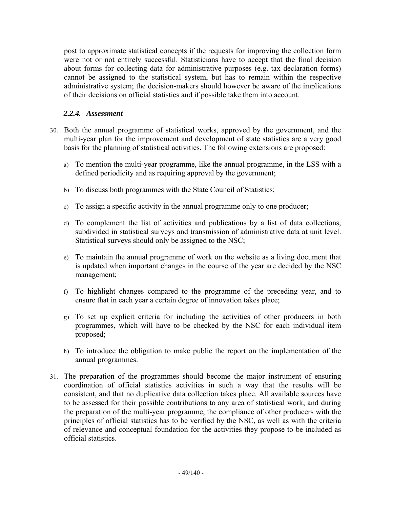post to approximate statistical concepts if the requests for improving the collection form were not or not entirely successful. Statisticians have to accept that the final decision about forms for collecting data for administrative purposes (e.g. tax declaration forms) cannot be assigned to the statistical system, but has to remain within the respective administrative system; the decision-makers should however be aware of the implications of their decisions on official statistics and if possible take them into account.

### *2.2.4. Assessment*

- 30. Both the annual programme of statistical works, approved by the government, and the multi-year plan for the improvement and development of state statistics are a very good basis for the planning of statistical activities. The following extensions are proposed:
	- a) To mention the multi-year programme, like the annual programme, in the LSS with a defined periodicity and as requiring approval by the government;
	- b) To discuss both programmes with the State Council of Statistics;
	- c) To assign a specific activity in the annual programme only to one producer;
	- d) To complement the list of activities and publications by a list of data collections, subdivided in statistical surveys and transmission of administrative data at unit level. Statistical surveys should only be assigned to the NSC;
	- e) To maintain the annual programme of work on the website as a living document that is updated when important changes in the course of the year are decided by the NSC management;
	- f) To highlight changes compared to the programme of the preceding year, and to ensure that in each year a certain degree of innovation takes place;
	- g) To set up explicit criteria for including the activities of other producers in both programmes, which will have to be checked by the NSC for each individual item proposed;
	- h) To introduce the obligation to make public the report on the implementation of the annual programmes.
- 31. The preparation of the programmes should become the major instrument of ensuring coordination of official statistics activities in such a way that the results will be consistent, and that no duplicative data collection takes place. All available sources have to be assessed for their possible contributions to any area of statistical work, and during the preparation of the multi-year programme, the compliance of other producers with the principles of official statistics has to be verified by the NSC, as well as with the criteria of relevance and conceptual foundation for the activities they propose to be included as official statistics.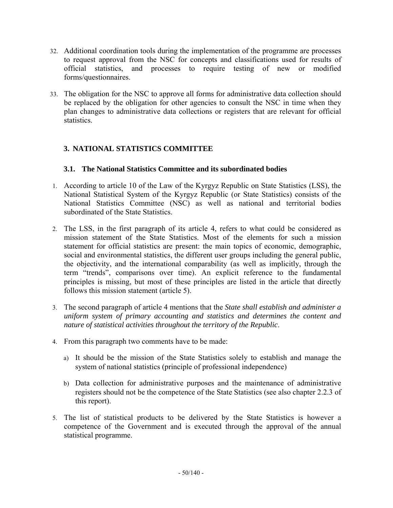- 32. Additional coordination tools during the implementation of the programme are processes to request approval from the NSC for concepts and classifications used for results of official statistics, and processes to require testing of new or modified forms/questionnaires.
- 33. The obligation for the NSC to approve all forms for administrative data collection should be replaced by the obligation for other agencies to consult the NSC in time when they plan changes to administrative data collections or registers that are relevant for official statistics.

## **3. NATIONAL STATISTICS COMMITTEE**

#### **3.1. The National Statistics Committee and its subordinated bodies**

- 1. According to article 10 of the Law of the Kyrgyz Republic on State Statistics (LSS), the National Statistical System of the Kyrgyz Republic (or State Statistics) consists of the National Statistics Committee (NSC) as well as national and territorial bodies subordinated of the State Statistics.
- 2. The LSS, in the first paragraph of its article 4, refers to what could be considered as mission statement of the State Statistics. Most of the elements for such a mission statement for official statistics are present: the main topics of economic, demographic, social and environmental statistics, the different user groups including the general public, the objectivity, and the international comparability (as well as implicitly, through the term "trends", comparisons over time). An explicit reference to the fundamental principles is missing, but most of these principles are listed in the article that directly follows this mission statement (article 5).
- 3. The second paragraph of article 4 mentions that the *State shall establish and administer a uniform system of primary accounting and statistics and determines the content and nature of statistical activities throughout the territory of the Republic*.
- 4. From this paragraph two comments have to be made:
	- a) It should be the mission of the State Statistics solely to establish and manage the system of national statistics (principle of professional independence)
	- b) Data collection for administrative purposes and the maintenance of administrative registers should not be the competence of the State Statistics (see also chapter 2.2.3 of this report).
- 5. The list of statistical products to be delivered by the State Statistics is however a competence of the Government and is executed through the approval of the annual statistical programme.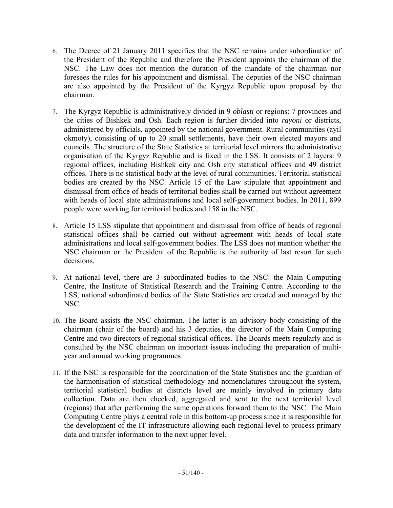- 6. The Decree of 21 January 2011 specifies that the NSC remains under subordination of the President of the Republic and therefore the President appoints the chairman of the NSC. The Law does not mention the duration of the mandate of the chairman nor foresees the rules for his appointment and dismissal. The deputies of the NSC chairman are also appointed by the President of the Kyrgyz Republic upon proposal by the chairman.
- 7. The Kyrgyz Republic is administratively divided in 9 *oblasti* or regions: 7 provinces and the cities of Bishkek and Osh. Each region is further divided into *rayoni* or districts, administered by officials, appointed by the national government. Rural communities (ayil okmoty), consisting of up to 20 small settlements, have their own elected mayors and councils. The structure of the State Statistics at territorial level mirrors the administrative organisation of the Kyrgyz Republic and is fixed in the LSS. It consists of 2 layers: 9 regional offices, including Bishkek city and Osh city statistical offices and 49 district offices. There is no statistical body at the level of rural communities. Territorial statistical bodies are created by the NSC. Article 15 of the Law stipulate that appointment and dismissal from office of heads of territorial bodies shall be carried out without agreement with heads of local state administrations and local self-government bodies. In 2011, 899 people were working for territorial bodies and 158 in the NSC.
- 8. Article 15 LSS stipulate that appointment and dismissal from office of heads of regional statistical offices shall be carried out without agreement with heads of local state administrations and local self-government bodies. The LSS does not mention whether the NSC chairman or the President of the Republic is the authority of last resort for such decisions.
- 9. At national level, there are 3 subordinated bodies to the NSC: the Main Computing Centre, the Institute of Statistical Research and the Training Centre. According to the LSS, national subordinated bodies of the State Statistics are created and managed by the NSC.
- 10. The Board assists the NSC chairman. The latter is an advisory body consisting of the chairman (chair of the board) and his 3 deputies, the director of the Main Computing Centre and two directors of regional statistical offices. The Boards meets regularly and is consulted by the NSC chairman on important issues including the preparation of multiyear and annual working programmes.
- 11. If the NSC is responsible for the coordination of the State Statistics and the guardian of the harmonisation of statistical methodology and nomenclatures throughout the system, territorial statistical bodies at districts level are mainly involved in primary data collection. Data are then checked, aggregated and sent to the next territorial level (regions) that after performing the same operations forward them to the NSC. The Main Computing Centre plays a central role in this bottom-up process since it is responsible for the development of the IT infrastructure allowing each regional level to process primary data and transfer information to the next upper level.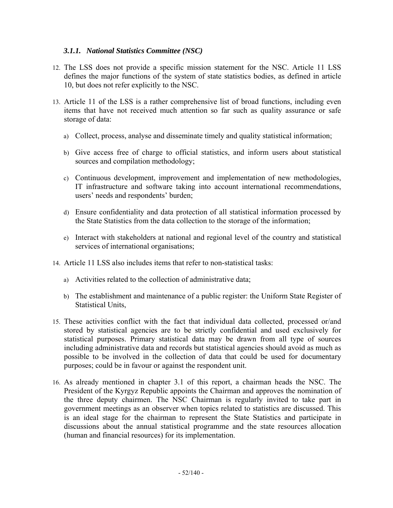### *3.1.1. National Statistics Committee (NSC)*

- 12. The LSS does not provide a specific mission statement for the NSC. Article 11 LSS defines the major functions of the system of state statistics bodies, as defined in article 10, but does not refer explicitly to the NSC.
- 13. Article 11 of the LSS is a rather comprehensive list of broad functions, including even items that have not received much attention so far such as quality assurance or safe storage of data:
	- a) Collect, process, analyse and disseminate timely and quality statistical information;
	- b) Give access free of charge to official statistics, and inform users about statistical sources and compilation methodology;
	- c) Continuous development, improvement and implementation of new methodologies, IT infrastructure and software taking into account international recommendations, users' needs and respondents' burden;
	- d) Ensure confidentiality and data protection of all statistical information processed by the State Statistics from the data collection to the storage of the information;
	- e) Interact with stakeholders at national and regional level of the country and statistical services of international organisations;
- 14. Article 11 LSS also includes items that refer to non-statistical tasks:
	- a) Activities related to the collection of administrative data;
	- b) The establishment and maintenance of a public register: the Uniform State Register of Statistical Units,
- 15. These activities conflict with the fact that individual data collected, processed or/and stored by statistical agencies are to be strictly confidential and used exclusively for statistical purposes. Primary statistical data may be drawn from all type of sources including administrative data and records but statistical agencies should avoid as much as possible to be involved in the collection of data that could be used for documentary purposes; could be in favour or against the respondent unit.
- 16. As already mentioned in chapter 3.1 of this report, a chairman heads the NSC. The President of the Kyrgyz Republic appoints the Chairman and approves the nomination of the three deputy chairmen. The NSC Chairman is regularly invited to take part in government meetings as an observer when topics related to statistics are discussed. This is an ideal stage for the chairman to represent the State Statistics and participate in discussions about the annual statistical programme and the state resources allocation (human and financial resources) for its implementation.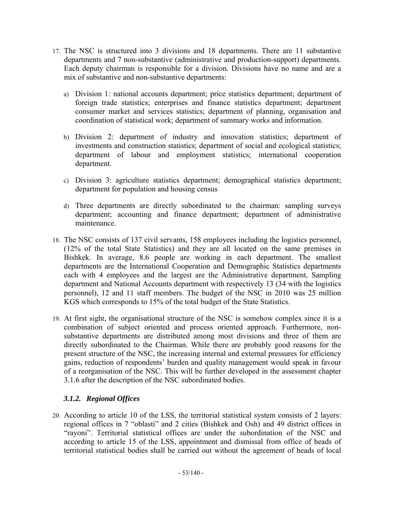- 17. The NSC is structured into 3 divisions and 18 departments. There are 11 substantive departments and 7 non-substantive (administrative and production-support) departments. Each deputy chairman is responsible for a division. Divisions have no name and are a mix of substantive and non-substantive departments:
	- a) Division 1: national accounts department; price statistics department; department of foreign trade statistics; enterprises and finance statistics department; department consumer market and services statistics; department of planning, organisation and coordination of statistical work; department of summary works and information.
	- b) Division 2: department of industry and innovation statistics; department of investments and construction statistics; department of social and ecological statistics; department of labour and employment statistics; international cooperation department.
	- c) Division 3: agriculture statistics department; demographical statistics department; department for population and housing census
	- d) Three departments are directly subordinated to the chairman: sampling surveys department; accounting and finance department; department of administrative maintenance.
- 18. The NSC consists of 137 civil servants, 158 employees including the logistics personnel, (12% of the total State Statistics) and they are all located on the same premises in Bishkek. In average, 8.6 people are working in each department. The smallest departments are the International Cooperation and Demographic Statistics departments each with 4 employees and the largest are the Administrative department, Sampling department and National Accounts department with respectively 13 (34 with the logistics personnel), 12 and 11 staff members. The budget of the NSC in 2010 was 25 million KGS which corresponds to 15% of the total budget of the State Statistics.
- 19. At first sight, the organisational structure of the NSC is somehow complex since it is a combination of subject oriented and process oriented approach. Furthermore, nonsubstantive departments are distributed among most divisions and three of them are directly subordinated to the Chairman. While there are probably good reasons for the present structure of the NSC, the increasing internal and external pressures for efficiency gains, reduction of respondents' burden and quality management would speak in favour of a reorganisation of the NSC. This will be further developed in the assessment chapter 3.1.6 after the description of the NSC subordinated bodies.

## *3.1.2. Regional Offices*

20. According to article 10 of the LSS, the territorial statistical system consists of 2 layers: regional offices in 7 "oblasti" and 2 cities (Bishkek and Osh) and 49 district offices in "rayoni". Territorial statistical offices are under the subordination of the NSC and according to article 15 of the LSS, appointment and dismissal from office of heads of territorial statistical bodies shall be carried out without the agreement of heads of local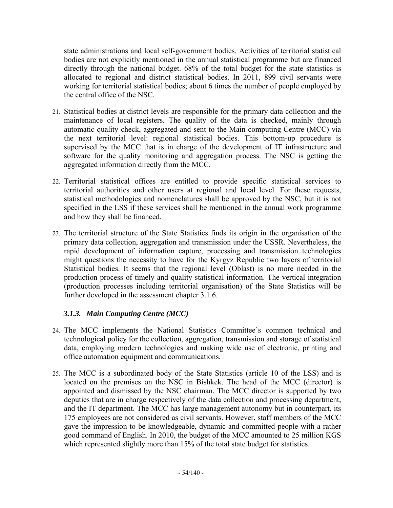state administrations and local self-government bodies. Activities of territorial statistical bodies are not explicitly mentioned in the annual statistical programme but are financed directly through the national budget. 68% of the total budget for the state statistics is allocated to regional and district statistical bodies. In 2011, 899 civil servants were working for territorial statistical bodies; about 6 times the number of people employed by the central office of the NSC.

- 21. Statistical bodies at district levels are responsible for the primary data collection and the maintenance of local registers. The quality of the data is checked, mainly through automatic quality check, aggregated and sent to the Main computing Centre (MCC) via the next territorial level: regional statistical bodies. This bottom-up procedure is supervised by the MCC that is in charge of the development of IT infrastructure and software for the quality monitoring and aggregation process. The NSC is getting the aggregated information directly from the MCC.
- 22. Territorial statistical offices are entitled to provide specific statistical services to territorial authorities and other users at regional and local level. For these requests, statistical methodologies and nomenclatures shall be approved by the NSC, but it is not specified in the LSS if these services shall be mentioned in the annual work programme and how they shall be financed.
- 23. The territorial structure of the State Statistics finds its origin in the organisation of the primary data collection, aggregation and transmission under the USSR. Nevertheless, the rapid development of information capture, processing and transmission technologies might questions the necessity to have for the Kyrgyz Republic two layers of territorial Statistical bodies. It seems that the regional level (Oblast) is no more needed in the production process of timely and quality statistical information. The vertical integration (production processes including territorial organisation) of the State Statistics will be further developed in the assessment chapter 3.1.6.

## *3.1.3. Main Computing Centre (MCC)*

- 24. The MCC implements the National Statistics Committee's common technical and technological policy for the collection, aggregation, transmission and storage of statistical data, employing modern technologies and making wide use of electronic, printing and office automation equipment and communications.
- 25. The MCC is a subordinated body of the State Statistics (article 10 of the LSS) and is located on the premises on the NSC in Bishkek. The head of the MCC (director) is appointed and dismissed by the NSC chairman. The MCC director is supported by two deputies that are in charge respectively of the data collection and processing department, and the IT department. The MCC has large management autonomy but in counterpart, its 175 employees are not considered as civil servants. However, staff members of the MCC gave the impression to be knowledgeable, dynamic and committed people with a rather good command of English. In 2010, the budget of the MCC amounted to 25 million KGS which represented slightly more than 15% of the total state budget for statistics.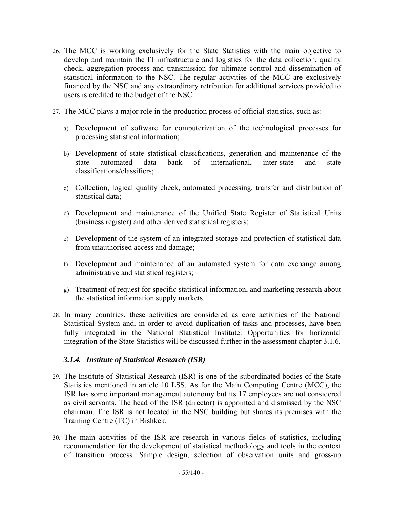- 26. The MCC is working exclusively for the State Statistics with the main objective to develop and maintain the IT infrastructure and logistics for the data collection, quality check, aggregation process and transmission for ultimate control and dissemination of statistical information to the NSC. The regular activities of the MCC are exclusively financed by the NSC and any extraordinary retribution for additional services provided to users is credited to the budget of the NSC.
- 27. The MCC plays a major role in the production process of official statistics, such as:
	- a) Development of software for computerization of the technological processes for processing statistical information;
	- b) Development of state statistical classifications, generation and maintenance of the state automated data bank of international, inter-state and state classifications/classifiers;
	- c) Collection, logical quality check, automated processing, transfer and distribution of statistical data;
	- d) Development and maintenance of the Unified State Register of Statistical Units (business register) and other derived statistical registers;
	- e) Development of the system of an integrated storage and protection of statistical data from unauthorised access and damage;
	- f) Development and maintenance of an automated system for data exchange among administrative and statistical registers;
	- g) Treatment of request for specific statistical information, and marketing research about the statistical information supply markets.
- 28. In many countries, these activities are considered as core activities of the National Statistical System and, in order to avoid duplication of tasks and processes, have been fully integrated in the National Statistical Institute. Opportunities for horizontal integration of the State Statistics will be discussed further in the assessment chapter 3.1.6.

#### *3.1.4. Institute of Statistical Research (ISR)*

- 29. The Institute of Statistical Research (ISR) is one of the subordinated bodies of the State Statistics mentioned in article 10 LSS. As for the Main Computing Centre (MCC), the ISR has some important management autonomy but its 17 employees are not considered as civil servants. The head of the ISR (director) is appointed and dismissed by the NSC chairman. The ISR is not located in the NSC building but shares its premises with the Training Centre (TC) in Bishkek.
- 30. The main activities of the ISR are research in various fields of statistics, including recommendation for the development of statistical methodology and tools in the context of transition process. Sample design, selection of observation units and gross-up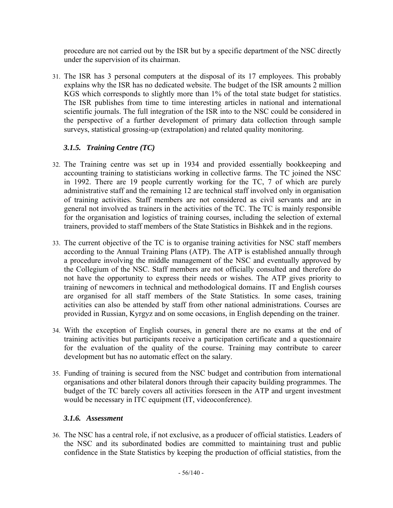procedure are not carried out by the ISR but by a specific department of the NSC directly under the supervision of its chairman.

31. The ISR has 3 personal computers at the disposal of its 17 employees. This probably explains why the ISR has no dedicated website. The budget of the ISR amounts 2 million KGS which corresponds to slightly more than 1% of the total state budget for statistics. The ISR publishes from time to time interesting articles in national and international scientific journals. The full integration of the ISR into to the NSC could be considered in the perspective of a further development of primary data collection through sample surveys, statistical grossing-up (extrapolation) and related quality monitoring.

# *3.1.5. Training Centre (TC)*

- 32. The Training centre was set up in 1934 and provided essentially bookkeeping and accounting training to statisticians working in collective farms. The TC joined the NSC in 1992. There are 19 people currently working for the TC, 7 of which are purely administrative staff and the remaining 12 are technical staff involved only in organisation of training activities. Staff members are not considered as civil servants and are in general not involved as trainers in the activities of the TC. The TC is mainly responsible for the organisation and logistics of training courses, including the selection of external trainers, provided to staff members of the State Statistics in Bishkek and in the regions.
- 33. The current objective of the TC is to organise training activities for NSC staff members according to the Annual Training Plans (ATP). The ATP is established annually through a procedure involving the middle management of the NSC and eventually approved by the Collegium of the NSC. Staff members are not officially consulted and therefore do not have the opportunity to express their needs or wishes. The ATP gives priority to training of newcomers in technical and methodological domains. IT and English courses are organised for all staff members of the State Statistics. In some cases, training activities can also be attended by staff from other national administrations. Courses are provided in Russian, Kyrgyz and on some occasions, in English depending on the trainer.
- 34. With the exception of English courses, in general there are no exams at the end of training activities but participants receive a participation certificate and a questionnaire for the evaluation of the quality of the course. Training may contribute to career development but has no automatic effect on the salary.
- 35. Funding of training is secured from the NSC budget and contribution from international organisations and other bilateral donors through their capacity building programmes. The budget of the TC barely covers all activities foreseen in the ATP and urgent investment would be necessary in ITC equipment (IT, videoconference).

## *3.1.6. Assessment*

36. The NSC has a central role, if not exclusive, as a producer of official statistics. Leaders of the NSC and its subordinated bodies are committed to maintaining trust and public confidence in the State Statistics by keeping the production of official statistics, from the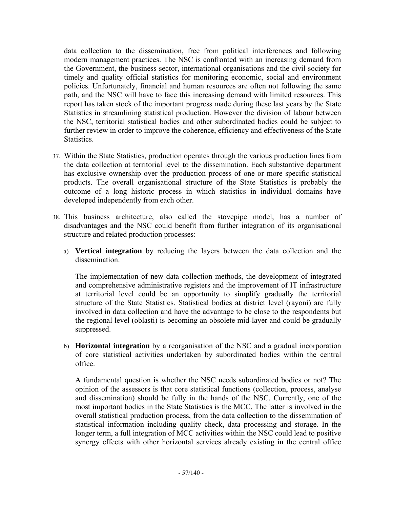data collection to the dissemination, free from political interferences and following modern management practices. The NSC is confronted with an increasing demand from the Government, the business sector, international organisations and the civil society for timely and quality official statistics for monitoring economic, social and environment policies. Unfortunately, financial and human resources are often not following the same path, and the NSC will have to face this increasing demand with limited resources. This report has taken stock of the important progress made during these last years by the State Statistics in streamlining statistical production. However the division of labour between the NSC, territorial statistical bodies and other subordinated bodies could be subject to further review in order to improve the coherence, efficiency and effectiveness of the State Statistics.

- 37. Within the State Statistics, production operates through the various production lines from the data collection at territorial level to the dissemination. Each substantive department has exclusive ownership over the production process of one or more specific statistical products. The overall organisational structure of the State Statistics is probably the outcome of a long historic process in which statistics in individual domains have developed independently from each other.
- 38. This business architecture, also called the stovepipe model, has a number of disadvantages and the NSC could benefit from further integration of its organisational structure and related production processes:
	- a) **Vertical integration** by reducing the layers between the data collection and the dissemination.

The implementation of new data collection methods, the development of integrated and comprehensive administrative registers and the improvement of IT infrastructure at territorial level could be an opportunity to simplify gradually the territorial structure of the State Statistics. Statistical bodies at district level (rayoni) are fully involved in data collection and have the advantage to be close to the respondents but the regional level (oblasti) is becoming an obsolete mid-layer and could be gradually suppressed.

b) **Horizontal integration** by a reorganisation of the NSC and a gradual incorporation of core statistical activities undertaken by subordinated bodies within the central office.

A fundamental question is whether the NSC needs subordinated bodies or not? The opinion of the assessors is that core statistical functions (collection, process, analyse and dissemination) should be fully in the hands of the NSC. Currently, one of the most important bodies in the State Statistics is the MCC. The latter is involved in the overall statistical production process, from the data collection to the dissemination of statistical information including quality check, data processing and storage. In the longer term, a full integration of MCC activities within the NSC could lead to positive synergy effects with other horizontal services already existing in the central office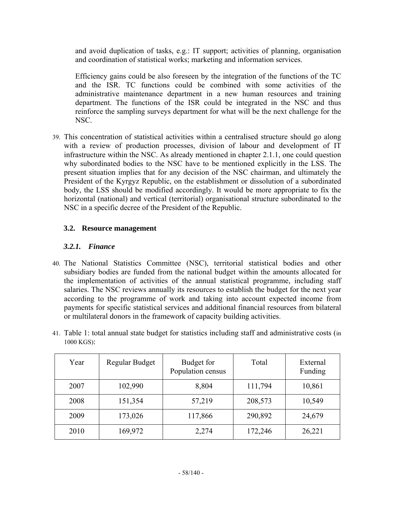and avoid duplication of tasks, e.g.: IT support; activities of planning, organisation and coordination of statistical works; marketing and information services.

Efficiency gains could be also foreseen by the integration of the functions of the TC and the ISR. TC functions could be combined with some activities of the administrative maintenance department in a new human resources and training department. The functions of the ISR could be integrated in the NSC and thus reinforce the sampling surveys department for what will be the next challenge for the NSC.

39. This concentration of statistical activities within a centralised structure should go along with a review of production processes, division of labour and development of IT infrastructure within the NSC. As already mentioned in chapter 2.1.1, one could question why subordinated bodies to the NSC have to be mentioned explicitly in the LSS. The present situation implies that for any decision of the NSC chairman, and ultimately the President of the Kyrgyz Republic, on the establishment or dissolution of a subordinated body, the LSS should be modified accordingly. It would be more appropriate to fix the horizontal (national) and vertical (territorial) organisational structure subordinated to the NSC in a specific decree of the President of the Republic.

## **3.2. Resource management**

### *3.2.1. Finance*

- 40. The National Statistics Committee (NSC), territorial statistical bodies and other subsidiary bodies are funded from the national budget within the amounts allocated for the implementation of activities of the annual statistical programme, including staff salaries. The NSC reviews annually its resources to establish the budget for the next year according to the programme of work and taking into account expected income from payments for specific statistical services and additional financial resources from bilateral or multilateral donors in the framework of capacity building activities.
- 41. Table 1: total annual state budget for statistics including staff and administrative costs (in 1000 KGS):

| Year | Regular Budget | Budget for<br>Population census | Total   | External<br>Funding |
|------|----------------|---------------------------------|---------|---------------------|
| 2007 | 102,990        | 8,804                           | 111,794 | 10,861              |
| 2008 | 151,354        | 57,219                          | 208,573 | 10,549              |
| 2009 | 173,026        | 117,866                         | 290,892 | 24,679              |
| 2010 | 169,972        | 2,274                           | 172,246 | 26,221              |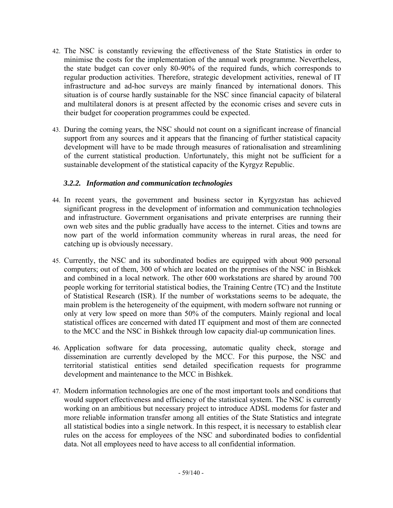- 42. The NSC is constantly reviewing the effectiveness of the State Statistics in order to minimise the costs for the implementation of the annual work programme. Nevertheless, the state budget can cover only 80-90% of the required funds, which corresponds to regular production activities. Therefore, strategic development activities, renewal of IT infrastructure and ad-hoc surveys are mainly financed by international donors. This situation is of course hardly sustainable for the NSC since financial capacity of bilateral and multilateral donors is at present affected by the economic crises and severe cuts in their budget for cooperation programmes could be expected.
- 43. During the coming years, the NSC should not count on a significant increase of financial support from any sources and it appears that the financing of further statistical capacity development will have to be made through measures of rationalisation and streamlining of the current statistical production. Unfortunately, this might not be sufficient for a sustainable development of the statistical capacity of the Kyrgyz Republic.

### *3.2.2. Information and communication technologies*

- 44. In recent years, the government and business sector in Kyrgyzstan has achieved significant progress in the development of information and communication technologies and infrastructure. Government organisations and private enterprises are running their own web sites and the public gradually have access to the internet. Cities and towns are now part of the world information community whereas in rural areas, the need for catching up is obviously necessary.
- 45. Currently, the NSC and its subordinated bodies are equipped with about 900 personal computers; out of them, 300 of which are located on the premises of the NSC in Bishkek and combined in a local network. The other 600 workstations are shared by around 700 people working for territorial statistical bodies, the Training Centre (TC) and the Institute of Statistical Research (ISR). If the number of workstations seems to be adequate, the main problem is the heterogeneity of the equipment, with modern software not running or only at very low speed on more than 50% of the computers. Mainly regional and local statistical offices are concerned with dated IT equipment and most of them are connected to the MCC and the NSC in Bishkek through low capacity dial-up communication lines.
- 46. Application software for data processing, automatic quality check, storage and dissemination are currently developed by the MCC. For this purpose, the NSC and territorial statistical entities send detailed specification requests for programme development and maintenance to the MCC in Bishkek.
- 47. Modern information technologies are one of the most important tools and conditions that would support effectiveness and efficiency of the statistical system. The NSC is currently working on an ambitious but necessary project to introduce ADSL modems for faster and more reliable information transfer among all entities of the State Statistics and integrate all statistical bodies into a single network. In this respect, it is necessary to establish clear rules on the access for employees of the NSC and subordinated bodies to confidential data. Not all employees need to have access to all confidential information.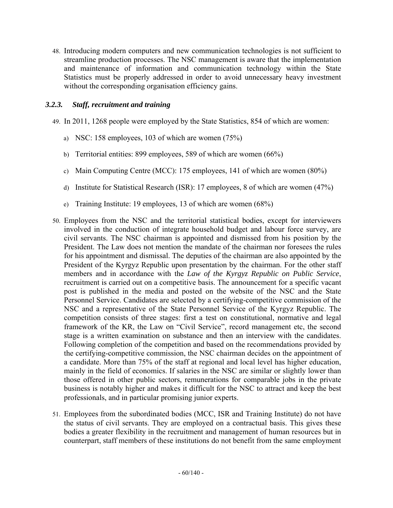48. Introducing modern computers and new communication technologies is not sufficient to streamline production processes. The NSC management is aware that the implementation and maintenance of information and communication technology within the State Statistics must be properly addressed in order to avoid unnecessary heavy investment without the corresponding organisation efficiency gains.

### *3.2.3. Staff, recruitment and training*

- 49. In 2011, 1268 people were employed by the State Statistics, 854 of which are women:
	- a) NSC: 158 employees, 103 of which are women (75%)
	- b) Territorial entities: 899 employees, 589 of which are women (66%)
	- c) Main Computing Centre (MCC): 175 employees, 141 of which are women (80%)
	- d) Institute for Statistical Research (ISR): 17 employees, 8 of which are women (47%)
	- e) Training Institute: 19 employees, 13 of which are women (68%)
- 50. Employees from the NSC and the territorial statistical bodies, except for interviewers involved in the conduction of integrate household budget and labour force survey, are civil servants. The NSC chairman is appointed and dismissed from his position by the President. The Law does not mention the mandate of the chairman nor foresees the rules for his appointment and dismissal. The deputies of the chairman are also appointed by the President of the Kyrgyz Republic upon presentation by the chairman. For the other staff members and in accordance with the *Law of the Kyrgyz Republic on Public Service*, recruitment is carried out on a competitive basis. The announcement for a specific vacant post is published in the media and posted on the website of the NSC and the State Personnel Service. Candidates are selected by a certifying-competitive commission of the NSC and a representative of the State Personnel Service of the Kyrgyz Republic. The competition consists of three stages: first a test on constitutional, normative and legal framework of the KR, the Law on "Civil Service", record management etc, the second stage is a written examination on substance and then an interview with the candidates. Following completion of the competition and based on the recommendations provided by the certifying-competitive commission, the NSC chairman decides on the appointment of a candidate. More than 75% of the staff at regional and local level has higher education, mainly in the field of economics. If salaries in the NSC are similar or slightly lower than those offered in other public sectors, remunerations for comparable jobs in the private business is notably higher and makes it difficult for the NSC to attract and keep the best professionals, and in particular promising junior experts.
- 51. Employees from the subordinated bodies (MCC, ISR and Training Institute) do not have the status of civil servants. They are employed on a contractual basis. This gives these bodies a greater flexibility in the recruitment and management of human resources but in counterpart, staff members of these institutions do not benefit from the same employment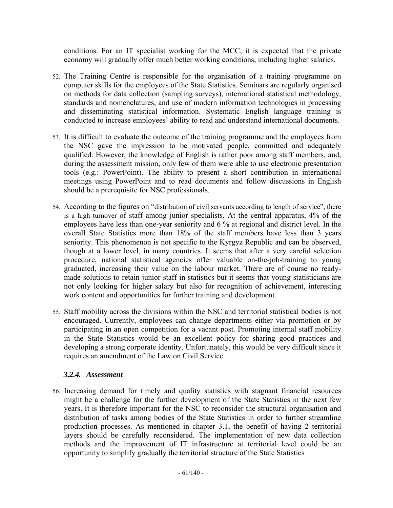conditions. For an IT specialist working for the MCC, it is expected that the private economy will gradually offer much better working conditions, including higher salaries.

- 52. The Training Centre is responsible for the organisation of a training programme on computer skills for the employees of the State Statistics. Seminars are regularly organised on methods for data collection (sampling surveys), international statistical methodology, standards and nomenclatures, and use of modern information technologies in processing and disseminating statistical information. Systematic English language training is conducted to increase employees' ability to read and understand international documents.
- 53. It is difficult to evaluate the outcome of the training programme and the employees from the NSC gave the impression to be motivated people, committed and adequately qualified. However, the knowledge of English is rather poor among staff members, and, during the assessment mission, only few of them were able to use electronic presentation tools (e.g.: PowerPoint). The ability to present a short contribution in international meetings using PowerPoint and to read documents and follow discussions in English should be a prerequisite for NSC professionals.
- 54. According to the figures on "distribution of civil servants according to length of service", there is a high turnover of staff among junior specialists. At the central apparatus, 4% of the employees have less than one-year seniority and 6 % at regional and district level. In the overall State Statistics more than 18% of the staff members have less than 3 years seniority. This phenomenon is not specific to the Kyrgyz Republic and can be observed, though at a lower level, in many countries. It seems that after a very careful selection procedure, national statistical agencies offer valuable on-the-job-training to young graduated, increasing their value on the labour market. There are of course no readymade solutions to retain junior staff in statistics but it seems that young statisticians are not only looking for higher salary but also for recognition of achievement, interesting work content and opportunities for further training and development.
- 55. Staff mobility across the divisions within the NSC and territorial statistical bodies is not encouraged. Currently, employees can change departments either via promotion or by participating in an open competition for a vacant post. Promoting internal staff mobility in the State Statistics would be an excellent policy for sharing good practices and developing a strong corporate identity. Unfortunately, this would be very difficult since it requires an amendment of the Law on Civil Service.

#### *3.2.4. Assessment*

56. Increasing demand for timely and quality statistics with stagnant financial resources might be a challenge for the further development of the State Statistics in the next few years. It is therefore important for the NSC to reconsider the structural organisation and distribution of tasks among bodies of the State Statistics in order to further streamline production processes. As mentioned in chapter 3.1, the benefit of having 2 territorial layers should be carefully reconsidered. The implementation of new data collection methods and the improvement of IT infrastructure at territorial level could be an opportunity to simplify gradually the territorial structure of the State Statistics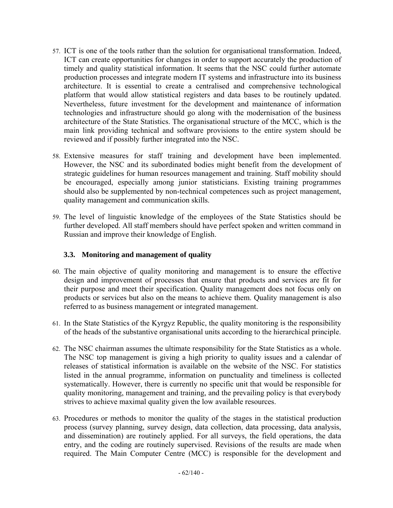- 57. ICT is one of the tools rather than the solution for organisational transformation. Indeed, ICT can create opportunities for changes in order to support accurately the production of timely and quality statistical information. It seems that the NSC could further automate production processes and integrate modern IT systems and infrastructure into its business architecture. It is essential to create a centralised and comprehensive technological platform that would allow statistical registers and data bases to be routinely updated. Nevertheless, future investment for the development and maintenance of information technologies and infrastructure should go along with the modernisation of the business architecture of the State Statistics. The organisational structure of the MCC, which is the main link providing technical and software provisions to the entire system should be reviewed and if possibly further integrated into the NSC.
- 58. Extensive measures for staff training and development have been implemented. However, the NSC and its subordinated bodies might benefit from the development of strategic guidelines for human resources management and training. Staff mobility should be encouraged, especially among junior statisticians. Existing training programmes should also be supplemented by non-technical competences such as project management, quality management and communication skills.
- 59. The level of linguistic knowledge of the employees of the State Statistics should be further developed. All staff members should have perfect spoken and written command in Russian and improve their knowledge of English.

#### **3.3. Monitoring and management of quality**

- 60. The main objective of quality monitoring and management is to ensure the effective design and improvement of processes that ensure that products and services are fit for their purpose and meet their specification. Quality management does not focus only on products or services but also on the means to achieve them. Quality management is also referred to as business management or integrated management.
- 61. In the State Statistics of the Kyrgyz Republic, the quality monitoring is the responsibility of the heads of the substantive organisational units according to the hierarchical principle.
- 62. The NSC chairman assumes the ultimate responsibility for the State Statistics as a whole. The NSC top management is giving a high priority to quality issues and a calendar of releases of statistical information is available on the website of the NSC. For statistics listed in the annual programme, information on punctuality and timeliness is collected systematically. However, there is currently no specific unit that would be responsible for quality monitoring, management and training, and the prevailing policy is that everybody strives to achieve maximal quality given the low available resources.
- 63. Procedures or methods to monitor the quality of the stages in the statistical production process (survey planning, survey design, data collection, data processing, data analysis, and dissemination) are routinely applied. For all surveys, the field operations, the data entry, and the coding are routinely supervised. Revisions of the results are made when required. The Main Computer Centre (MCC) is responsible for the development and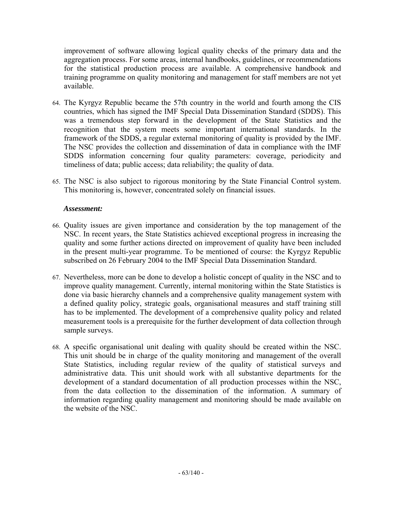improvement of software allowing logical quality checks of the primary data and the aggregation process. For some areas, internal handbooks, guidelines, or recommendations for the statistical production process are available. A comprehensive handbook and training programme on quality monitoring and management for staff members are not yet available.

- 64. The Kyrgyz Republic became the 57th country in the world and fourth among the CIS countries, which has signed the IMF Special Data Dissemination Standard (SDDS). This was a tremendous step forward in the development of the State Statistics and the recognition that the system meets some important international standards. In the framework of the SDDS, a regular external monitoring of quality is provided by the IMF. The NSC provides the collection and dissemination of data in compliance with the IMF SDDS information concerning four quality parameters: coverage, periodicity and timeliness of data; public access; data reliability; the quality of data.
- 65. The NSC is also subject to rigorous monitoring by the State Financial Control system. This monitoring is, however, concentrated solely on financial issues.

#### *Assessment:*

- 66. Quality issues are given importance and consideration by the top management of the NSC. In recent years, the State Statistics achieved exceptional progress in increasing the quality and some further actions directed on improvement of quality have been included in the present multi-year programme. To be mentioned of course: the Kyrgyz Republic subscribed on 26 February 2004 to the IMF Special Data Dissemination Standard.
- 67. Nevertheless, more can be done to develop a holistic concept of quality in the NSC and to improve quality management. Currently, internal monitoring within the State Statistics is done via basic hierarchy channels and a comprehensive quality management system with a defined quality policy, strategic goals, organisational measures and staff training still has to be implemented. The development of a comprehensive quality policy and related measurement tools is a prerequisite for the further development of data collection through sample surveys.
- 68. A specific organisational unit dealing with quality should be created within the NSC. This unit should be in charge of the quality monitoring and management of the overall State Statistics, including regular review of the quality of statistical surveys and administrative data. This unit should work with all substantive departments for the development of a standard documentation of all production processes within the NSC, from the data collection to the dissemination of the information. A summary of information regarding quality management and monitoring should be made available on the website of the NSC.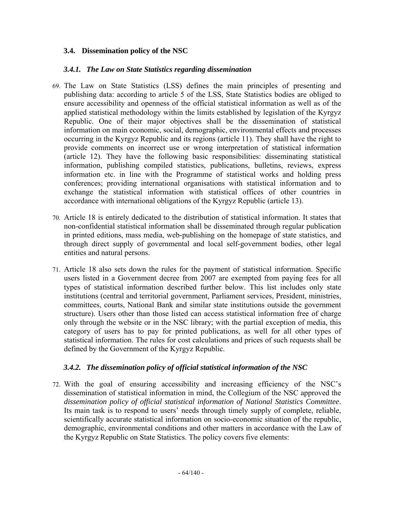#### **3.4. Dissemination policy of the NSC**

#### *3.4.1. The Law on State Statistics regarding dissemination*

- 69. The Law on State Statistics (LSS) defines the main principles of presenting and publishing data: according to article 5 of the LSS, State Statistics bodies are obliged to ensure accessibility and openness of the official statistical information as well as of the applied statistical methodology within the limits established by legislation of the Kyrgyz Republic. One of their major objectives shall be the dissemination of statistical information on main economic, social, demographic, environmental effects and processes occurring in the Kyrgyz Republic and its regions (article 11). They shall have the right to provide comments on incorrect use or wrong interpretation of statistical information (article 12). They have the following basic responsibilities: disseminating statistical information, publishing compiled statistics, publications, bulletins, reviews, express information etc. in line with the Programme of statistical works and holding press conferences; providing international organisations with statistical information and to exchange the statistical information with statistical offices of other countries in accordance with international obligations of the Kyrgyz Republic (article 13).
- 70. Article 18 is entirely dedicated to the distribution of statistical information. It states that non-confidential statistical information shall be disseminated through regular publication in printed editions, mass media, web-publishing on the homepage of state statistics, and through direct supply of governmental and local self-government bodies, other legal entities and natural persons.
- 71. Article 18 also sets down the rules for the payment of statistical information. Specific users listed in a Government decree from 2007 are exempted from paying fees for all types of statistical information described further below. This list includes only state institutions (central and territorial government, Parliament services, President, ministries, committees, courts, National Bank and similar state institutions outside the government structure). Users other than those listed can access statistical information free of charge only through the website or in the NSC library; with the partial exception of media, this category of users has to pay for printed publications, as well for all other types of statistical information. The rules for cost calculations and prices of such requests shall be defined by the Government of the Kyrgyz Republic.

#### *3.4.2. The dissemination policy of official statistical information of the NSC*

72. With the goal of ensuring accessibility and increasing efficiency of the NSC's dissemination of statistical information in mind, the Collegium of the NSC approved the *dissemination policy of official statistical information of National Statistics Committee*. Its main task is to respond to users' needs through timely supply of complete, reliable, scientifically accurate statistical information on socio-economic situation of the republic, demographic, environmental conditions and other matters in accordance with the Law of the Kyrgyz Republic on State Statistics. The policy covers five elements: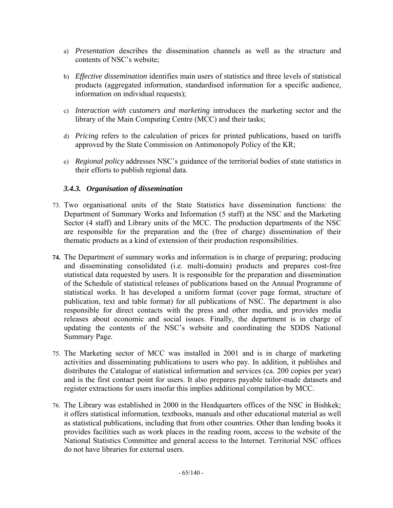- a) *Presentation* describes the dissemination channels as well as the structure and contents of NSC's website;
- b) *Effective dissemination* identifies main users of statistics and three levels of statistical products (aggregated information, standardised information for a specific audience, information on individual requests);
- c) *Interaction with customers and marketing* introduces the marketing sector and the library of the Main Computing Centre (MCC) and their tasks;
- d) *Pricing* refers to the calculation of prices for printed publications, based on tariffs approved by the State Commission on Antimonopoly Policy of the KR;
- e) *Regional policy* addresses NSC's guidance of the territorial bodies of state statistics in their efforts to publish regional data.

## *3.4.3. Organisation of dissemination*

- 73. Two organisational units of the State Statistics have dissemination functions: the Department of Summary Works and Information (5 staff) at the NSC and the Marketing Sector (4 staff) and Library units of the MCC. The production departments of the NSC are responsible for the preparation and the (free of charge) dissemination of their thematic products as a kind of extension of their production responsibilities.
- **74.** The Department of summary works and information is in charge of preparing; producing and disseminating consolidated (i.e. multi-domain) products and prepares cost-free statistical data requested by users. It is responsible for the preparation and dissemination of the Schedule of statistical releases of publications based on the Annual Programme of statistical works. It has developed a uniform format (cover page format, structure of publication, text and table format) for all publications of NSC. The department is also responsible for direct contacts with the press and other media, and provides media releases about economic and social issues. Finally, the department is in charge of updating the contents of the NSC's website and coordinating the SDDS National Summary Page.
- 75. The Marketing sector of MCC was installed in 2001 and is in charge of marketing activities and disseminating publications to users who pay. In addition, it publishes and distributes the Catalogue of statistical information and services (ca. 200 copies per year) and is the first contact point for users. It also prepares payable tailor-made datasets and register extractions for users insofar this implies additional compilation by MCC.
- 76. The Library was established in 2000 in the Headquarters offices of the NSC in Bishkek; it offers statistical information, textbooks, manuals and other educational material as well as statistical publications, including that from other countries. Other than lending books it provides facilities such as work places in the reading room, access to the website of the National Statistics Committee and general access to the Internet. Territorial NSC offices do not have libraries for external users.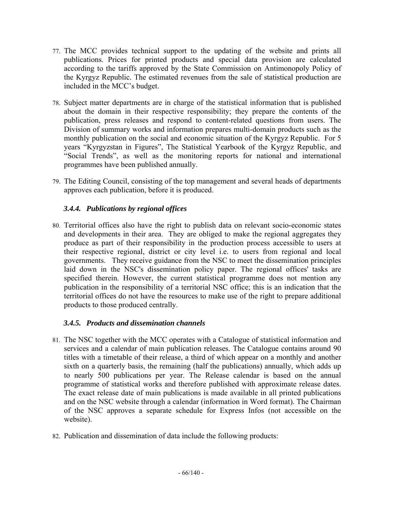- 77. The MCC provides technical support to the updating of the website and prints all publications. Prices for printed products and special data provision are calculated according to the tariffs approved by the State Commission on Antimonopoly Policy of the Kyrgyz Republic. The estimated revenues from the sale of statistical production are included in the MCC's budget.
- 78. Subject matter departments are in charge of the statistical information that is published about the domain in their respective responsibility; they prepare the contents of the publication, press releases and respond to content-related questions from users. The Division of summary works and information prepares multi-domain products such as the monthly publication on the social and economic situation of the Kyrgyz Republic. For 5 years "Kyrgyzstan in Figures", The Statistical Yearbook of the Kyrgyz Republic, and "Social Trends", as well as the monitoring reports for national and international programmes have been published annually.
- 79. The Editing Council, consisting of the top management and several heads of departments approves each publication, before it is produced.

# *3.4.4. Publications by regional offices*

80. Territorial offices also have the right to publish data on relevant socio-economic states and developments in their area. They are obliged to make the regional aggregates they produce as part of their responsibility in the production process accessible to users at their respective regional, district or city level i.e. to users from regional and local governments. They receive guidance from the NSC to meet the dissemination principles laid down in the NSC's dissemination policy paper. The regional offices' tasks are specified therein. However, the current statistical programme does not mention any publication in the responsibility of a territorial NSC office; this is an indication that the territorial offices do not have the resources to make use of the right to prepare additional products to those produced centrally.

## *3.4.5. Products and dissemination channels*

- 81. The NSC together with the MCC operates with a Catalogue of statistical information and services and a calendar of main publication releases. The Catalogue contains around 90 titles with a timetable of their release, a third of which appear on a monthly and another sixth on a quarterly basis, the remaining (half the publications) annually, which adds up to nearly 500 publications per year. The Release calendar is based on the annual programme of statistical works and therefore published with approximate release dates. The exact release date of main publications is made available in all printed publications and on the NSC website through a calendar (information in Word format). The Chairman of the NSC approves a separate schedule for Express Infos (not accessible on the website).
- 82. Publication and dissemination of data include the following products: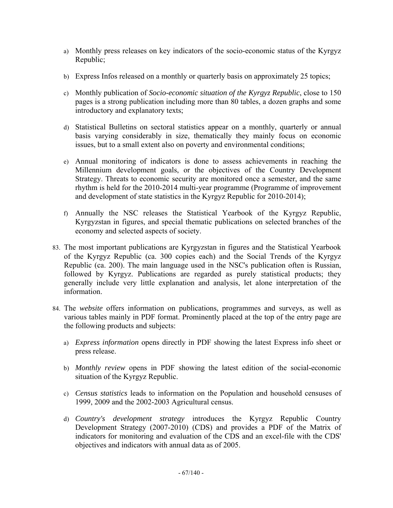- a) Monthly press releases on key indicators of the socio-economic status of the Kyrgyz Republic;
- b) Express Infos released on a monthly or quarterly basis on approximately 25 topics;
- c) Monthly publication of *Socio-economic situation of the Kyrgyz Republic*, close to 150 pages is a strong publication including more than 80 tables, a dozen graphs and some introductory and explanatory texts;
- d) Statistical Bulletins on sectoral statistics appear on a monthly, quarterly or annual basis varying considerably in size, thematically they mainly focus on economic issues, but to a small extent also on poverty and environmental conditions;
- e) Annual monitoring of indicators is done to assess achievements in reaching the Millennium development goals, or the objectives of the Country Development Strategy. Threats to economic security are monitored once a semester, and the same rhythm is held for the 2010-2014 multi-year programme (Programme of improvement and development of state statistics in the Kyrgyz Republic for 2010-2014);
- f) Annually the NSC releases the Statistical Yearbook of the Kyrgyz Republic, Kyrgyzstan in figures, and special thematic publications on selected branches of the economy and selected aspects of society.
- 83. The most important publications are Kyrgyzstan in figures and the Statistical Yearbook of the Kyrgyz Republic (ca. 300 copies each) and the Social Trends of the Kyrgyz Republic (ca. 200). The main language used in the NSC's publication often is Russian, followed by Kyrgyz. Publications are regarded as purely statistical products; they generally include very little explanation and analysis, let alone interpretation of the information.
- 84. The *website* offers information on publications, programmes and surveys, as well as various tables mainly in PDF format. Prominently placed at the top of the entry page are the following products and subjects:
	- a) *Express information* opens directly in PDF showing the latest Express info sheet or press release.
	- b) *Monthly review* opens in PDF showing the latest edition of the social-economic situation of the Kyrgyz Republic.
	- c) *Census statistics* leads to information on the Population and household censuses of 1999, 2009 and the 2002-2003 Agricultural census.
	- d) *Country's development strategy* introduces the Kyrgyz Republic Country Development Strategy (2007-2010) (CDS) and provides a PDF of the Matrix of indicators for monitoring and evaluation of the CDS and an excel-file with the CDS' objectives and indicators with annual data as of 2005.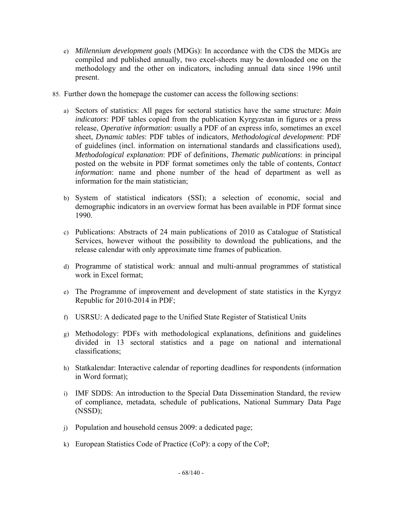- e) *Millennium development goals* (MDGs): In accordance with the CDS the MDGs are compiled and published annually, two excel-sheets may be downloaded one on the methodology and the other on indicators, including annual data since 1996 until present.
- 85. Further down the homepage the customer can access the following sections:
	- a) Sectors of statistics: All pages for sectoral statistics have the same structure: *Main indicators*: PDF tables copied from the publication Kyrgyzstan in figures or a press release, *Operative information*: usually a PDF of an express info, sometimes an excel sheet, *Dynamic tables*: PDF tables of indicators, *Methodological development*: PDF of guidelines (incl. information on international standards and classifications used), *Methodological explanation*: PDF of definitions, *Thematic publications*: in principal posted on the website in PDF format sometimes only the table of contents, *Contact information*: name and phone number of the head of department as well as information for the main statistician;
	- b) System of statistical indicators (SSI); a selection of economic, social and demographic indicators in an overview format has been available in PDF format since 1990.
	- c) Publications: Abstracts of 24 main publications of 2010 as Catalogue of Statistical Services, however without the possibility to download the publications, and the release calendar with only approximate time frames of publication.
	- d) Programme of statistical work: annual and multi-annual programmes of statistical work in Excel format;
	- e) The Programme of improvement and development of state statistics in the Kyrgyz Republic for 2010-2014 in PDF;
	- f) USRSU: A dedicated page to the Unified State Register of Statistical Units
	- g) Methodology: PDFs with methodological explanations, definitions and guidelines divided in 13 sectoral statistics and a page on national and international classifications;
	- h) Statkalendar: Interactive calendar of reporting deadlines for respondents (information in Word format);
	- i) IMF SDDS: An introduction to the Special Data Dissemination Standard, the review of compliance, metadata, schedule of publications, National Summary Data Page (NSSD);
	- j) Population and household census 2009: a dedicated page;
	- k) European Statistics Code of Practice (CoP): a copy of the CoP;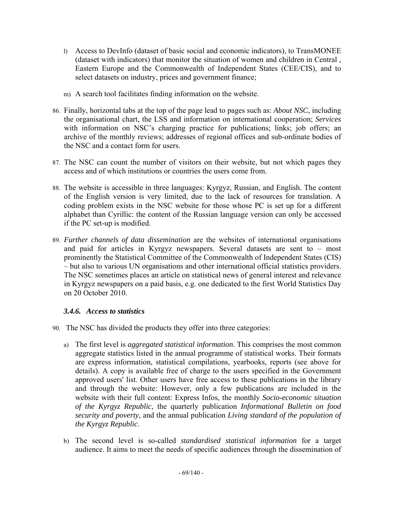- l) Access to DevInfo (dataset of basic social and economic indicators), to TransMONEE (dataset with indicators) that monitor the situation of women and children in Central , Eastern Europe and the Commonwealth of Independent States (CEE/CIS), and to select datasets on industry, prices and government finance;
- m) A search tool facilitates finding information on the website.
- 86. Finally, horizontal tabs at the top of the page lead to pages such as: *About NSC*, including the organisational chart, the LSS and information on international cooperation; *Services* with information on NSC's charging practice for publications; links; job offers; an archive of the monthly reviews; addresses of regional offices and sub-ordinate bodies of the NSC and a contact form for users.
- 87. The NSC can count the number of visitors on their website, but not which pages they access and of which institutions or countries the users come from.
- 88. The website is accessible in three languages: Kyrgyz, Russian, and English. The content of the English version is very limited, due to the lack of resources for translation. A coding problem exists in the NSC website for those whose PC is set up for a different alphabet than Cyrillic: the content of the Russian language version can only be accessed if the PC set-up is modified.
- 89. *Further channels of data dissemination* are the websites of international organisations and paid for articles in Kyrgyz newspapers. Several datasets are sent to – most prominently the Statistical Committee of the Commonwealth of Independent States (CIS) – but also to various UN organisations and other international official statistics providers. The NSC sometimes places an article on statistical news of general interest and relevance in Kyrgyz newspapers on a paid basis, e.g. one dedicated to the first World Statistics Day on 20 October 2010.

## *3.4.6. Access to statistics*

- 90. The NSC has divided the products they offer into three categories:
	- a) The first level is *aggregated statistical information*. This comprises the most common aggregate statistics listed in the annual programme of statistical works. Their formats are express information, statistical compilations, yearbooks, reports (see above for details). A copy is available free of charge to the users specified in the Government approved users' list. Other users have free access to these publications in the library and through the website: However, only a few publications are included in the website with their full content: Express Infos, the monthly *Socio-economic situation of the Kyrgyz Republic*, the quarterly publication *Informational Bulletin on food security and poverty*, and the annual publication *Living standard of the population of the Kyrgyz Republic*.
	- b) The second level is so-called *standardised statistical information* for a target audience. It aims to meet the needs of specific audiences through the dissemination of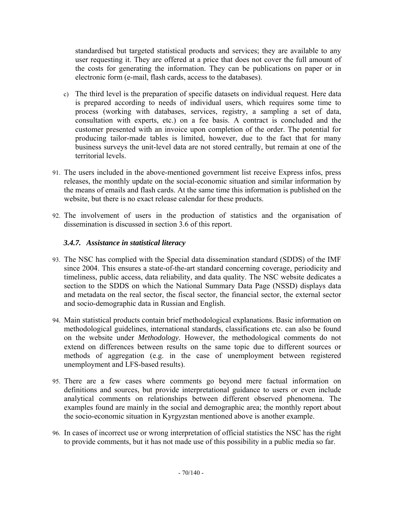standardised but targeted statistical products and services; they are available to any user requesting it. They are offered at a price that does not cover the full amount of the costs for generating the information. They can be publications on paper or in electronic form (e-mail, flash cards, access to the databases).

- c) The third level is the preparation of specific datasets on individual request. Here data is prepared according to needs of individual users, which requires some time to process (working with databases, services, registry, a sampling a set of data, consultation with experts, etc.) on a fee basis. A contract is concluded and the customer presented with an invoice upon completion of the order. The potential for producing tailor-made tables is limited, however, due to the fact that for many business surveys the unit-level data are not stored centrally, but remain at one of the territorial levels.
- 91. The users included in the above-mentioned government list receive Express infos, press releases, the monthly update on the social-economic situation and similar information by the means of emails and flash cards. At the same time this information is published on the website, but there is no exact release calendar for these products.
- 92. The involvement of users in the production of statistics and the organisation of dissemination is discussed in section 3.6 of this report.

## *3.4.7. Assistance in statistical literacy*

- 93. The NSC has complied with the Special data dissemination standard (SDDS) of the IMF since 2004. This ensures a state-of-the-art standard concerning coverage, periodicity and timeliness, public access, data reliability, and data quality. The NSC website dedicates a section to the SDDS on which the National Summary Data Page (NSSD) displays data and metadata on the real sector, the fiscal sector, the financial sector, the external sector and socio-demographic data in Russian and English.
- 94. Main statistical products contain brief methodological explanations. Basic information on methodological guidelines, international standards, classifications etc. can also be found on the website under *Methodology*. However, the methodological comments do not extend on differences between results on the same topic due to different sources or methods of aggregation (e.g. in the case of unemployment between registered unemployment and LFS-based results).
- 95. There are a few cases where comments go beyond mere factual information on definitions and sources, but provide interpretational guidance to users or even include analytical comments on relationships between different observed phenomena. The examples found are mainly in the social and demographic area; the monthly report about the socio-economic situation in Kyrgyzstan mentioned above is another example.
- 96. In cases of incorrect use or wrong interpretation of official statistics the NSC has the right to provide comments, but it has not made use of this possibility in a public media so far.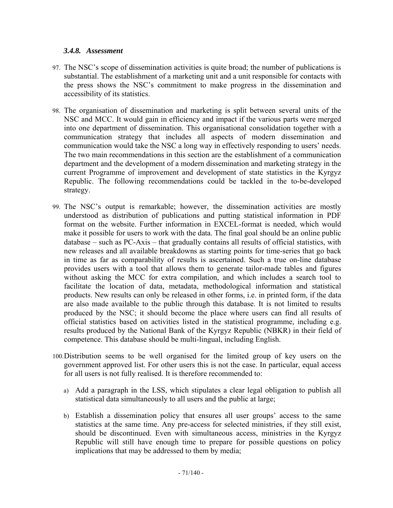#### *3.4.8. Assessment*

- 97. The NSC's scope of dissemination activities is quite broad; the number of publications is substantial. The establishment of a marketing unit and a unit responsible for contacts with the press shows the NSC's commitment to make progress in the dissemination and accessibility of its statistics.
- 98. The organisation of dissemination and marketing is split between several units of the NSC and MCC. It would gain in efficiency and impact if the various parts were merged into one department of dissemination. This organisational consolidation together with a communication strategy that includes all aspects of modern dissemination and communication would take the NSC a long way in effectively responding to users' needs. The two main recommendations in this section are the establishment of a communication department and the development of a modern dissemination and marketing strategy in the current Programme of improvement and development of state statistics in the Kyrgyz Republic. The following recommendations could be tackled in the to-be-developed strategy.
- 99. The NSC's output is remarkable; however, the dissemination activities are mostly understood as distribution of publications and putting statistical information in PDF format on the website. Further information in EXCEL-format is needed, which would make it possible for users to work with the data. The final goal should be an online public database – such as PC-Axis – that gradually contains all results of official statistics, with new releases and all available breakdowns as starting points for time-series that go back in time as far as comparability of results is ascertained. Such a true on-line database provides users with a tool that allows them to generate tailor-made tables and figures without asking the MCC for extra compilation, and which includes a search tool to facilitate the location of data, metadata, methodological information and statistical products. New results can only be released in other forms, i.e. in printed form, if the data are also made available to the public through this database. It is not limited to results produced by the NSC; it should become the place where users can find all results of official statistics based on activities listed in the statistical programme, including e.g. results produced by the National Bank of the Kyrgyz Republic (NBKR) in their field of competence. This database should be multi-lingual, including English.
- 100.Distribution seems to be well organised for the limited group of key users on the government approved list. For other users this is not the case. In particular, equal access for all users is not fully realised. It is therefore recommended to:
	- a) Add a paragraph in the LSS, which stipulates a clear legal obligation to publish all statistical data simultaneously to all users and the public at large;
	- b) Establish a dissemination policy that ensures all user groups' access to the same statistics at the same time. Any pre-access for selected ministries, if they still exist, should be discontinued. Even with simultaneous access, ministries in the Kyrgyz Republic will still have enough time to prepare for possible questions on policy implications that may be addressed to them by media;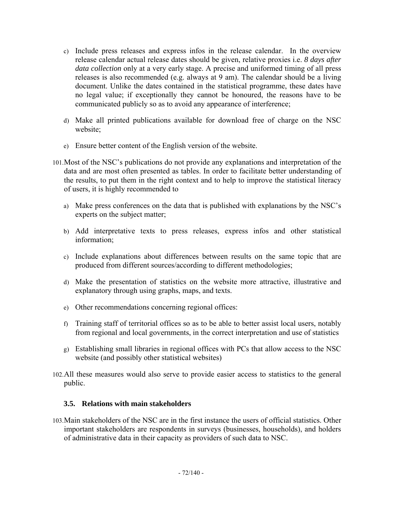- c) Include press releases and express infos in the release calendar. In the overview release calendar actual release dates should be given, relative proxies i.e. *8 days after data collection* only at a very early stage. A precise and uniformed timing of all press releases is also recommended (e.g. always at 9 am). The calendar should be a living document. Unlike the dates contained in the statistical programme, these dates have no legal value; if exceptionally they cannot be honoured, the reasons have to be communicated publicly so as to avoid any appearance of interference;
- d) Make all printed publications available for download free of charge on the NSC website;
- e) Ensure better content of the English version of the website.
- 101.Most of the NSC's publications do not provide any explanations and interpretation of the data and are most often presented as tables. In order to facilitate better understanding of the results, to put them in the right context and to help to improve the statistical literacy of users, it is highly recommended to
	- a) Make press conferences on the data that is published with explanations by the NSC's experts on the subject matter;
	- b) Add interpretative texts to press releases, express infos and other statistical information;
	- c) Include explanations about differences between results on the same topic that are produced from different sources/according to different methodologies;
	- d) Make the presentation of statistics on the website more attractive, illustrative and explanatory through using graphs, maps, and texts.
	- e) Other recommendations concerning regional offices:
	- f) Training staff of territorial offices so as to be able to better assist local users, notably from regional and local governments, in the correct interpretation and use of statistics
	- g) Establishing small libraries in regional offices with PCs that allow access to the NSC website (and possibly other statistical websites)
- 102.All these measures would also serve to provide easier access to statistics to the general public.

## **3.5. Relations with main stakeholders**

103.Main stakeholders of the NSC are in the first instance the users of official statistics. Other important stakeholders are respondents in surveys (businesses, households), and holders of administrative data in their capacity as providers of such data to NSC.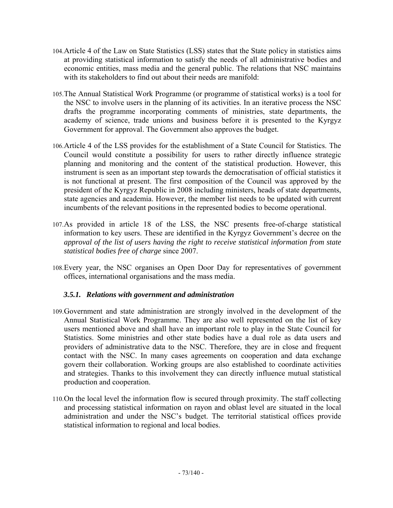- 104.Article 4 of the Law on State Statistics (LSS) states that the State policy in statistics aims at providing statistical information to satisfy the needs of all administrative bodies and economic entities, mass media and the general public. The relations that NSC maintains with its stakeholders to find out about their needs are manifold:
- 105.The Annual Statistical Work Programme (or programme of statistical works) is a tool for the NSC to involve users in the planning of its activities. In an iterative process the NSC drafts the programme incorporating comments of ministries, state departments, the academy of science, trade unions and business before it is presented to the Kyrgyz Government for approval. The Government also approves the budget.
- 106.Article 4 of the LSS provides for the establishment of a State Council for Statistics. The Council would constitute a possibility for users to rather directly influence strategic planning and monitoring and the content of the statistical production. However, this instrument is seen as an important step towards the democratisation of official statistics it is not functional at present. The first composition of the Council was approved by the president of the Kyrgyz Republic in 2008 including ministers, heads of state departments, state agencies and academia. However, the member list needs to be updated with current incumbents of the relevant positions in the represented bodies to become operational.
- 107.As provided in article 18 of the LSS, the NSC presents free-of-charge statistical information to key users. These are identified in the Kyrgyz Government's decree on the *approval of the list of users having the right to receive statistical information from state statistical bodies free of charge* since 2007.
- 108.Every year, the NSC organises an Open Door Day for representatives of government offices, international organisations and the mass media.

#### *3.5.1. Relations with government and administration*

- 109.Government and state administration are strongly involved in the development of the Annual Statistical Work Programme. They are also well represented on the list of key users mentioned above and shall have an important role to play in the State Council for Statistics. Some ministries and other state bodies have a dual role as data users and providers of administrative data to the NSC. Therefore, they are in close and frequent contact with the NSC. In many cases agreements on cooperation and data exchange govern their collaboration. Working groups are also established to coordinate activities and strategies. Thanks to this involvement they can directly influence mutual statistical production and cooperation.
- 110.On the local level the information flow is secured through proximity. The staff collecting and processing statistical information on rayon and oblast level are situated in the local administration and under the NSC's budget. The territorial statistical offices provide statistical information to regional and local bodies.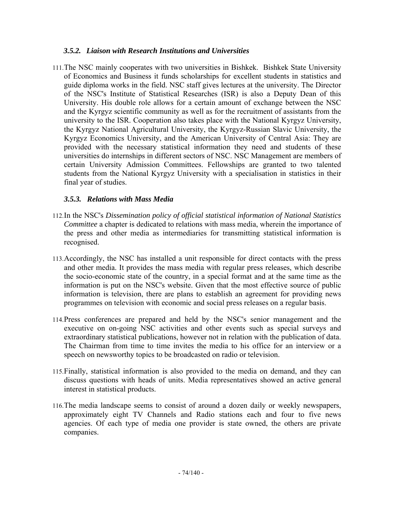#### *3.5.2. Liaison with Research Institutions and Universities*

111.The NSC mainly cooperates with two universities in Bishkek. Bishkek State University of Economics and Business it funds scholarships for excellent students in statistics and guide diploma works in the field. NSC staff gives lectures at the university. The Director of the NSC's Institute of Statistical Researches (ISR) is also a Deputy Dean of this University. His double role allows for a certain amount of exchange between the NSC and the Kyrgyz scientific community as well as for the recruitment of assistants from the university to the ISR. Cooperation also takes place with the National Kyrgyz University, the Kyrgyz National Agricultural University, the Kyrgyz-Russian Slavic University, the Kyrgyz Economics University, and the American University of Central Asia: They are provided with the necessary statistical information they need and students of these universities do internships in different sectors of NSC. NSC Management are members of certain University Admission Committees. Fellowships are granted to two talented students from the National Kyrgyz University with a specialisation in statistics in their final year of studies.

#### *3.5.3. Relations with Mass Media*

- 112.In the NSC's *Dissemination policy of official statistical information of National Statistics Committee* a chapter is dedicated to relations with mass media, wherein the importance of the press and other media as intermediaries for transmitting statistical information is recognised.
- 113.Accordingly, the NSC has installed a unit responsible for direct contacts with the press and other media. It provides the mass media with regular press releases, which describe the socio-economic state of the country, in a special format and at the same time as the information is put on the NSC's website. Given that the most effective source of public information is television, there are plans to establish an agreement for providing news programmes on television with economic and social press releases on a regular basis.
- 114.Press conferences are prepared and held by the NSC's senior management and the executive on on-going NSC activities and other events such as special surveys and extraordinary statistical publications, however not in relation with the publication of data. The Chairman from time to time invites the media to his office for an interview or a speech on newsworthy topics to be broadcasted on radio or television.
- 115.Finally, statistical information is also provided to the media on demand, and they can discuss questions with heads of units. Media representatives showed an active general interest in statistical products.
- 116.The media landscape seems to consist of around a dozen daily or weekly newspapers, approximately eight TV Channels and Radio stations each and four to five news agencies. Of each type of media one provider is state owned, the others are private companies.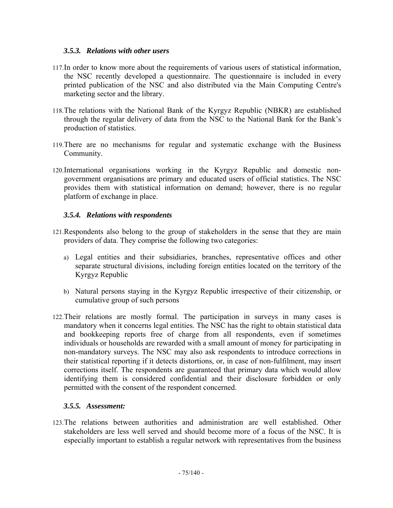#### *3.5.3. Relations with other users*

- 117.In order to know more about the requirements of various users of statistical information, the NSC recently developed a questionnaire. The questionnaire is included in every printed publication of the NSC and also distributed via the Main Computing Centre's marketing sector and the library.
- 118.The relations with the National Bank of the Kyrgyz Republic (NBKR) are established through the regular delivery of data from the NSC to the National Bank for the Bank's production of statistics.
- 119.There are no mechanisms for regular and systematic exchange with the Business Community.
- 120.International organisations working in the Kyrgyz Republic and domestic nongovernment organisations are primary and educated users of official statistics. The NSC provides them with statistical information on demand; however, there is no regular platform of exchange in place.

### *3.5.4. Relations with respondents*

- 121.Respondents also belong to the group of stakeholders in the sense that they are main providers of data. They comprise the following two categories:
	- a) Legal entities and their subsidiaries, branches, representative offices and other separate structural divisions, including foreign entities located on the territory of the Kyrgyz Republic
	- b) Natural persons staying in the Kyrgyz Republic irrespective of their citizenship, or cumulative group of such persons
- 122.Their relations are mostly formal. The participation in surveys in many cases is mandatory when it concerns legal entities. The NSC has the right to obtain statistical data and bookkeeping reports free of charge from all respondents, even if sometimes individuals or households are rewarded with a small amount of money for participating in non-mandatory surveys. The NSC may also ask respondents to introduce corrections in their statistical reporting if it detects distortions, or, in case of non-fulfilment, may insert corrections itself. The respondents are guaranteed that primary data which would allow identifying them is considered confidential and their disclosure forbidden or only permitted with the consent of the respondent concerned.

#### *3.5.5. Assessment:*

123.The relations between authorities and administration are well established. Other stakeholders are less well served and should become more of a focus of the NSC. It is especially important to establish a regular network with representatives from the business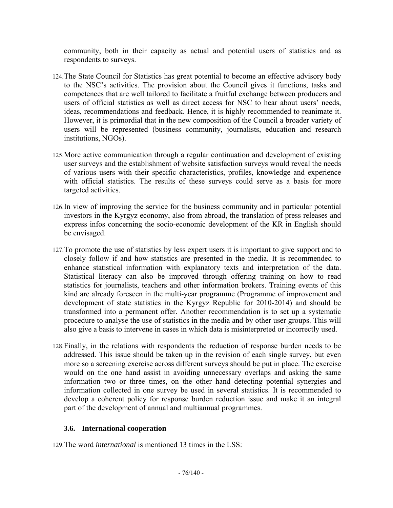community, both in their capacity as actual and potential users of statistics and as respondents to surveys.

- 124.The State Council for Statistics has great potential to become an effective advisory body to the NSC's activities. The provision about the Council gives it functions, tasks and competences that are well tailored to facilitate a fruitful exchange between producers and users of official statistics as well as direct access for NSC to hear about users' needs, ideas, recommendations and feedback. Hence, it is highly recommended to reanimate it. However, it is primordial that in the new composition of the Council a broader variety of users will be represented (business community, journalists, education and research institutions, NGOs).
- 125.More active communication through a regular continuation and development of existing user surveys and the establishment of website satisfaction surveys would reveal the needs of various users with their specific characteristics, profiles, knowledge and experience with official statistics. The results of these surveys could serve as a basis for more targeted activities.
- 126.In view of improving the service for the business community and in particular potential investors in the Kyrgyz economy, also from abroad, the translation of press releases and express infos concerning the socio-economic development of the KR in English should be envisaged.
- 127.To promote the use of statistics by less expert users it is important to give support and to closely follow if and how statistics are presented in the media. It is recommended to enhance statistical information with explanatory texts and interpretation of the data. Statistical literacy can also be improved through offering training on how to read statistics for journalists, teachers and other information brokers. Training events of this kind are already foreseen in the multi-year programme (Programme of improvement and development of state statistics in the Kyrgyz Republic for 2010-2014) and should be transformed into a permanent offer. Another recommendation is to set up a systematic procedure to analyse the use of statistics in the media and by other user groups. This will also give a basis to intervene in cases in which data is misinterpreted or incorrectly used.
- 128.Finally, in the relations with respondents the reduction of response burden needs to be addressed. This issue should be taken up in the revision of each single survey, but even more so a screening exercise across different surveys should be put in place. The exercise would on the one hand assist in avoiding unnecessary overlaps and asking the same information two or three times, on the other hand detecting potential synergies and information collected in one survey be used in several statistics. It is recommended to develop a coherent policy for response burden reduction issue and make it an integral part of the development of annual and multiannual programmes.

# **3.6. International cooperation**

129.The word *international* is mentioned 13 times in the LSS: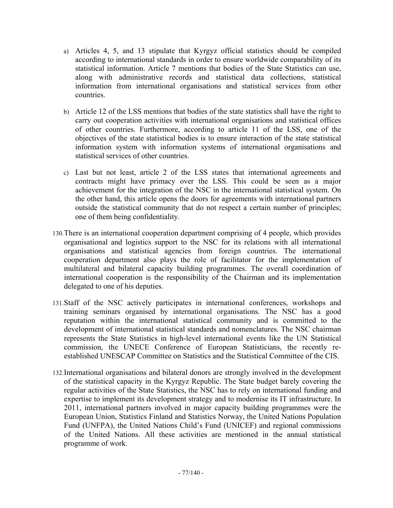- a) Articles 4, 5, and 13 stipulate that Kyrgyz official statistics should be compiled according to international standards in order to ensure worldwide comparability of its statistical information. Article 7 mentions that bodies of the State Statistics can use, along with administrative records and statistical data collections, statistical information from international organisations and statistical services from other countries.
- b) Article 12 of the LSS mentions that bodies of the state statistics shall have the right to carry out cooperation activities with international organisations and statistical offices of other countries. Furthermore, according to article 11 of the LSS, one of the objectives of the state statistical bodies is to ensure interaction of the state statistical information system with information systems of international organisations and statistical services of other countries.
- c) Last but not least, article 2 of the LSS states that international agreements and contracts might have primacy over the LSS. This could be seen as a major achievement for the integration of the NSC in the international statistical system. On the other hand, this article opens the doors for agreements with international partners outside the statistical community that do not respect a certain number of principles; one of them being confidentiality.
- 130.There is an international cooperation department comprising of 4 people, which provides organisational and logistics support to the NSC for its relations with all international organisations and statistical agencies from foreign countries. The international cooperation department also plays the role of facilitator for the implementation of multilateral and bilateral capacity building programmes. The overall coordination of international cooperation is the responsibility of the Chairman and its implementation delegated to one of his deputies.
- 131.Staff of the NSC actively participates in international conferences, workshops and training seminars organised by international organisations. The NSC has a good reputation within the international statistical community and is committed to the development of international statistical standards and nomenclatures. The NSC chairman represents the State Statistics in high-level international events like the UN Statistical commission, the UNECE Conference of European Statisticians, the recently reestablished UNESCAP Committee on Statistics and the Statistical Committee of the CIS.
- 132.International organisations and bilateral donors are strongly involved in the development of the statistical capacity in the Kyrgyz Republic. The State budget barely covering the regular activities of the State Statistics, the NSC has to rely on international funding and expertise to implement its development strategy and to modernise its IT infrastructure. In 2011, international partners involved in major capacity building programmes were the European Union, Statistics Finland and Statistics Norway, the United Nations Population Fund (UNFPA), the United Nations Child's Fund (UNICEF) and regional commissions of the United Nations. All these activities are mentioned in the annual statistical programme of work.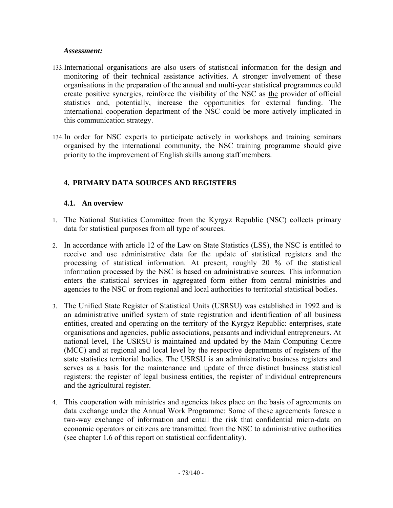#### *Assessment:*

- 133.International organisations are also users of statistical information for the design and monitoring of their technical assistance activities. A stronger involvement of these organisations in the preparation of the annual and multi-year statistical programmes could create positive synergies, reinforce the visibility of the NSC as the provider of official statistics and, potentially, increase the opportunities for external funding. The international cooperation department of the NSC could be more actively implicated in this communication strategy.
- 134.In order for NSC experts to participate actively in workshops and training seminars organised by the international community, the NSC training programme should give priority to the improvement of English skills among staff members.

# **4. PRIMARY DATA SOURCES AND REGISTERS**

### **4.1. An overview**

- 1. The National Statistics Committee from the Kyrgyz Republic (NSC) collects primary data for statistical purposes from all type of sources.
- 2. In accordance with article 12 of the Law on State Statistics (LSS), the NSC is entitled to receive and use administrative data for the update of statistical registers and the processing of statistical information. At present, roughly 20 % of the statistical information processed by the NSC is based on administrative sources. This information enters the statistical services in aggregated form either from central ministries and agencies to the NSC or from regional and local authorities to territorial statistical bodies.
- 3. The Unified State Register of Statistical Units (USRSU) was established in 1992 and is an administrative unified system of state registration and identification of all business entities, created and operating on the territory of the Kyrgyz Republic: enterprises, state organisations and agencies, public associations, peasants and individual entrepreneurs. At national level, The USRSU is maintained and updated by the Main Computing Centre (MCC) and at regional and local level by the respective departments of registers of the state statistics territorial bodies. The USRSU is an administrative business registers and serves as a basis for the maintenance and update of three distinct business statistical registers: the register of legal business entities, the register of individual entrepreneurs and the agricultural register.
- 4. This cooperation with ministries and agencies takes place on the basis of agreements on data exchange under the Annual Work Programme: Some of these agreements foresee a two-way exchange of information and entail the risk that confidential micro-data on economic operators or citizens are transmitted from the NSC to administrative authorities (see chapter 1.6 of this report on statistical confidentiality).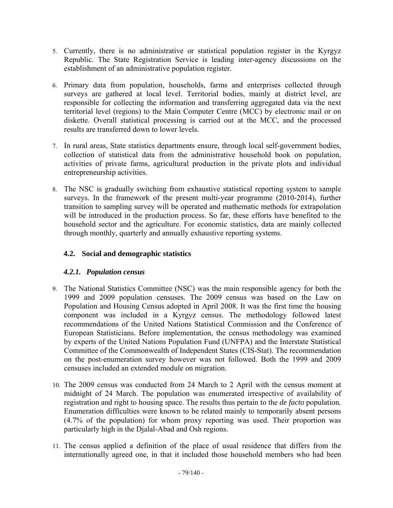- 5. Currently, there is no administrative or statistical population register in the Kyrgyz Republic. The State Registration Service is leading inter-agency discussions on the establishment of an administrative population register.
- 6. Primary data from population, households, farms and enterprises collected through surveys are gathered at local level. Territorial bodies, mainly at district level, are responsible for collecting the information and transferring aggregated data via the next territorial level (regions) to the Main Computer Centre (MCC) by electronic mail or on diskette. Overall statistical processing is carried out at the MCC, and the processed results are transferred down to lower levels.
- 7. In rural areas, State statistics departments ensure, through local self-government bodies, collection of statistical data from the administrative household book on population, activities of private farms, agricultural production in the private plots and individual entrepreneurship activities.
- 8. The NSC is gradually switching from exhaustive statistical reporting system to sample surveys. In the framework of the present multi-year programme (2010-2014), further transition to sampling survey will be operated and mathematic methods for extrapolation will be introduced in the production process. So far, these efforts have benefited to the household sector and the agriculture. For economic statistics, data are mainly collected through monthly, quarterly and annually exhaustive reporting systems.

# **4.2. Social and demographic statistics**

# *4.2.1. Population census*

- 9. The National Statistics Committee (NSC) was the main responsible agency for both the 1999 and 2009 population censuses. The 2009 census was based on the Law on Population and Housing Census adopted in April 2008. It was the first time the housing component was included in a Kyrgyz census. The methodology followed latest recommendations of the United Nations Statistical Commission and the Conference of European Statisticians. Before implementation, the census methodology was examined by experts of the United Nations Population Fund (UNFPA) and the Interstate Statistical Committee of the Commonwealth of Independent States (CIS-Stat). The recommendation on the post-enumeration survey however was not followed. Both the 1999 and 2009 censuses included an extended module on migration.
- 10. The 2009 census was conducted from 24 March to 2 April with the census moment at midnight of 24 March. The population was enumerated irrespective of availability of registration and right to housing space. The results thus pertain to the *de facto* population. Enumeration difficulties were known to be related mainly to temporarily absent persons (4.7% of the population) for whom proxy reporting was used. Their proportion was particularly high in the Djalal-Abad and Osh regions.
- 11. The census applied a definition of the place of usual residence that differs from the internationally agreed one, in that it included those household members who had been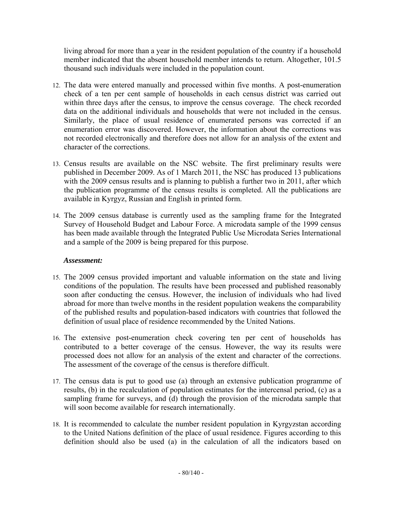living abroad for more than a year in the resident population of the country if a household member indicated that the absent household member intends to return. Altogether, 101.5 thousand such individuals were included in the population count.

- 12. The data were entered manually and processed within five months. A post-enumeration check of a ten per cent sample of households in each census district was carried out within three days after the census, to improve the census coverage. The check recorded data on the additional individuals and households that were not included in the census. Similarly, the place of usual residence of enumerated persons was corrected if an enumeration error was discovered. However, the information about the corrections was not recorded electronically and therefore does not allow for an analysis of the extent and character of the corrections.
- 13. Census results are available on the NSC website. The first preliminary results were published in December 2009. As of 1 March 2011, the NSC has produced 13 publications with the 2009 census results and is planning to publish a further two in 2011, after which the publication programme of the census results is completed. All the publications are available in Kyrgyz, Russian and English in printed form.
- 14. The 2009 census database is currently used as the sampling frame for the Integrated Survey of Household Budget and Labour Force. A microdata sample of the 1999 census has been made available through the Integrated Public Use Microdata Series International and a sample of the 2009 is being prepared for this purpose.

#### *Assessment:*

- 15. The 2009 census provided important and valuable information on the state and living conditions of the population. The results have been processed and published reasonably soon after conducting the census. However, the inclusion of individuals who had lived abroad for more than twelve months in the resident population weakens the comparability of the published results and population-based indicators with countries that followed the definition of usual place of residence recommended by the United Nations.
- 16. The extensive post-enumeration check covering ten per cent of households has contributed to a better coverage of the census. However, the way its results were processed does not allow for an analysis of the extent and character of the corrections. The assessment of the coverage of the census is therefore difficult.
- 17. The census data is put to good use (a) through an extensive publication programme of results, (b) in the recalculation of population estimates for the intercensal period, (c) as a sampling frame for surveys, and (d) through the provision of the microdata sample that will soon become available for research internationally.
- 18. It is recommended to calculate the number resident population in Kyrgyzstan according to the United Nations definition of the place of usual residence. Figures according to this definition should also be used (a) in the calculation of all the indicators based on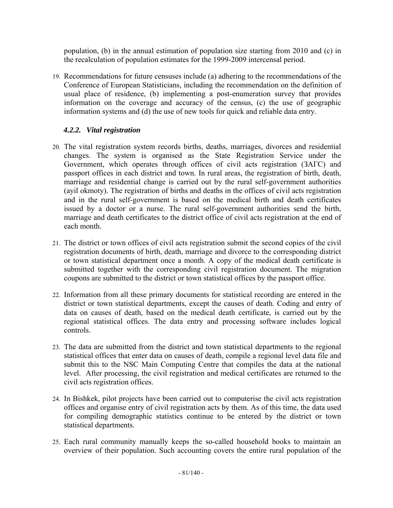population, (b) in the annual estimation of population size starting from 2010 and (c) in the recalculation of population estimates for the 1999-2009 intercensal period.

19. Recommendations for future censuses include (a) adhering to the recommendations of the Conference of European Statisticians, including the recommendation on the definition of usual place of residence, (b) implementing a post-enumeration survey that provides information on the coverage and accuracy of the census, (c) the use of geographic information systems and (d) the use of new tools for quick and reliable data entry.

# *4.2.2. Vital registration*

- 20. The vital registration system records births, deaths, marriages, divorces and residential changes. The system is organised as the State Registration Service under the Government, which operates through offices of civil acts registration (ЗАГС) and passport offices in each district and town. In rural areas, the registration of birth, death, marriage and residential change is carried out by the rural self-government authorities (ayil okmoty). The registration of births and deaths in the offices of civil acts registration and in the rural self-government is based on the medical birth and death certificates issued by a doctor or a nurse. The rural self-government authorities send the birth, marriage and death certificates to the district office of civil acts registration at the end of each month.
- 21. The district or town offices of civil acts registration submit the second copies of the civil registration documents of birth, death, marriage and divorce to the corresponding district or town statistical department once a month. A copy of the medical death certificate is submitted together with the corresponding civil registration document. The migration coupons are submitted to the district or town statistical offices by the passport office.
- 22. Information from all these primary documents for statistical recording are entered in the district or town statistical departments, except the causes of death. Coding and entry of data on causes of death, based on the medical death certificate, is carried out by the regional statistical offices. The data entry and processing software includes logical controls.
- 23. The data are submitted from the district and town statistical departments to the regional statistical offices that enter data on causes of death, compile a regional level data file and submit this to the NSC Main Computing Centre that compiles the data at the national level. After processing, the civil registration and medical certificates are returned to the civil acts registration offices.
- 24. In Bishkek, pilot projects have been carried out to computerise the civil acts registration offices and organise entry of civil registration acts by them. As of this time, the data used for compiling demographic statistics continue to be entered by the district or town statistical departments.
- 25. Each rural community manually keeps the so-called household books to maintain an overview of their population. Such accounting covers the entire rural population of the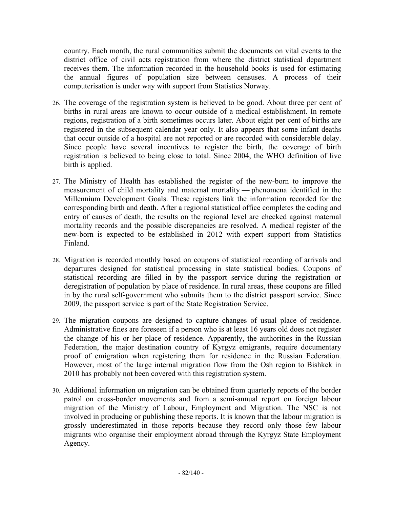country. Each month, the rural communities submit the documents on vital events to the district office of civil acts registration from where the district statistical department receives them. The information recorded in the household books is used for estimating the annual figures of population size between censuses. A process of their computerisation is under way with support from Statistics Norway.

- 26. The coverage of the registration system is believed to be good. About three per cent of births in rural areas are known to occur outside of a medical establishment. In remote regions, registration of a birth sometimes occurs later. About eight per cent of births are registered in the subsequent calendar year only. It also appears that some infant deaths that occur outside of a hospital are not reported or are recorded with considerable delay. Since people have several incentives to register the birth, the coverage of birth registration is believed to being close to total. Since 2004, the WHO definition of live birth is applied.
- 27. The Ministry of Health has established the register of the new-born to improve the measurement of child mortality and maternal mortality — phenomena identified in the Millennium Development Goals. These registers link the information recorded for the corresponding birth and death. After a regional statistical office completes the coding and entry of causes of death, the results on the regional level are checked against maternal mortality records and the possible discrepancies are resolved. A medical register of the new-born is expected to be established in 2012 with expert support from Statistics Finland.
- 28. Migration is recorded monthly based on coupons of statistical recording of arrivals and departures designed for statistical processing in state statistical bodies. Coupons of statistical recording are filled in by the passport service during the registration or deregistration of population by place of residence. In rural areas, these coupons are filled in by the rural self-government who submits them to the district passport service. Since 2009, the passport service is part of the State Registration Service.
- 29. The migration coupons are designed to capture changes of usual place of residence. Administrative fines are foreseen if a person who is at least 16 years old does not register the change of his or her place of residence. Apparently, the authorities in the Russian Federation, the major destination country of Kyrgyz emigrants, require documentary proof of emigration when registering them for residence in the Russian Federation. However, most of the large internal migration flow from the Osh region to Bishkek in 2010 has probably not been covered with this registration system.
- 30. Additional information on migration can be obtained from quarterly reports of the border patrol on cross-border movements and from a semi-annual report on foreign labour migration of the Ministry of Labour, Employment and Migration. The NSC is not involved in producing or publishing these reports. It is known that the labour migration is grossly underestimated in those reports because they record only those few labour migrants who organise their employment abroad through the Kyrgyz State Employment Agency.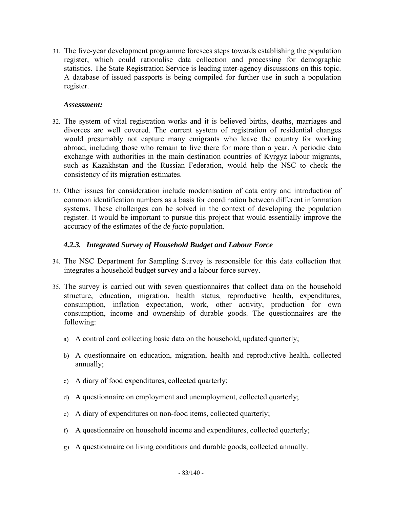31. The five-year development programme foresees steps towards establishing the population register, which could rationalise data collection and processing for demographic statistics. The State Registration Service is leading inter-agency discussions on this topic. A database of issued passports is being compiled for further use in such a population register.

#### *Assessment:*

- 32. The system of vital registration works and it is believed births, deaths, marriages and divorces are well covered. The current system of registration of residential changes would presumably not capture many emigrants who leave the country for working abroad, including those who remain to live there for more than a year. A periodic data exchange with authorities in the main destination countries of Kyrgyz labour migrants, such as Kazakhstan and the Russian Federation, would help the NSC to check the consistency of its migration estimates.
- 33. Other issues for consideration include modernisation of data entry and introduction of common identification numbers as a basis for coordination between different information systems. These challenges can be solved in the context of developing the population register. It would be important to pursue this project that would essentially improve the accuracy of the estimates of the *de facto* population.

#### *4.2.3. Integrated Survey of Household Budget and Labour Force*

- 34. The NSC Department for Sampling Survey is responsible for this data collection that integrates a household budget survey and a labour force survey.
- 35. The survey is carried out with seven questionnaires that collect data on the household structure, education, migration, health status, reproductive health, expenditures, consumption, inflation expectation, work, other activity, production for own consumption, income and ownership of durable goods. The questionnaires are the following:
	- a) A control card collecting basic data on the household, updated quarterly;
	- b) A questionnaire on education, migration, health and reproductive health, collected annually;
	- c) A diary of food expenditures, collected quarterly;
	- d) A questionnaire on employment and unemployment, collected quarterly;
	- e) A diary of expenditures on non-food items, collected quarterly;
	- f) A questionnaire on household income and expenditures, collected quarterly;
	- g) A questionnaire on living conditions and durable goods, collected annually.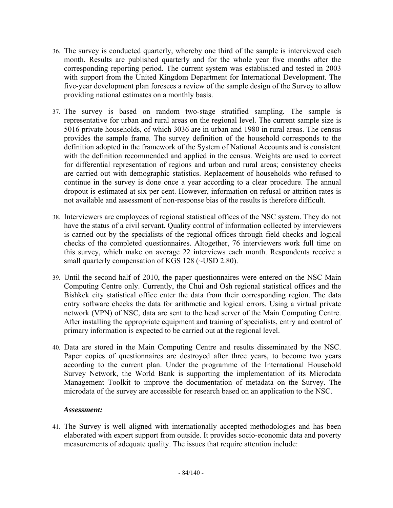- 36. The survey is conducted quarterly, whereby one third of the sample is interviewed each month. Results are published quarterly and for the whole year five months after the corresponding reporting period. The current system was established and tested in 2003 with support from the United Kingdom Department for International Development. The five-year development plan foresees a review of the sample design of the Survey to allow providing national estimates on a monthly basis.
- 37. The survey is based on random two-stage stratified sampling. The sample is representative for urban and rural areas on the regional level. The current sample size is 5016 private households, of which 3036 are in urban and 1980 in rural areas. The census provides the sample frame. The survey definition of the household corresponds to the definition adopted in the framework of the System of National Accounts and is consistent with the definition recommended and applied in the census. Weights are used to correct for differential representation of regions and urban and rural areas; consistency checks are carried out with demographic statistics. Replacement of households who refused to continue in the survey is done once a year according to a clear procedure. The annual dropout is estimated at six per cent. However, information on refusal or attrition rates is not available and assessment of non-response bias of the results is therefore difficult.
- 38. Interviewers are employees of regional statistical offices of the NSC system. They do not have the status of a civil servant. Quality control of information collected by interviewers is carried out by the specialists of the regional offices through field checks and logical checks of the completed questionnaires. Altogether, 76 interviewers work full time on this survey, which make on average 22 interviews each month. Respondents receive a small quarterly compensation of KGS 128 (~USD 2.80).
- 39. Until the second half of 2010, the paper questionnaires were entered on the NSC Main Computing Centre only. Currently, the Chui and Osh regional statistical offices and the Bishkek city statistical office enter the data from their corresponding region. The data entry software checks the data for arithmetic and logical errors. Using a virtual private network (VPN) of NSC, data are sent to the head server of the Main Computing Centre. After installing the appropriate equipment and training of specialists, entry and control of primary information is expected to be carried out at the regional level.
- 40. Data are stored in the Main Computing Centre and results disseminated by the NSC. Paper copies of questionnaires are destroyed after three years, to become two years according to the current plan. Under the programme of the International Household Survey Network, the World Bank is supporting the implementation of its Microdata Management Toolkit to improve the documentation of metadata on the Survey. The microdata of the survey are accessible for research based on an application to the NSC.

#### *Assessment:*

41. The Survey is well aligned with internationally accepted methodologies and has been elaborated with expert support from outside. It provides socio-economic data and poverty measurements of adequate quality. The issues that require attention include: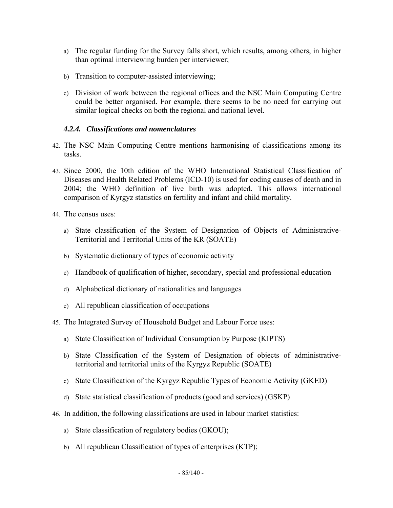- a) The regular funding for the Survey falls short, which results, among others, in higher than optimal interviewing burden per interviewer;
- b) Transition to computer-assisted interviewing;
- c) Division of work between the regional offices and the NSC Main Computing Centre could be better organised. For example, there seems to be no need for carrying out similar logical checks on both the regional and national level.

#### *4.2.4. Classifications and nomenclatures*

- 42. The NSC Main Computing Centre mentions harmonising of classifications among its tasks.
- 43. Since 2000, the 10th edition of the WHO International Statistical Classification of Diseases and Health Related Problems (ICD-10) is used for coding causes of death and in 2004; the WHO definition of live birth was adopted. This allows international comparison of Kyrgyz statistics on fertility and infant and child mortality.
- 44. The census uses:
	- a) State classification of the System of Designation of Objects of Administrative-Territorial and Territorial Units of the KR (SOATE)
	- b) Systematic dictionary of types of economic activity
	- c) Handbook of qualification of higher, secondary, special and professional education
	- d) Alphabetical dictionary of nationalities and languages
	- e) All republican classification of occupations
- 45. The Integrated Survey of Household Budget and Labour Force uses:
	- a) State Classification of Individual Consumption by Purpose (KIPTS)
	- b) State Classification of the System of Designation of objects of administrativeterritorial and territorial units of the Kyrgyz Republic (SOATE)
	- c) State Classification of the Kyrgyz Republic Types of Economic Activity (GKED)
	- d) State statistical classification of products (good and services) (GSKP)
- 46. In addition, the following classifications are used in labour market statistics:
	- a) State classification of regulatory bodies (GKOU);
	- b) All republican Classification of types of enterprises (KTP);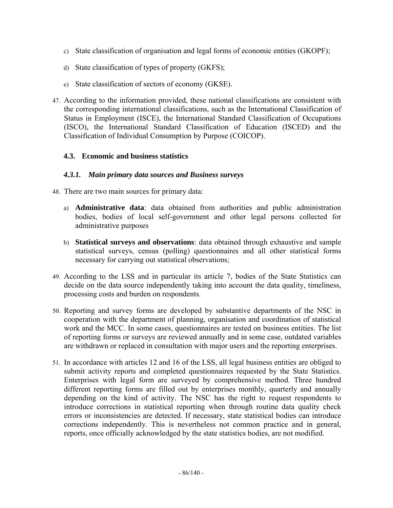- c) State classification of organisation and legal forms of economic entities (GKOPF);
- d) State classification of types of property (GKFS);
- e) State classification of sectors of economy (GKSE).
- 47. According to the information provided, these national classifications are consistent with the corresponding international classifications, such as the International Classification of Status in Employment (ISCE), the International Standard Classification of Occupations (ISCO), the International Standard Classification of Education (ISCED) and the Classification of Individual Consumption by Purpose (COICOP).

#### **4.3. Economic and business statistics**

#### *4.3.1. Main primary data sources and Business surveys*

- 48. There are two main sources for primary data:
	- a) **Administrative data**: data obtained from authorities and public administration bodies, bodies of local self-government and other legal persons collected for administrative purposes
	- b) **Statistical surveys and observations**: data obtained through exhaustive and sample statistical surveys, census (polling) questionnaires and all other statistical forms necessary for carrying out statistical observations;
- 49. According to the LSS and in particular its article 7, bodies of the State Statistics can decide on the data source independently taking into account the data quality, timeliness, processing costs and burden on respondents.
- 50. Reporting and survey forms are developed by substantive departments of the NSC in cooperation with the department of planning, organisation and coordination of statistical work and the MCC. In some cases, questionnaires are tested on business entities. The list of reporting forms or surveys are reviewed annually and in some case, outdated variables are withdrawn or replaced in consultation with major users and the reporting enterprises.
- 51. In accordance with articles 12 and 16 of the LSS, all legal business entities are obliged to submit activity reports and completed questionnaires requested by the State Statistics. Enterprises with legal form are surveyed by comprehensive method. Three hundred different reporting forms are filled out by enterprises monthly, quarterly and annually depending on the kind of activity. The NSC has the right to request respondents to introduce corrections in statistical reporting when through routine data quality check errors or inconsistencies are detected. If necessary, state statistical bodies can introduce corrections independently. This is nevertheless not common practice and in general, reports, once officially acknowledged by the state statistics bodies, are not modified.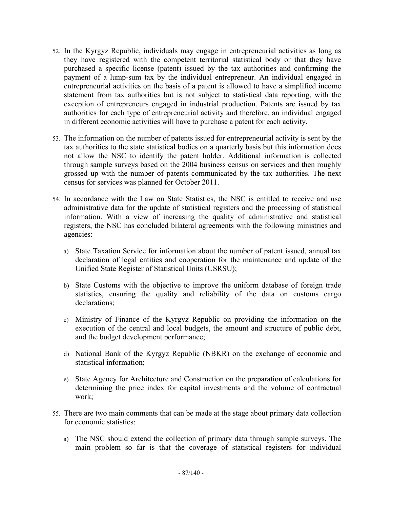- 52. In the Kyrgyz Republic, individuals may engage in entrepreneurial activities as long as they have registered with the competent territorial statistical body or that they have purchased a specific license (patent) issued by the tax authorities and confirming the payment of a lump-sum tax by the individual entrepreneur. An individual engaged in entrepreneurial activities on the basis of a patent is allowed to have a simplified income statement from tax authorities but is not subject to statistical data reporting, with the exception of entrepreneurs engaged in industrial production. Patents are issued by tax authorities for each type of entrepreneurial activity and therefore, an individual engaged in different economic activities will have to purchase a patent for each activity.
- 53. The information on the number of patents issued for entrepreneurial activity is sent by the tax authorities to the state statistical bodies on a quarterly basis but this information does not allow the NSC to identify the patent holder. Additional information is collected through sample surveys based on the 2004 business census on services and then roughly grossed up with the number of patents communicated by the tax authorities. The next census for services was planned for October 2011.
- 54. In accordance with the Law on State Statistics, the NSC is entitled to receive and use administrative data for the update of statistical registers and the processing of statistical information. With a view of increasing the quality of administrative and statistical registers, the NSC has concluded bilateral agreements with the following ministries and agencies:
	- a) State Taxation Service for information about the number of patent issued, annual tax declaration of legal entities and cooperation for the maintenance and update of the Unified State Register of Statistical Units (USRSU);
	- b) State Customs with the objective to improve the uniform database of foreign trade statistics, ensuring the quality and reliability of the data on customs cargo declarations;
	- c) Ministry of Finance of the Kyrgyz Republic on providing the information on the execution of the central and local budgets, the amount and structure of public debt, and the budget development performance;
	- d) National Bank of the Kyrgyz Republic (NBKR) on the exchange of economic and statistical information;
	- e) State Agency for Architecture and Construction on the preparation of calculations for determining the price index for capital investments and the volume of contractual work;
- 55. There are two main comments that can be made at the stage about primary data collection for economic statistics:
	- a) The NSC should extend the collection of primary data through sample surveys. The main problem so far is that the coverage of statistical registers for individual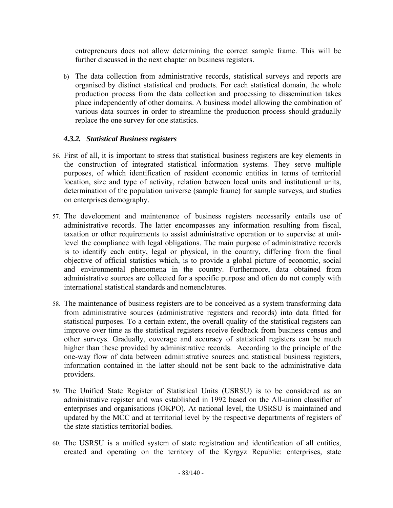entrepreneurs does not allow determining the correct sample frame. This will be further discussed in the next chapter on business registers.

b) The data collection from administrative records, statistical surveys and reports are organised by distinct statistical end products. For each statistical domain, the whole production process from the data collection and processing to dissemination takes place independently of other domains. A business model allowing the combination of various data sources in order to streamline the production process should gradually replace the one survey for one statistics.

# *4.3.2. Statistical Business registers*

- 56. First of all, it is important to stress that statistical business registers are key elements in the construction of integrated statistical information systems. They serve multiple purposes, of which identification of resident economic entities in terms of territorial location, size and type of activity, relation between local units and institutional units, determination of the population universe (sample frame) for sample surveys, and studies on enterprises demography.
- 57. The development and maintenance of business registers necessarily entails use of administrative records. The latter encompasses any information resulting from fiscal, taxation or other requirements to assist administrative operation or to supervise at unitlevel the compliance with legal obligations. The main purpose of administrative records is to identify each entity, legal or physical, in the country, differing from the final objective of official statistics which, is to provide a global picture of economic, social and environmental phenomena in the country. Furthermore, data obtained from administrative sources are collected for a specific purpose and often do not comply with international statistical standards and nomenclatures.
- 58. The maintenance of business registers are to be conceived as a system transforming data from administrative sources (administrative registers and records) into data fitted for statistical purposes. To a certain extent, the overall quality of the statistical registers can improve over time as the statistical registers receive feedback from business census and other surveys. Gradually, coverage and accuracy of statistical registers can be much higher than these provided by administrative records. According to the principle of the one-way flow of data between administrative sources and statistical business registers, information contained in the latter should not be sent back to the administrative data providers.
- 59. The Unified State Register of Statistical Units (USRSU) is to be considered as an administrative register and was established in 1992 based on the All-union classifier of enterprises and organisations (OKPO). At national level, the USRSU is maintained and updated by the MCC and at territorial level by the respective departments of registers of the state statistics territorial bodies.
- 60. The USRSU is a unified system of state registration and identification of all entities, created and operating on the territory of the Kyrgyz Republic: enterprises, state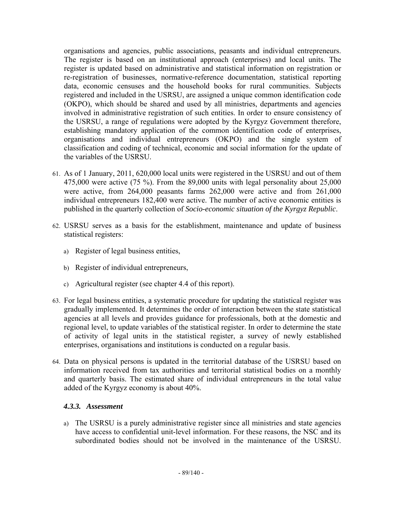organisations and agencies, public associations, peasants and individual entrepreneurs. The register is based on an institutional approach (enterprises) and local units. The register is updated based on administrative and statistical information on registration or re-registration of businesses, normative-reference documentation, statistical reporting data, economic censuses and the household books for rural communities. Subjects registered and included in the USRSU, are assigned a unique common identification code (OKPO), which should be shared and used by all ministries, departments and agencies involved in administrative registration of such entities. In order to ensure consistency of the USRSU, a range of regulations were adopted by the Kyrgyz Government therefore, establishing mandatory application of the common identification code of enterprises, organisations and individual entrepreneurs (OKPO) and the single system of classification and coding of technical, economic and social information for the update of the variables of the USRSU.

- 61. As of 1 January, 2011, 620,000 local units were registered in the USRSU and out of them 475,000 were active (75 %). From the 89,000 units with legal personality about 25,000 were active, from 264,000 peasants farms 262,000 were active and from 261,000 individual entrepreneurs 182,400 were active. The number of active economic entities is published in the quarterly collection of *Socio-economic situation of the Kyrgyz Republic*.
- 62. USRSU serves as a basis for the establishment, maintenance and update of business statistical registers:
	- a) Register of legal business entities,
	- b) Register of individual entrepreneurs,
	- c) Agricultural register (see chapter 4.4 of this report).
- 63. For legal business entities, a systematic procedure for updating the statistical register was gradually implemented. It determines the order of interaction between the state statistical agencies at all levels and provides guidance for professionals, both at the domestic and regional level, to update variables of the statistical register. In order to determine the state of activity of legal units in the statistical register, a survey of newly established enterprises, organisations and institutions is conducted on a regular basis.
- 64. Data on physical persons is updated in the territorial database of the USRSU based on information received from tax authorities and territorial statistical bodies on a monthly and quarterly basis. The estimated share of individual entrepreneurs in the total value added of the Kyrgyz economy is about 40%.

#### *4.3.3. Assessment*

a) The USRSU is a purely administrative register since all ministries and state agencies have access to confidential unit-level information. For these reasons, the NSC and its subordinated bodies should not be involved in the maintenance of the USRSU.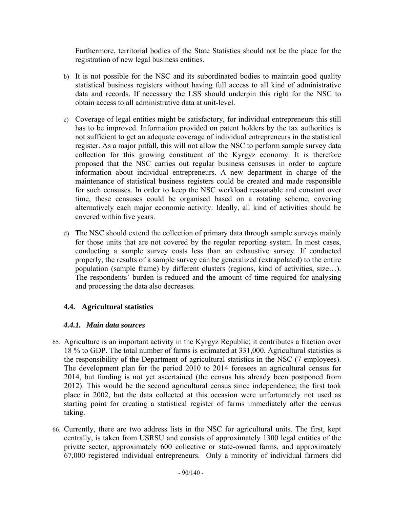Furthermore, territorial bodies of the State Statistics should not be the place for the registration of new legal business entities.

- b) It is not possible for the NSC and its subordinated bodies to maintain good quality statistical business registers without having full access to all kind of administrative data and records. If necessary the LSS should underpin this right for the NSC to obtain access to all administrative data at unit-level.
- c) Coverage of legal entities might be satisfactory, for individual entrepreneurs this still has to be improved. Information provided on patent holders by the tax authorities is not sufficient to get an adequate coverage of individual entrepreneurs in the statistical register. As a major pitfall, this will not allow the NSC to perform sample survey data collection for this growing constituent of the Kyrgyz economy. It is therefore proposed that the NSC carries out regular business censuses in order to capture information about individual entrepreneurs. A new department in charge of the maintenance of statistical business registers could be created and made responsible for such censuses. In order to keep the NSC workload reasonable and constant over time, these censuses could be organised based on a rotating scheme, covering alternatively each major economic activity. Ideally, all kind of activities should be covered within five years.
- d) The NSC should extend the collection of primary data through sample surveys mainly for those units that are not covered by the regular reporting system. In most cases, conducting a sample survey costs less than an exhaustive survey. If conducted properly, the results of a sample survey can be generalized (extrapolated) to the entire population (sample frame) by different clusters (regions, kind of activities, size…). The respondents' burden is reduced and the amount of time required for analysing and processing the data also decreases.

# **4.4. Agricultural statistics**

#### *4.4.1. Main data sources*

- 65. Agriculture is an important activity in the Kyrgyz Republic; it contributes a fraction over 18 % to GDP. The total number of farms is estimated at 331,000. Agricultural statistics is the responsibility of the Department of agricultural statistics in the NSC (7 employees). The development plan for the period 2010 to 2014 foresees an agricultural census for 2014, but funding is not yet ascertained (the census has already been postponed from 2012). This would be the second agricultural census since independence; the first took place in 2002, but the data collected at this occasion were unfortunately not used as starting point for creating a statistical register of farms immediately after the census taking.
- 66. Currently, there are two address lists in the NSC for agricultural units. The first, kept centrally, is taken from USRSU and consists of approximately 1300 legal entities of the private sector, approximately 600 collective or state-owned farms, and approximately 67,000 registered individual entrepreneurs. Only a minority of individual farmers did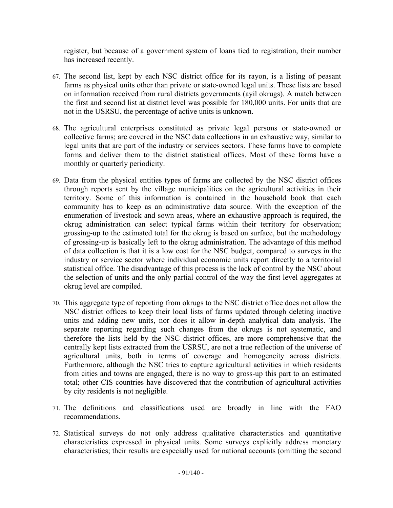register, but because of a government system of loans tied to registration, their number has increased recently.

- 67. The second list, kept by each NSC district office for its rayon, is a listing of peasant farms as physical units other than private or state-owned legal units. These lists are based on information received from rural districts governments (ayil okrugs). A match between the first and second list at district level was possible for 180,000 units. For units that are not in the USRSU, the percentage of active units is unknown.
- 68. The agricultural enterprises constituted as private legal persons or state-owned or collective farms; are covered in the NSC data collections in an exhaustive way, similar to legal units that are part of the industry or services sectors. These farms have to complete forms and deliver them to the district statistical offices. Most of these forms have a monthly or quarterly periodicity.
- 69. Data from the physical entities types of farms are collected by the NSC district offices through reports sent by the village municipalities on the agricultural activities in their territory. Some of this information is contained in the household book that each community has to keep as an administrative data source. With the exception of the enumeration of livestock and sown areas, where an exhaustive approach is required, the okrug administration can select typical farms within their territory for observation; grossing-up to the estimated total for the okrug is based on surface, but the methodology of grossing-up is basically left to the okrug administration. The advantage of this method of data collection is that it is a low cost for the NSC budget, compared to surveys in the industry or service sector where individual economic units report directly to a territorial statistical office. The disadvantage of this process is the lack of control by the NSC about the selection of units and the only partial control of the way the first level aggregates at okrug level are compiled.
- 70. This aggregate type of reporting from okrugs to the NSC district office does not allow the NSC district offices to keep their local lists of farms updated through deleting inactive units and adding new units, nor does it allow in-depth analytical data analysis. The separate reporting regarding such changes from the okrugs is not systematic, and therefore the lists held by the NSC district offices, are more comprehensive that the centrally kept lists extracted from the USRSU, are not a true reflection of the universe of agricultural units, both in terms of coverage and homogeneity across districts. Furthermore, although the NSC tries to capture agricultural activities in which residents from cities and towns are engaged, there is no way to gross-up this part to an estimated total; other CIS countries have discovered that the contribution of agricultural activities by city residents is not negligible.
- 71. The definitions and classifications used are broadly in line with the FAO recommendations.
- 72. Statistical surveys do not only address qualitative characteristics and quantitative characteristics expressed in physical units. Some surveys explicitly address monetary characteristics; their results are especially used for national accounts (omitting the second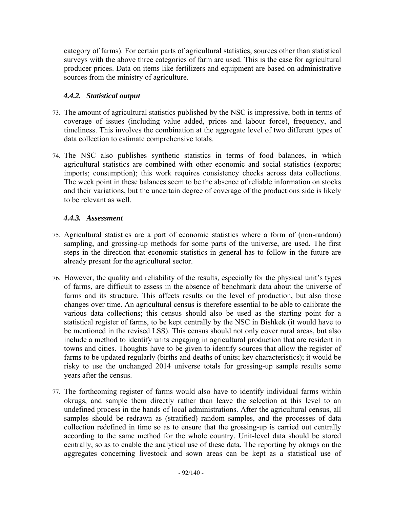category of farms). For certain parts of agricultural statistics, sources other than statistical surveys with the above three categories of farm are used. This is the case for agricultural producer prices. Data on items like fertilizers and equipment are based on administrative sources from the ministry of agriculture.

# *4.4.2. Statistical output*

- 73. The amount of agricultural statistics published by the NSC is impressive, both in terms of coverage of issues (including value added, prices and labour force), frequency, and timeliness. This involves the combination at the aggregate level of two different types of data collection to estimate comprehensive totals.
- 74. The NSC also publishes synthetic statistics in terms of food balances, in which agricultural statistics are combined with other economic and social statistics (exports; imports; consumption); this work requires consistency checks across data collections. The week point in these balances seem to be the absence of reliable information on stocks and their variations, but the uncertain degree of coverage of the productions side is likely to be relevant as well.

# *4.4.3. Assessment*

- 75. Agricultural statistics are a part of economic statistics where a form of (non-random) sampling, and grossing-up methods for some parts of the universe, are used. The first steps in the direction that economic statistics in general has to follow in the future are already present for the agricultural sector.
- 76. However, the quality and reliability of the results, especially for the physical unit's types of farms, are difficult to assess in the absence of benchmark data about the universe of farms and its structure. This affects results on the level of production, but also those changes over time. An agricultural census is therefore essential to be able to calibrate the various data collections; this census should also be used as the starting point for a statistical register of farms, to be kept centrally by the NSC in Bishkek (it would have to be mentioned in the revised LSS). This census should not only cover rural areas, but also include a method to identify units engaging in agricultural production that are resident in towns and cities. Thoughts have to be given to identify sources that allow the register of farms to be updated regularly (births and deaths of units; key characteristics); it would be risky to use the unchanged 2014 universe totals for grossing-up sample results some years after the census.
- 77. The forthcoming register of farms would also have to identify individual farms within okrugs, and sample them directly rather than leave the selection at this level to an undefined process in the hands of local administrations. After the agricultural census, all samples should be redrawn as (stratified) random samples, and the processes of data collection redefined in time so as to ensure that the grossing-up is carried out centrally according to the same method for the whole country. Unit-level data should be stored centrally, so as to enable the analytical use of these data. The reporting by okrugs on the aggregates concerning livestock and sown areas can be kept as a statistical use of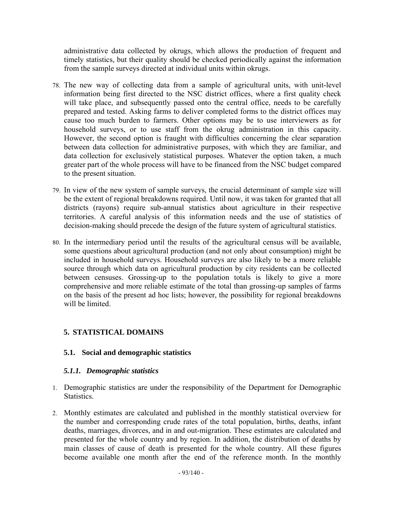administrative data collected by okrugs, which allows the production of frequent and timely statistics, but their quality should be checked periodically against the information from the sample surveys directed at individual units within okrugs.

- 78. The new way of collecting data from a sample of agricultural units, with unit-level information being first directed to the NSC district offices, where a first quality check will take place, and subsequently passed onto the central office, needs to be carefully prepared and tested. Asking farms to deliver completed forms to the district offices may cause too much burden to farmers. Other options may be to use interviewers as for household surveys, or to use staff from the okrug administration in this capacity. However, the second option is fraught with difficulties concerning the clear separation between data collection for administrative purposes, with which they are familiar, and data collection for exclusively statistical purposes. Whatever the option taken, a much greater part of the whole process will have to be financed from the NSC budget compared to the present situation.
- 79. In view of the new system of sample surveys, the crucial determinant of sample size will be the extent of regional breakdowns required. Until now, it was taken for granted that all districts (rayons) require sub-annual statistics about agriculture in their respective territories. A careful analysis of this information needs and the use of statistics of decision-making should precede the design of the future system of agricultural statistics.
- 80. In the intermediary period until the results of the agricultural census will be available, some questions about agricultural production (and not only about consumption) might be included in household surveys. Household surveys are also likely to be a more reliable source through which data on agricultural production by city residents can be collected between censuses. Grossing-up to the population totals is likely to give a more comprehensive and more reliable estimate of the total than grossing-up samples of farms on the basis of the present ad hoc lists; however, the possibility for regional breakdowns will be limited.

# **5. STATISTICAL DOMAINS**

# **5.1. Social and demographic statistics**

#### *5.1.1. Demographic statistics*

- 1. Demographic statistics are under the responsibility of the Department for Demographic Statistics.
- 2. Monthly estimates are calculated and published in the monthly statistical overview for the number and corresponding crude rates of the total population, births, deaths, infant deaths, marriages, divorces, and in and out-migration. These estimates are calculated and presented for the whole country and by region. In addition, the distribution of deaths by main classes of cause of death is presented for the whole country. All these figures become available one month after the end of the reference month. In the monthly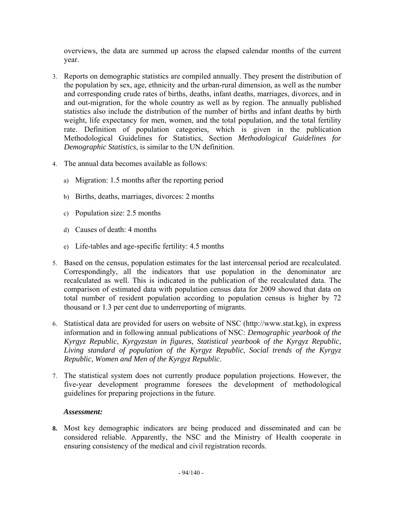overviews, the data are summed up across the elapsed calendar months of the current year.

- 3. Reports on demographic statistics are compiled annually. They present the distribution of the population by sex, age, ethnicity and the urban-rural dimension, as well as the number and corresponding crude rates of births, deaths, infant deaths, marriages, divorces, and in and out-migration, for the whole country as well as by region. The annually published statistics also include the distribution of the number of births and infant deaths by birth weight, life expectancy for men, women, and the total population, and the total fertility rate. Definition of population categories, which is given in the publication Methodological Guidelines for Statistics, Section *Methodological Guidelines for Demographic Statistics*, is similar to the UN definition.
- 4. The annual data becomes available as follows:
	- a) Migration: 1.5 months after the reporting period
	- b) Births, deaths, marriages, divorces: 2 months
	- c) Population size: 2.5 months
	- d) Causes of death: 4 months
	- e) Life-tables and age-specific fertility: 4.5 months
- 5. Based on the census, population estimates for the last intercensal period are recalculated. Correspondingly, all the indicators that use population in the denominator are recalculated as well. This is indicated in the publication of the recalculated data. The comparison of estimated data with population census data for 2009 showed that data on total number of resident population according to population census is higher by 72 thousand or 1.3 per cent due to underreporting of migrants.
- 6. Statistical data are provided for users on website of NSC (http://www.stat.kg), in express information and in following annual publications of NSC: *Demographic yearbook of the Kyrgyz Republic*, *Kyrgyzstan in figures*, *Statistical yearbook of the Kyrgyz Republic*, *Living standard of population of the Kyrgyz Republic*, *Social trends of the Kyrgyz Republic*, *Women and Men of the Kyrgyz Republic*.
- 7. The statistical system does not currently produce population projections. However, the five-year development programme foresees the development of methodological guidelines for preparing projections in the future.

#### *Assessment:*

**8.** Most key demographic indicators are being produced and disseminated and can be considered reliable. Apparently, the NSC and the Ministry of Health cooperate in ensuring consistency of the medical and civil registration records.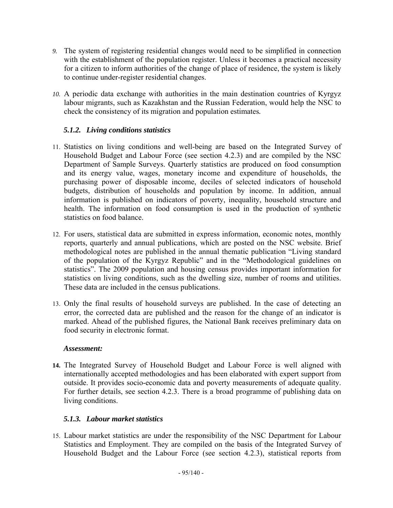- *9.* The system of registering residential changes would need to be simplified in connection with the establishment of the population register. Unless it becomes a practical necessity for a citizen to inform authorities of the change of place of residence, the system is likely to continue under-register residential changes.
- *10.* A periodic data exchange with authorities in the main destination countries of Kyrgyz labour migrants, such as Kazakhstan and the Russian Federation, would help the NSC to check the consistency of its migration and population estimates*.*

# *5.1.2. Living conditions statistics*

- 11. Statistics on living conditions and well-being are based on the Integrated Survey of Household Budget and Labour Force (see section 4.2.3) and are compiled by the NSC Department of Sample Surveys. Quarterly statistics are produced on food consumption and its energy value, wages, monetary income and expenditure of households, the purchasing power of disposable income, deciles of selected indicators of household budgets, distribution of households and population by income. In addition, annual information is published on indicators of poverty, inequality, household structure and health. The information on food consumption is used in the production of synthetic statistics on food balance.
- 12. For users, statistical data are submitted in express information, economic notes, monthly reports, quarterly and annual publications, which are posted on the NSC website. Brief methodological notes are published in the annual thematic publication "Living standard of the population of the Kyrgyz Republic" and in the "Methodological guidelines on statistics". The 2009 population and housing census provides important information for statistics on living conditions, such as the dwelling size, number of rooms and utilities. These data are included in the census publications.
- 13. Only the final results of household surveys are published. In the case of detecting an error, the corrected data are published and the reason for the change of an indicator is marked. Ahead of the published figures, the National Bank receives preliminary data on food security in electronic format.

# *Assessment:*

**14.** The Integrated Survey of Household Budget and Labour Force is well aligned with internationally accepted methodologies and has been elaborated with expert support from outside. It provides socio-economic data and poverty measurements of adequate quality. For further details, see section 4.2.3. There is a broad programme of publishing data on living conditions.

# *5.1.3. Labour market statistics*

15. Labour market statistics are under the responsibility of the NSC Department for Labour Statistics and Employment. They are compiled on the basis of the Integrated Survey of Household Budget and the Labour Force (see section 4.2.3), statistical reports from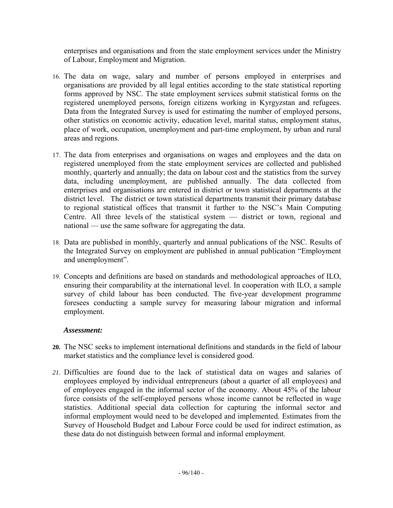enterprises and organisations and from the state employment services under the Ministry of Labour, Employment and Migration.

- 16. The data on wage, salary and number of persons employed in enterprises and organisations are provided by all legal entities according to the state statistical reporting forms approved by NSC. The state employment services submit statistical forms on the registered unemployed persons, foreign citizens working in Kyrgyzstan and refugees. Data from the Integrated Survey is used for estimating the number of employed persons, other statistics on economic activity, education level, marital status, employment status, place of work, occupation, unemployment and part-time employment, by urban and rural areas and regions.
- 17. The data from enterprises and organisations on wages and employees and the data on registered unemployed from the state employment services are collected and published monthly, quarterly and annually; the data on labour cost and the statistics from the survey data, including unemployment, are published annually. The data collected from enterprises and organisations are entered in district or town statistical departments at the district level. The district or town statistical departments transmit their primary database to regional statistical offices that transmit it further to the NSC's Main Computing Centre. All three levels of the statistical system — district or town, regional and national — use the same software for aggregating the data.
- 18. Data are published in monthly, quarterly and annual publications of the NSC. Results of the Integrated Survey on employment are published in annual publication "Employment and unemployment".
- 19. Concepts and definitions are based on standards and methodological approaches of ILO, ensuring their comparability at the international level. In cooperation with ILO, a sample survey of child labour has been conducted. The five-year development programme foresees conducting a sample survey for measuring labour migration and informal employment.

#### *Assessment:*

- **20.** The NSC seeks to implement international definitions and standards in the field of labour market statistics and the compliance level is considered good.
- *21.* Difficulties are found due to the lack of statistical data on wages and salaries of employees employed by individual entrepreneurs (about a quarter of all employees) and of employees engaged in the informal sector of the economy. About 45% of the labour force consists of the self-employed persons whose income cannot be reflected in wage statistics. Additional special data collection for capturing the informal sector and informal employment would need to be developed and implemented. Estimates from the Survey of Household Budget and Labour Force could be used for indirect estimation, as these data do not distinguish between formal and informal employment.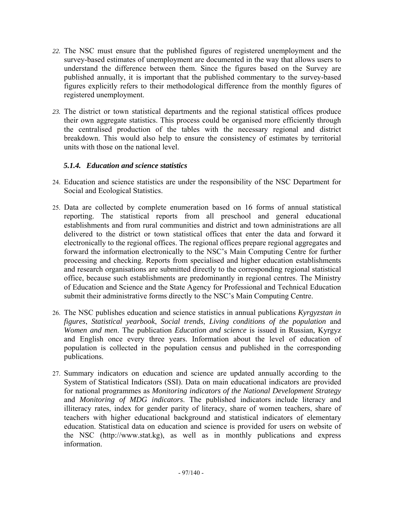- *22.* The NSC must ensure that the published figures of registered unemployment and the survey-based estimates of unemployment are documented in the way that allows users to understand the difference between them. Since the figures based on the Survey are published annually, it is important that the published commentary to the survey-based figures explicitly refers to their methodological difference from the monthly figures of registered unemployment.
- *23.* The district or town statistical departments and the regional statistical offices produce their own aggregate statistics. This process could be organised more efficiently through the centralised production of the tables with the necessary regional and district breakdown. This would also help to ensure the consistency of estimates by territorial units with those on the national level.

### *5.1.4. Education and science statistics*

- 24. Education and science statistics are under the responsibility of the NSC Department for Social and Ecological Statistics.
- 25. Data are collected by complete enumeration based on 16 forms of annual statistical reporting. The statistical reports from all preschool and general educational establishments and from rural communities and district and town administrations are all delivered to the district or town statistical offices that enter the data and forward it electronically to the regional offices. The regional offices prepare regional aggregates and forward the information electronically to the NSC's Main Computing Centre for further processing and checking. Reports from specialised and higher education establishments and research organisations are submitted directly to the corresponding regional statistical office, because such establishments are predominantly in regional centres. The Ministry of Education and Science and the State Agency for Professional and Technical Education submit their administrative forms directly to the NSC's Main Computing Centre.
- 26. The NSC publishes education and science statistics in annual publications *Kyrgyzstan in figures*, *Statistical yearbook*, *Social trends*, *Living conditions of the population* and *Women and men*. The publication *Education and science* is issued in Russian, Kyrgyz and English once every three years. Information about the level of education of population is collected in the population census and published in the corresponding publications.
- 27. Summary indicators on education and science are updated annually according to the System of Statistical Indicators (SSI). Data on main educational indicators are provided for national programmes as *Monitoring indicators of the National Development Strategy* and *Monitoring of MDG indicators*. The published indicators include literacy and illiteracy rates, index for gender parity of literacy, share of women teachers, share of teachers with higher educational background and statistical indicators of elementary education. Statistical data on education and science is provided for users on website of the NSC (http://www.stat.kg), as well as in monthly publications and express information.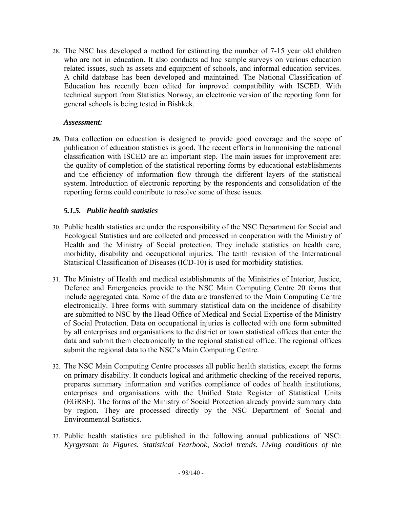28. The NSC has developed a method for estimating the number of 7-15 year old children who are not in education. It also conducts ad hoc sample surveys on various education related issues, such as assets and equipment of schools, and informal education services. A child database has been developed and maintained. The National Classification of Education has recently been edited for improved compatibility with ISCED. With technical support from Statistics Norway, an electronic version of the reporting form for general schools is being tested in Bishkek.

#### *Assessment:*

**29.** Data collection on education is designed to provide good coverage and the scope of publication of education statistics is good. The recent efforts in harmonising the national classification with ISCED are an important step. The main issues for improvement are: the quality of completion of the statistical reporting forms by educational establishments and the efficiency of information flow through the different layers of the statistical system. Introduction of electronic reporting by the respondents and consolidation of the reporting forms could contribute to resolve some of these issues.

### *5.1.5. Public health statistics*

- 30. Public health statistics are under the responsibility of the NSC Department for Social and Ecological Statistics and are collected and processed in cooperation with the Ministry of Health and the Ministry of Social protection. They include statistics on health care, morbidity, disability and occupational injuries. The tenth revision of the International Statistical Classification of Diseases (ICD-10) is used for morbidity statistics.
- 31. The Ministry of Health and medical establishments of the Ministries of Interior, Justice, Defence and Emergencies provide to the NSC Main Computing Centre 20 forms that include aggregated data. Some of the data are transferred to the Main Computing Centre electronically. Three forms with summary statistical data on the incidence of disability are submitted to NSC by the Head Office of Medical and Social Expertise of the Ministry of Social Protection. Data on occupational injuries is collected with one form submitted by all enterprises and organisations to the district or town statistical offices that enter the data and submit them electronically to the regional statistical office. The regional offices submit the regional data to the NSC's Main Computing Centre.
- 32. The NSC Main Computing Centre processes all public health statistics, except the forms on primary disability. It conducts logical and arithmetic checking of the received reports, prepares summary information and verifies compliance of codes of health institutions, enterprises and organisations with the Unified State Register of Statistical Units (EGRSE). The forms of the Ministry of Social Protection already provide summary data by region. They are processed directly by the NSC Department of Social and Environmental Statistics.
- 33. Public health statistics are published in the following annual publications of NSC: *Kyrgyzstan in Figures*, *Statistical Yearbook*, *Social trends*, *Living conditions of the*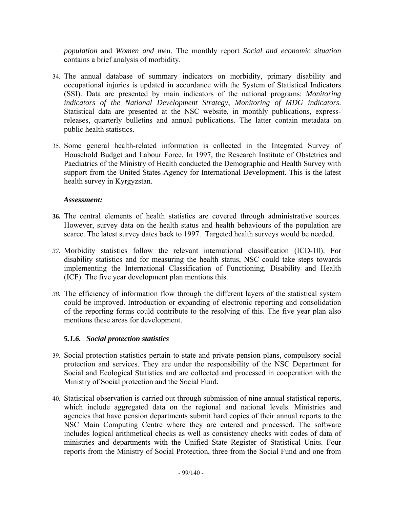*population* and *Women and me*n. The monthly report *Social and economic situation* contains a brief analysis of morbidity.

- 34. The annual database of summary indicators on morbidity, primary disability and occupational injuries is updated in accordance with the System of Statistical Indicators (SSI). Data are presented by main indicators of the national programs: *Monitoring indicators of the National Development Strategy*, *Monitoring of MDG indicators*. Statistical data are presented at the NSC website, in monthly publications, expressreleases, quarterly bulletins and annual publications. The latter contain metadata on public health statistics.
- 35. Some general health-related information is collected in the Integrated Survey of Household Budget and Labour Force. In 1997, the Research Institute of Obstetrics and Paediatrics of the Ministry of Health conducted the Demographic and Health Survey with support from the United States Agency for International Development. This is the latest health survey in Kyrgyzstan.

#### *Assessment:*

- **36.** The central elements of health statistics are covered through administrative sources. However, survey data on the health status and health behaviours of the population are scarce. The latest survey dates back to 1997. Targeted health surveys would be needed.
- *37.* Morbidity statistics follow the relevant international classification (ICD-10). For disability statistics and for measuring the health status, NSC could take steps towards implementing the International Classification of Functioning, Disability and Health (ICF). The five year development plan mentions this.
- *38.* The efficiency of information flow through the different layers of the statistical system could be improved. Introduction or expanding of electronic reporting and consolidation of the reporting forms could contribute to the resolving of this. The five year plan also mentions these areas for development.

#### *5.1.6. Social protection statistics*

- 39. Social protection statistics pertain to state and private pension plans, compulsory social protection and services. They are under the responsibility of the NSC Department for Social and Ecological Statistics and are collected and processed in cooperation with the Ministry of Social protection and the Social Fund.
- 40. Statistical observation is carried out through submission of nine annual statistical reports, which include aggregated data on the regional and national levels. Ministries and agencies that have pension departments submit hard copies of their annual reports to the NSC Main Computing Centre where they are entered and processed. The software includes logical arithmetical checks as well as consistency checks with codes of data of ministries and departments with the Unified State Register of Statistical Units. Four reports from the Ministry of Social Protection, three from the Social Fund and one from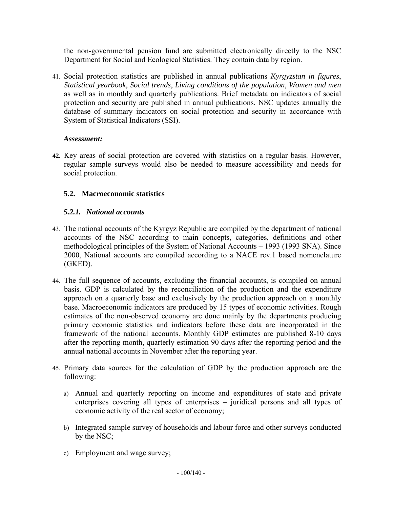the non-governmental pension fund are submitted electronically directly to the NSC Department for Social and Ecological Statistics. They contain data by region.

41. Social protection statistics are published in annual publications *Kyrgyzstan in figures*, *Statistical yearbook*, *Social trends*, *Living conditions of the population*, *Women and men* as well as in monthly and quarterly publications. Brief metadata on indicators of social protection and security are published in annual publications. NSC updates annually the database of summary indicators on social protection and security in accordance with System of Statistical Indicators (SSI).

### *Assessment:*

**42.** Key areas of social protection are covered with statistics on a regular basis. However, regular sample surveys would also be needed to measure accessibility and needs for social protection.

# **5.2. Macroeconomic statistics**

# *5.2.1. National accounts*

- 43. The national accounts of the Kyrgyz Republic are compiled by the department of national accounts of the NSC according to main concepts, categories, definitions and other methodological principles of the System of National Accounts – 1993 (1993 SNA). Since 2000, National accounts are compiled according to a NACE rev.1 based nomenclature (GKED).
- 44. The full sequence of accounts, excluding the financial accounts, is compiled on annual basis. GDP is calculated by the reconciliation of the production and the expenditure approach on a quarterly base and exclusively by the production approach on a monthly base. Macroeconomic indicators are produced by 15 types of economic activities. Rough estimates of the non-observed economy are done mainly by the departments producing primary economic statistics and indicators before these data are incorporated in the framework of the national accounts. Monthly GDP estimates are published 8-10 days after the reporting month, quarterly estimation 90 days after the reporting period and the annual national accounts in November after the reporting year.
- 45. Primary data sources for the calculation of GDP by the production approach are the following:
	- a) Annual and quarterly reporting on income and expenditures of state and private enterprises covering all types of enterprises – juridical persons and all types of economic activity of the real sector of economy;
	- b) Integrated sample survey of households and labour force and other surveys conducted by the NSC;
	- c) Employment and wage survey;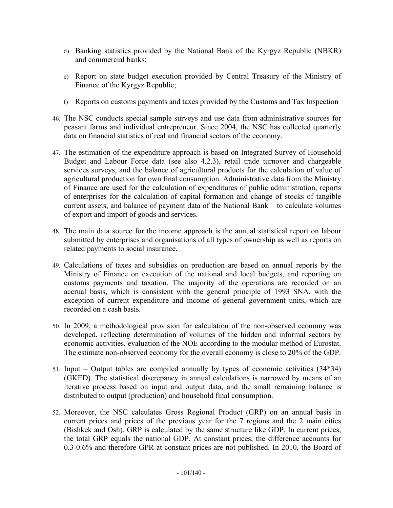- d) Banking statistics provided by the National Bank of the Kyrgyz Republic (NBKR) and commercial banks;
- e) Report on state budget execution provided by Central Treasury of the Ministry of Finance of the Kyrgyz Republic;
- f) Reports on customs payments and taxes provided by the Customs and Tax Inspection
- 46. The NSC conducts special sample surveys and use data from administrative sources for peasant farms and individual entrepreneur. Since 2004, the NSC has collected quarterly data on financial statistics of real and financial sectors of the economy.
- 47. The estimation of the expenditure approach is based on Integrated Survey of Household Budget and Labour Force data (see also 4.2.3), retail trade turnover and chargeable services surveys, and the balance of agricultural products for the calculation of value of agricultural production for own final consumption. Administrative data from the Ministry of Finance are used for the calculation of expenditures of public administration, reports of enterprises for the calculation of capital formation and change of stocks of tangible current assets, and balance of payment data of the National Bank – to calculate volumes of export and import of goods and services.
- 48. The main data source for the income approach is the annual statistical report on labour submitted by enterprises and organisations of all types of ownership as well as reports on related payments to social insurance.
- 49. Calculations of taxes and subsidies on production are based on annual reports by the Ministry of Finance on execution of the national and local budgets, and reporting on customs payments and taxation. The majority of the operations are recorded on an accrual basis, which is consistent with the general principle of 1993 SNA, with the exception of current expenditure and income of general government units, which are recorded on a cash basis.
- 50. In 2009, a methodological provision for calculation of the non-observed economy was developed, reflecting determination of volumes of the hidden and informal sectors by economic activities, evaluation of the NOE according to the modular method of Eurostat. The estimate non-observed economy for the overall economy is close to 20% of the GDP.
- 51. Input Output tables are compiled annually by types of economic activities (34\*34) (GKED). The statistical discrepancy in annual calculations is narrowed by means of an iterative process based on input and output data, and the small remaining balance is distributed to output (production) and household final consumption.
- 52. Moreover, the NSC calculates Gross Regional Product (GRP) on an annual basis in current prices and prices of the previous year for the 7 regions and the 2 main cities (Bishkek and Osh). GRP is calculated by the same structure like GDP. In current prices, the total GRP equals the national GDP. At constant prices, the difference accounts for 0.3-0.6% and therefore GPR at constant prices are not published. In 2010, the Board of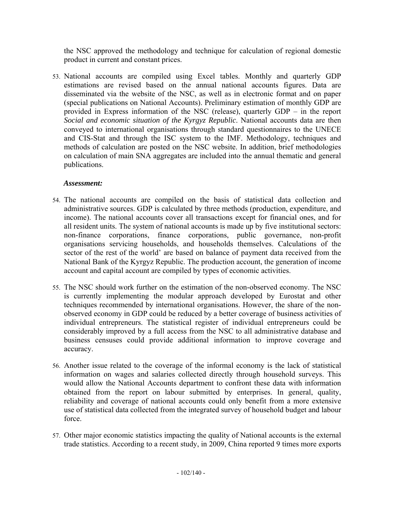the NSC approved the methodology and technique for calculation of regional domestic product in current and constant prices.

53. National accounts are compiled using Excel tables. Monthly and quarterly GDP estimations are revised based on the annual national accounts figures. Data are disseminated via the website of the NSC, as well as in electronic format and on paper (special publications on National Accounts). Preliminary estimation of monthly GDP are provided in Express information of the NSC (release), quarterly GDP – in the report *Social and economic situation of the Kyrgyz Republic*. National accounts data are then conveyed to international organisations through standard questionnaires to the UNECE and CIS-Stat and through the ISC system to the IMF. Methodology, techniques and methods of calculation are posted on the NSC website. In addition, brief methodologies on calculation of main SNA aggregates are included into the annual thematic and general publications.

### *Assessment:*

- 54. The national accounts are compiled on the basis of statistical data collection and administrative sources. GDP is calculated by three methods (production, expenditure, and income). The national accounts cover all transactions except for financial ones, and for all resident units. The system of national accounts is made up by five institutional sectors: non-finance corporations, finance corporations, public governance, non-profit organisations servicing households, and households themselves. Calculations of the sector of the rest of the world' are based on balance of payment data received from the National Bank of the Kyrgyz Republic. The production account, the generation of income account and capital account are compiled by types of economic activities.
- 55. The NSC should work further on the estimation of the non-observed economy. The NSC is currently implementing the modular approach developed by Eurostat and other techniques recommended by international organisations. However, the share of the nonobserved economy in GDP could be reduced by a better coverage of business activities of individual entrepreneurs. The statistical register of individual entrepreneurs could be considerably improved by a full access from the NSC to all administrative database and business censuses could provide additional information to improve coverage and accuracy.
- 56. Another issue related to the coverage of the informal economy is the lack of statistical information on wages and salaries collected directly through household surveys. This would allow the National Accounts department to confront these data with information obtained from the report on labour submitted by enterprises. In general, quality, reliability and coverage of national accounts could only benefit from a more extensive use of statistical data collected from the integrated survey of household budget and labour force.
- 57. Other major economic statistics impacting the quality of National accounts is the external trade statistics. According to a recent study, in 2009, China reported 9 times more exports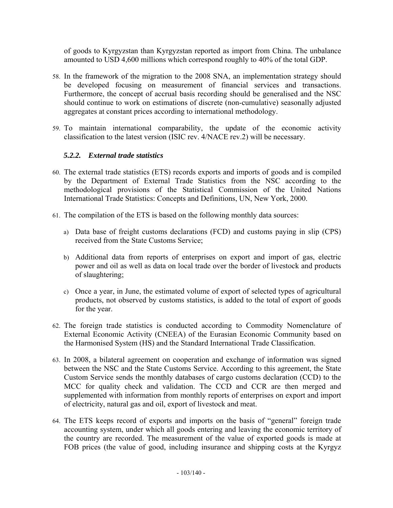of goods to Kyrgyzstan than Kyrgyzstan reported as import from China. The unbalance amounted to USD 4,600 millions which correspond roughly to 40% of the total GDP.

- 58. In the framework of the migration to the 2008 SNA, an implementation strategy should be developed focusing on measurement of financial services and transactions. Furthermore, the concept of accrual basis recording should be generalised and the NSC should continue to work on estimations of discrete (non-cumulative) seasonally adjusted aggregates at constant prices according to international methodology.
- 59. To maintain international comparability, the update of the economic activity classification to the latest version (ISIC rev. 4/NACE rev.2) will be necessary.

### *5.2.2. External trade statistics*

- 60. The external trade statistics (ETS) records exports and imports of goods and is compiled by the Department of External Trade Statistics from the NSC according to the methodological provisions of the Statistical Commission of the United Nations International Trade Statistics: Concepts and Definitions, UN, New York, 2000.
- 61. The compilation of the ETS is based on the following monthly data sources:
	- a) Data base of freight customs declarations (FCD) and customs paying in slip (CPS) received from the State Customs Service;
	- b) Additional data from reports of enterprises on export and import of gas, electric power and oil as well as data on local trade over the border of livestock and products of slaughtering;
	- c) Once a year, in June, the estimated volume of export of selected types of agricultural products, not observed by customs statistics, is added to the total of export of goods for the year.
- 62. The foreign trade statistics is conducted according to Commodity Nomenclature of External Economic Activity (CNEEA) of the Eurasian Economic Community based on the Harmonised System (HS) and the Standard International Trade Classification.
- 63. In 2008, a bilateral agreement on cooperation and exchange of information was signed between the NSC and the State Customs Service. According to this agreement, the State Custom Service sends the monthly databases of cargo customs declaration (CCD) to the MCC for quality check and validation. The CCD and CCR are then merged and supplemented with information from monthly reports of enterprises on export and import of electricity, natural gas and oil, export of livestock and meat.
- 64. The ETS keeps record of exports and imports on the basis of "general" foreign trade accounting system, under which all goods entering and leaving the economic territory of the country are recorded. The measurement of the value of exported goods is made at FOB prices (the value of good, including insurance and shipping costs at the Kyrgyz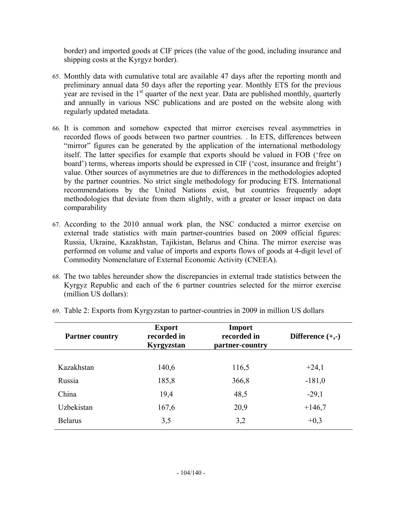border) and imported goods at CIF prices (the value of the good, including insurance and shipping costs at the Kyrgyz border).

- 65. Monthly data with cumulative total are available 47 days after the reporting month and preliminary annual data 50 days after the reporting year. Monthly ETS for the previous year are revised in the  $1<sup>st</sup>$  quarter of the next year. Data are published monthly, quarterly and annually in various NSC publications and are posted on the website along with regularly updated metadata.
- 66. It is common and somehow expected that mirror exercises reveal asymmetries in recorded flows of goods between two partner countries. . In ETS, differences between "mirror" figures can be generated by the application of the international methodology itself. The latter specifies for example that exports should be valued in FOB ('free on board') terms, whereas imports should be expressed in CIF ('cost, insurance and freight') value. Other sources of asymmetries are due to differences in the methodologies adopted by the partner countries. No strict single methodology for producing ETS. International recommendations by the United Nations exist, but countries frequently adopt methodologies that deviate from them slightly, with a greater or lesser impact on data comparability
- 67. According to the 2010 annual work plan, the NSC conducted a mirror exercise on external trade statistics with main partner-countries based on 2009 official figures: Russia, Ukraine, Kazakhstan, Tajikistan, Belarus and China. The mirror exercise was performed on volume and value of imports and exports flows of goods at 4-digit level of Commodity Nomenclature of External Economic Activity (CNEEA).
- 68. The two tables hereunder show the discrepancies in external trade statistics between the Kyrgyz Republic and each of the 6 partner countries selected for the mirror exercise (million US dollars):

| <b>Partner country</b> | <b>Export</b><br>recorded in<br>Kyrgyzstan | Import<br>recorded in<br>partner-country | Difference $(+,-)$ |
|------------------------|--------------------------------------------|------------------------------------------|--------------------|
|                        |                                            |                                          |                    |
| Kazakhstan             | 140,6                                      | 116,5                                    | $+24,1$            |
| Russia                 | 185,8                                      | 366,8                                    | $-181,0$           |
| China                  | 19,4                                       | 48,5                                     | $-29,1$            |
| Uzbekistan             | 167,6                                      | 20,9                                     | $+146,7$           |
| <b>Belarus</b>         | 3,5                                        | 3,2                                      | $+0,3$             |

69. Table 2: Exports from Kyrgyzstan to partner-countries in 2009 in million US dollars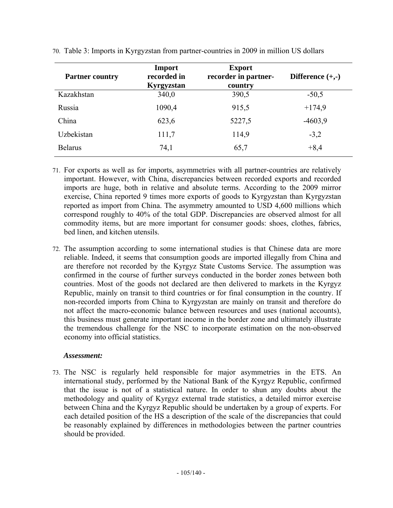| <b>Partner country</b> | Import<br>recorded in<br>Kyrgyzstan | <b>Export</b><br>recorder in partner-<br>country | Difference $(+,-)$ |
|------------------------|-------------------------------------|--------------------------------------------------|--------------------|
| Kazakhstan             | 340,0                               | 390,5                                            | $-50,5$            |
| Russia                 | 1090,4                              | 915,5                                            | $+174,9$           |
| China                  | 623,6                               | 5227,5                                           | $-4603,9$          |
| Uzbekistan             | 111,7                               | 114,9                                            | $-3,2$             |
| <b>Belarus</b>         | 74,1                                | 65,7                                             | $+8,4$             |

70. Table 3: Imports in Kyrgyzstan from partner-countries in 2009 in million US dollars

- 71. For exports as well as for imports, asymmetries with all partner-countries are relatively important. However, with China, discrepancies between recorded exports and recorded imports are huge, both in relative and absolute terms. According to the 2009 mirror exercise, China reported 9 times more exports of goods to Kyrgyzstan than Kyrgyzstan reported as import from China. The asymmetry amounted to USD 4,600 millions which correspond roughly to 40% of the total GDP. Discrepancies are observed almost for all commodity items, but are more important for consumer goods: shoes, clothes, fabrics, bed linen, and kitchen utensils.
- 72. The assumption according to some international studies is that Chinese data are more reliable. Indeed, it seems that consumption goods are imported illegally from China and are therefore not recorded by the Kyrgyz State Customs Service. The assumption was confirmed in the course of further surveys conducted in the border zones between both countries. Most of the goods not declared are then delivered to markets in the Kyrgyz Republic, mainly on transit to third countries or for final consumption in the country. If non-recorded imports from China to Kyrgyzstan are mainly on transit and therefore do not affect the macro-economic balance between resources and uses (national accounts), this business must generate important income in the border zone and ultimately illustrate the tremendous challenge for the NSC to incorporate estimation on the non-observed economy into official statistics.

#### *Assessment:*

73. The NSC is regularly held responsible for major asymmetries in the ETS. An international study, performed by the National Bank of the Kyrgyz Republic, confirmed that the issue is not of a statistical nature. In order to shun any doubts about the methodology and quality of Kyrgyz external trade statistics, a detailed mirror exercise between China and the Kyrgyz Republic should be undertaken by a group of experts. For each detailed position of the HS a description of the scale of the discrepancies that could be reasonably explained by differences in methodologies between the partner countries should be provided.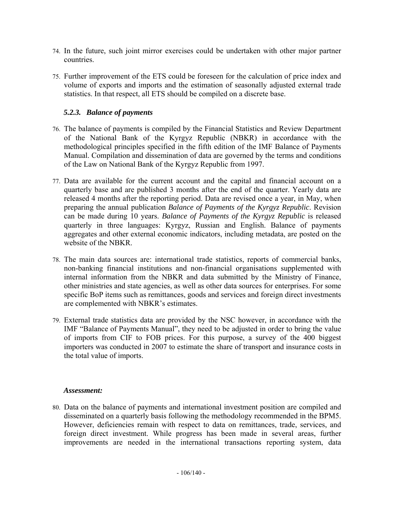- 74. In the future, such joint mirror exercises could be undertaken with other major partner countries.
- 75. Further improvement of the ETS could be foreseen for the calculation of price index and volume of exports and imports and the estimation of seasonally adjusted external trade statistics. In that respect, all ETS should be compiled on a discrete base.

### *5.2.3. Balance of payments*

- 76. The balance of payments is compiled by the Financial Statistics and Review Department of the National Bank of the Kyrgyz Republic (NBKR) in accordance with the methodological principles specified in the fifth edition of the IMF Balance of Payments Manual. Compilation and dissemination of data are governed by the terms and conditions of the Law on National Bank of the Kyrgyz Republic from 1997.
- 77. Data are available for the current account and the capital and financial account on a quarterly base and are published 3 months after the end of the quarter. Yearly data are released 4 months after the reporting period. Data are revised once a year, in May, when preparing the annual publication *Balance of Payments of the Kyrgyz Republic*. Revision can be made during 10 years. *Balance of Payments of the Kyrgyz Republic* is released quarterly in three languages: Kyrgyz, Russian and English. Balance of payments aggregates and other external economic indicators, including metadata, are posted on the website of the NBKR.
- 78. The main data sources are: international trade statistics, reports of commercial banks, non-banking financial institutions and non-financial organisations supplemented with internal information from the NBKR and data submitted by the Ministry of Finance, other ministries and state agencies, as well as other data sources for enterprises. For some specific BoP items such as remittances, goods and services and foreign direct investments are complemented with NBKR's estimates.
- 79. External trade statistics data are provided by the NSC however, in accordance with the IMF "Balance of Payments Manual", they need to be adjusted in order to bring the value of imports from CIF to FOB prices. For this purpose, a survey of the 400 biggest importers was conducted in 2007 to estimate the share of transport and insurance costs in the total value of imports.

#### *Assessment:*

80. Data on the balance of payments and international investment position are compiled and disseminated on a quarterly basis following the methodology recommended in the BPM5. However, deficiencies remain with respect to data on remittances, trade, services, and foreign direct investment. While progress has been made in several areas, further improvements are needed in the international transactions reporting system, data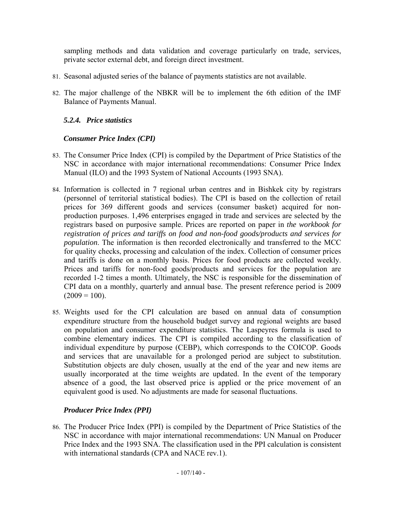sampling methods and data validation and coverage particularly on trade, services, private sector external debt, and foreign direct investment.

- 81. Seasonal adjusted series of the balance of payments statistics are not available.
- 82. The major challenge of the NBKR will be to implement the 6th edition of the IMF Balance of Payments Manual.

# *5.2.4. Price statistics*

# *Consumer Price Index (CPI)*

- 83. The Consumer Price Index (CPI) is compiled by the Department of Price Statistics of the NSC in accordance with major international recommendations: Consumer Price Index Manual (ILO) and the 1993 System of National Accounts (1993 SNA).
- 84. Information is collected in 7 regional urban centres and in Bishkek city by registrars (personnel of territorial statistical bodies). The CPI is based on the collection of retail prices for 369 different goods and services (consumer basket) acquired for nonproduction purposes. 1,496 enterprises engaged in trade and services are selected by the registrars based on purposive sample. Prices are reported on paper in *the workbook for registration of prices and tariffs on food and non-food goods/products and services for population*. The information is then recorded electronically and transferred to the MCC for quality checks, processing and calculation of the index. Collection of consumer prices and tariffs is done on a monthly basis. Prices for food products are collected weekly. Prices and tariffs for non-food goods/products and services for the population are recorded 1-2 times a month. Ultimately, the NSC is responsible for the dissemination of CPI data on a monthly, quarterly and annual base. The present reference period is 2009  $(2009 = 100)$ .
- 85. Weights used for the CPI calculation are based on annual data of consumption expenditure structure from the household budget survey and regional weights are based on population and consumer expenditure statistics. The Laspeyres formula is used to combine elementary indices. The CPI is compiled according to the classification of individual expenditure by purpose (CEBP), which corresponds to the COICOP. Goods and services that are unavailable for a prolonged period are subject to substitution. Substitution objects are duly chosen, usually at the end of the year and new items are usually incorporated at the time weights are updated. In the event of the temporary absence of a good, the last observed price is applied or the price movement of an equivalent good is used. No adjustments are made for seasonal fluctuations.

# *Producer Price Index (PPI)*

86. The Producer Price Index (PPI) is compiled by the Department of Price Statistics of the NSC in accordance with major international recommendations: UN Manual on Producer Price Index and the 1993 SNA. The classification used in the PPI calculation is consistent with international standards (CPA and NACE rev.1).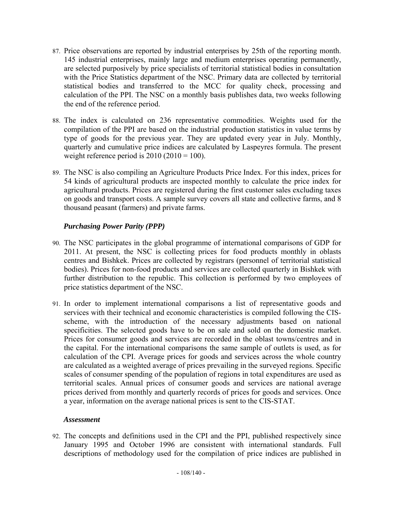- 87. Price observations are reported by industrial enterprises by 25th of the reporting month. 145 industrial enterprises, mainly large and medium enterprises operating permanently, are selected purposively by price specialists of territorial statistical bodies in consultation with the Price Statistics department of the NSC. Primary data are collected by territorial statistical bodies and transferred to the MCC for quality check, processing and calculation of the PPI. The NSC on a monthly basis publishes data, two weeks following the end of the reference period.
- 88. The index is calculated on 236 representative commodities. Weights used for the compilation of the PPI are based on the industrial production statistics in value terms by type of goods for the previous year. They are updated every year in July. Monthly, quarterly and cumulative price indices are calculated by Laspeyres formula. The present weight reference period is  $2010 (2010 = 100)$ .
- 89. The NSC is also compiling an Agriculture Products Price Index. For this index, prices for 54 kinds of agricultural products are inspected monthly to calculate the price index for agricultural products. Prices are registered during the first customer sales excluding taxes on goods and transport costs. A sample survey covers all state and collective farms, and 8 thousand peasant (farmers) and private farms.

# *Purchasing Power Parity (PPP)*

- 90. The NSC participates in the global programme of international comparisons of GDP for 2011. At present, the NSC is collecting prices for food products monthly in oblasts centres and Bishkek. Prices are collected by registrars (personnel of territorial statistical bodies). Prices for non-food products and services are collected quarterly in Bishkek with further distribution to the republic. This collection is performed by two employees of price statistics department of the NSC.
- 91. In order to implement international comparisons a list of representative goods and services with their technical and economic characteristics is compiled following the CISscheme, with the introduction of the necessary adjustments based on national specificities. The selected goods have to be on sale and sold on the domestic market. Prices for consumer goods and services are recorded in the oblast towns/centres and in the capital. For the international comparisons the same sample of outlets is used, as for calculation of the CPI. Average prices for goods and services across the whole country are calculated as a weighted average of prices prevailing in the surveyed regions. Specific scales of consumer spending of the population of regions in total expenditures are used as territorial scales. Annual prices of consumer goods and services are national average prices derived from monthly and quarterly records of prices for goods and services. Once a year, information on the average national prices is sent to the CIS-STAT.

#### *Assessment*

92. The concepts and definitions used in the CPI and the PPI, published respectively since January 1995 and October 1996 are consistent with international standards. Full descriptions of methodology used for the compilation of price indices are published in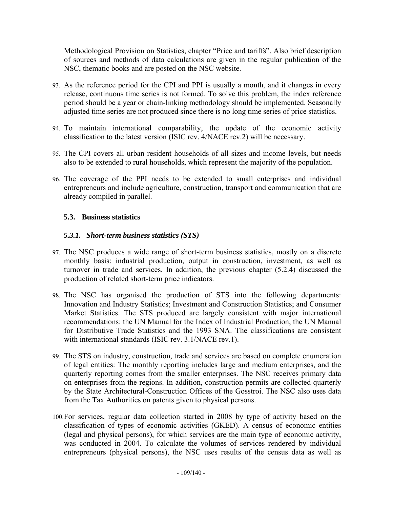Methodological Provision on Statistics, chapter "Price and tariffs". Also brief description of sources and methods of data calculations are given in the regular publication of the NSC, thematic books and are posted on the NSC website.

- 93. As the reference period for the CPI and PPI is usually a month, and it changes in every release, continuous time series is not formed. To solve this problem, the index reference period should be a year or chain-linking methodology should be implemented. Seasonally adjusted time series are not produced since there is no long time series of price statistics.
- 94. To maintain international comparability, the update of the economic activity classification to the latest version (ISIC rev. 4/NACE rev.2) will be necessary.
- 95. The CPI covers all urban resident households of all sizes and income levels, but needs also to be extended to rural households, which represent the majority of the population.
- 96. The coverage of the PPI needs to be extended to small enterprises and individual entrepreneurs and include agriculture, construction, transport and communication that are already compiled in parallel.

## **5.3. Business statistics**

## *5.3.1. Short-term business statistics (STS)*

- 97. The NSC produces a wide range of short-term business statistics, mostly on a discrete monthly basis: industrial production, output in construction, investment, as well as turnover in trade and services. In addition, the previous chapter (5.2.4) discussed the production of related short-term price indicators.
- 98. The NSC has organised the production of STS into the following departments: Innovation and Industry Statistics; Investment and Construction Statistics; and Consumer Market Statistics. The STS produced are largely consistent with major international recommendations: the UN Manual for the Index of Industrial Production, the UN Manual for Distributive Trade Statistics and the 1993 SNA. The classifications are consistent with international standards (ISIC rev. 3.1/NACE rev.1).
- 99. The STS on industry, construction, trade and services are based on complete enumeration of legal entities: The monthly reporting includes large and medium enterprises, and the quarterly reporting comes from the smaller enterprises. The NSC receives primary data on enterprises from the regions. In addition, construction permits are collected quarterly by the State Architectural-Construction Offices of the Gosstroi. The NSC also uses data from the Tax Authorities on patents given to physical persons.
- 100.For services, regular data collection started in 2008 by type of activity based on the classification of types of economic activities (GKED). A census of economic entities (legal and physical persons), for which services are the main type of economic activity, was conducted in 2004. To calculate the volumes of services rendered by individual entrepreneurs (physical persons), the NSC uses results of the census data as well as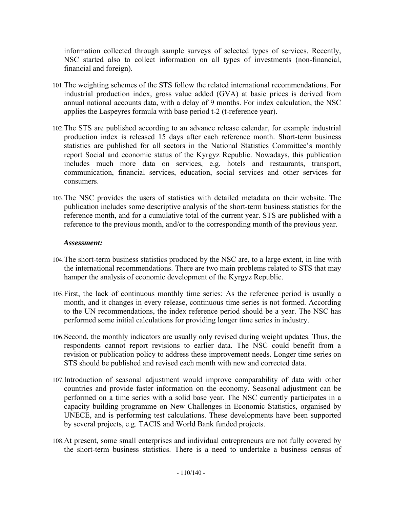information collected through sample surveys of selected types of services. Recently, NSC started also to collect information on all types of investments (non-financial, financial and foreign).

- 101.The weighting schemes of the STS follow the related international recommendations. For industrial production index, gross value added (GVA) at basic prices is derived from annual national accounts data, with a delay of 9 months. For index calculation, the NSC applies the Laspeyres formula with base period t-2 (t-reference year).
- 102.The STS are published according to an advance release calendar, for example industrial production index is released 15 days after each reference month. Short-term business statistics are published for all sectors in the National Statistics Committee's monthly report Social and economic status of the Kyrgyz Republic. Nowadays, this publication includes much more data on services, e.g. hotels and restaurants, transport, communication, financial services, education, social services and other services for consumers.
- 103.The NSC provides the users of statistics with detailed metadata on their website. The publication includes some descriptive analysis of the short-term business statistics for the reference month, and for a cumulative total of the current year. STS are published with a reference to the previous month, and/or to the corresponding month of the previous year.

## *Assessment:*

- 104.The short-term business statistics produced by the NSC are, to a large extent, in line with the international recommendations. There are two main problems related to STS that may hamper the analysis of economic development of the Kyrgyz Republic.
- 105.First, the lack of continuous monthly time series: As the reference period is usually a month, and it changes in every release, continuous time series is not formed. According to the UN recommendations, the index reference period should be a year. The NSC has performed some initial calculations for providing longer time series in industry.
- 106.Second, the monthly indicators are usually only revised during weight updates. Thus, the respondents cannot report revisions to earlier data. The NSC could benefit from a revision or publication policy to address these improvement needs. Longer time series on STS should be published and revised each month with new and corrected data.
- 107.Introduction of seasonal adjustment would improve comparability of data with other countries and provide faster information on the economy. Seasonal adjustment can be performed on a time series with a solid base year. The NSC currently participates in a capacity building programme on New Challenges in Economic Statistics, organised by UNECE, and is performing test calculations. These developments have been supported by several projects, e.g. TACIS and World Bank funded projects.
- 108.At present, some small enterprises and individual entrepreneurs are not fully covered by the short-term business statistics. There is a need to undertake a business census of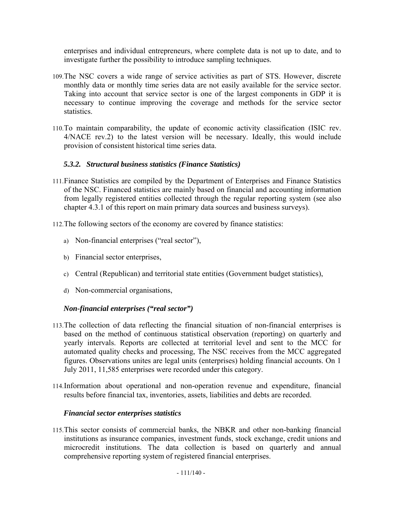enterprises and individual entrepreneurs, where complete data is not up to date, and to investigate further the possibility to introduce sampling techniques.

- 109.The NSC covers a wide range of service activities as part of STS. However, discrete monthly data or monthly time series data are not easily available for the service sector. Taking into account that service sector is one of the largest components in GDP it is necessary to continue improving the coverage and methods for the service sector statistics.
- 110.To maintain comparability, the update of economic activity classification (ISIC rev. 4/NACE rev.2) to the latest version will be necessary. Ideally, this would include provision of consistent historical time series data.

## *5.3.2. Structural business statistics (Finance Statistics)*

- 111.Finance Statistics are compiled by the Department of Enterprises and Finance Statistics of the NSC. Financed statistics are mainly based on financial and accounting information from legally registered entities collected through the regular reporting system (see also chapter 4.3.1 of this report on main primary data sources and business surveys).
- 112.The following sectors of the economy are covered by finance statistics:
	- a) Non-financial enterprises ("real sector"),
	- b) Financial sector enterprises,
	- c) Central (Republican) and territorial state entities (Government budget statistics),
	- d) Non-commercial organisations,

## *Non-financial enterprises ("real sector")*

- 113.The collection of data reflecting the financial situation of non-financial enterprises is based on the method of continuous statistical observation (reporting) on quarterly and yearly intervals. Reports are collected at territorial level and sent to the MCC for automated quality checks and processing, The NSC receives from the MCC aggregated figures. Observations unites are legal units (enterprises) holding financial accounts. On 1 July 2011, 11,585 enterprises were recorded under this category.
- 114.Information about operational and non-operation revenue and expenditure, financial results before financial tax, inventories, assets, liabilities and debts are recorded.

## *Financial sector enterprises statistics*

115.This sector consists of commercial banks, the NBKR and other non-banking financial institutions as insurance companies, investment funds, stock exchange, credit unions and microcredit institutions. The data collection is based on quarterly and annual comprehensive reporting system of registered financial enterprises.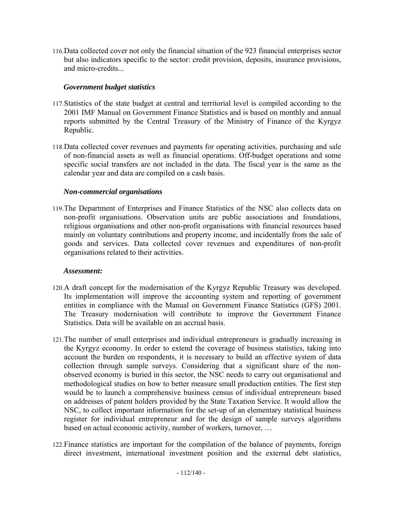116.Data collected cover not only the financial situation of the 923 financial enterprises sector but also indicators specific to the sector: credit provision, deposits, insurance provisions, and micro-credits...

## *Government budget statistics*

- 117.Statistics of the state budget at central and territorial level is compiled according to the 2001 IMF Manual on Government Finance Statistics and is based on monthly and annual reports submitted by the Central Treasury of the Ministry of Finance of the Kyrgyz Republic.
- 118.Data collected cover revenues and payments for operating activities, purchasing and sale of non-financial assets as well as financial operations. Off-budget operations and some specific social transfers are not included in the data. The fiscal year is the same as the calendar year and data are compiled on a cash basis.

## *Non-commercial organisations*

119.The Department of Enterprises and Finance Statistics of the NSC also collects data on non-profit organisations. Observation units are public associations and foundations, religious organisations and other non-profit organisations with financial resources based mainly on voluntary contributions and property income, and incidentally from the sale of goods and services. Data collected cover revenues and expenditures of non-profit organisations related to their activities.

## *Assessment:*

- 120.A draft concept for the modernisation of the Kyrgyz Republic Treasury was developed. Its implementation will improve the accounting system and reporting of government entities in compliance with the Manual on Government Finance Statistics (GFS) 2001. The Treasury modernisation will contribute to improve the Government Finance Statistics. Data will be available on an accrual basis.
- 121.The number of small enterprises and individual entrepreneurs is gradually increasing in the Kyrgyz economy. In order to extend the coverage of business statistics, taking into account the burden on respondents, it is necessary to build an effective system of data collection through sample surveys. Considering that a significant share of the nonobserved economy is buried in this sector, the NSC needs to carry out organisational and methodological studies on how to better measure small production entities. The first step would be to launch a comprehensive business census of individual entrepreneurs based on addresses of patent holders provided by the State Taxation Service. It would allow the NSC, to collect important information for the set-up of an elementary statistical business register for individual entrepreneur and for the design of sample surveys algorithms based on actual economic activity, number of workers, turnover, …
- 122.Finance statistics are important for the compilation of the balance of payments, foreign direct investment, international investment position and the external debt statistics,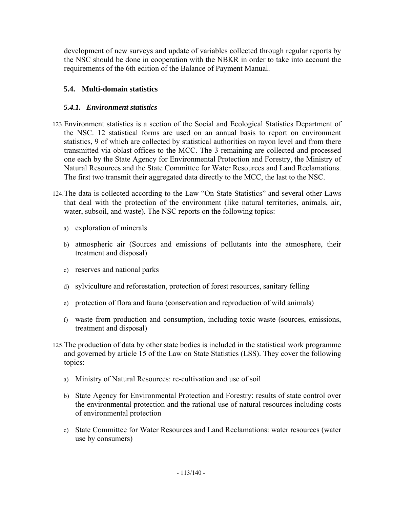development of new surveys and update of variables collected through regular reports by the NSC should be done in cooperation with the NBKR in order to take into account the requirements of the 6th edition of the Balance of Payment Manual.

## **5.4. Multi-domain statistics**

## *5.4.1. Environment statistics*

- 123.Environment statistics is a section of the Social and Ecological Statistics Department of the NSC. 12 statistical forms are used on an annual basis to report on environment statistics, 9 of which are collected by statistical authorities on rayon level and from there transmitted via oblast offices to the MCC. The 3 remaining are collected and processed one each by the State Agency for Environmental Protection and Forestry, the Ministry of Natural Resources and the State Committee for Water Resources and Land Reclamations. The first two transmit their aggregated data directly to the MCC, the last to the NSC.
- 124.The data is collected according to the Law "On State Statistics" and several other Laws that deal with the protection of the environment (like natural territories, animals, air, water, subsoil, and waste). The NSC reports on the following topics:
	- a) exploration of minerals
	- b) atmospheric air (Sources and emissions of pollutants into the atmosphere, their treatment and disposal)
	- c) reserves and national parks
	- d) sylviculture and reforestation, protection of forest resources, sanitary felling
	- e) protection of flora and fauna (conservation and reproduction of wild animals)
	- f) waste from production and consumption, including toxic waste (sources, emissions, treatment and disposal)
- 125.The production of data by other state bodies is included in the statistical work programme and governed by article 15 of the Law on State Statistics (LSS). They cover the following topics:
	- a) Ministry of Natural Resources: re-cultivation and use of soil
	- b) State Agency for Environmental Protection and Forestry: results of state control over the environmental protection and the rational use of natural resources including costs of environmental protection
	- c) State Committee for Water Resources and Land Reclamations: water resources (water use by consumers)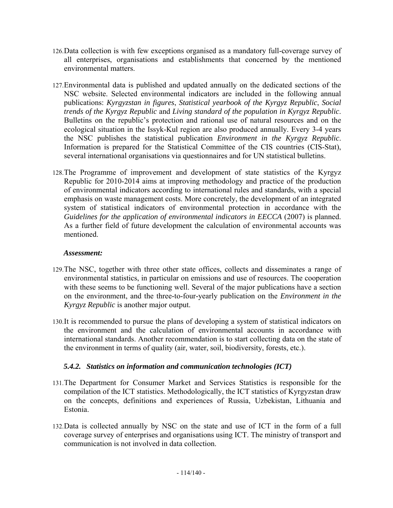- 126.Data collection is with few exceptions organised as a mandatory full-coverage survey of all enterprises, organisations and establishments that concerned by the mentioned environmental matters.
- 127.Environmental data is published and updated annually on the dedicated sections of the NSC website. Selected environmental indicators are included in the following annual publications: *Kyrgyzstan in figures*, *Statistical yearbook of the Kyrgyz Republic*, *Social trends of the Kyrgyz Republic* and *Living standard of the population in Kyrgyz Republic*. Bulletins on the republic's protection and rational use of natural resources and on the ecological situation in the Issyk-Kul region are also produced annually. Every 3-4 years the NSC publishes the statistical publication *Environment in the Kyrgyz Republic*. Information is prepared for the Statistical Committee of the CIS countries (CIS-Stat), several international organisations via questionnaires and for UN statistical bulletins.
- 128.The Programme of improvement and development of state statistics of the Kyrgyz Republic for 2010-2014 aims at improving methodology and practice of the production of environmental indicators according to international rules and standards, with a special emphasis on waste management costs. More concretely, the development of an integrated system of statistical indicators of environmental protection in accordance with the *Guidelines for the application of environmental indicators in EECCA* (2007) is planned. As a further field of future development the calculation of environmental accounts was mentioned.

## *Assessment:*

- 129.The NSC, together with three other state offices, collects and disseminates a range of environmental statistics, in particular on emissions and use of resources. The cooperation with these seems to be functioning well. Several of the major publications have a section on the environment, and the three-to-four-yearly publication on the *Environment in the Kyrgyz Republic* is another major output.
- 130.It is recommended to pursue the plans of developing a system of statistical indicators on the environment and the calculation of environmental accounts in accordance with international standards. Another recommendation is to start collecting data on the state of the environment in terms of quality (air, water, soil, biodiversity, forests, etc.).

## *5.4.2. Statistics on information and communication technologies (ICT)*

- 131.The Department for Consumer Market and Services Statistics is responsible for the compilation of the ICT statistics. Methodologically, the ICT statistics of Kyrgyzstan draw on the concepts, definitions and experiences of Russia, Uzbekistan, Lithuania and Estonia.
- 132.Data is collected annually by NSC on the state and use of ICT in the form of a full coverage survey of enterprises and organisations using ICT. The ministry of transport and communication is not involved in data collection.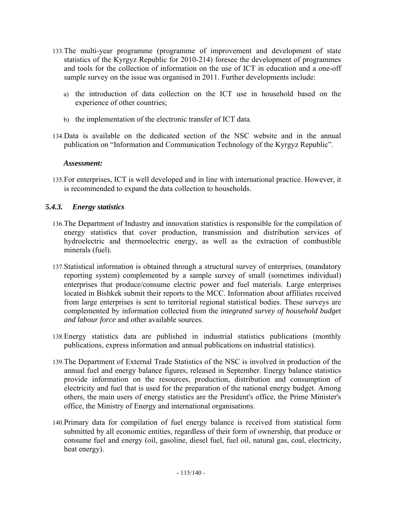- 133.The multi-year programme (programme of improvement and development of state statistics of the Kyrgyz Republic for 2010-214) foresee the development of programmes and tools for the collection of information on the use of ICT in education and a one-off sample survey on the issue was organised in 2011. Further developments include:
	- a) the introduction of data collection on the ICT use in household based on the experience of other countries;
	- b) the implementation of the electronic transfer of ICT data.
- 134.Data is available on the dedicated section of the NSC website and in the annual publication on "Information and Communication Technology of the Kyrgyz Republic".

## *Assessment:*

135.For enterprises, ICT is well developed and in line with international practice. However, it is recommended to expand the data collection to households.

## *5.4.3. Energy statistics*

- 136.The Department of Industry and innovation statistics is responsible for the compilation of energy statistics that cover production, transmission and distribution services of hydroelectric and thermoelectric energy, as well as the extraction of combustible minerals (fuel).
- 137.Statistical information is obtained through a structural survey of enterprises, (mandatory reporting system) complemented by a sample survey of small (sometimes individual) enterprises that produce/consume electric power and fuel materials. Large enterprises located in Bishkek submit their reports to the MCC. Information about affiliates received from large enterprises is sent to territorial regional statistical bodies. These surveys are complemented by information collected from the *integrated survey of household budget and labour force* and other available sources.
- 138.Energy statistics data are published in industrial statistics publications (monthly publications, express information and annual publications on industrial statistics).
- 139.The Department of External Trade Statistics of the NSC is involved in production of the annual fuel and energy balance figures, released in September. Energy balance statistics provide information on the resources, production, distribution and consumption of electricity and fuel that is used for the preparation of the national energy budget. Among others, the main users of energy statistics are the President's office, the Prime Minister's office, the Ministry of Energy and international organisations.
- 140.Primary data for compilation of fuel energy balance is received from statistical form submitted by all economic entities, regardless of their form of ownership, that produce or consume fuel and energy (oil, gasoline, diesel fuel, fuel oil, natural gas, coal, electricity, heat energy).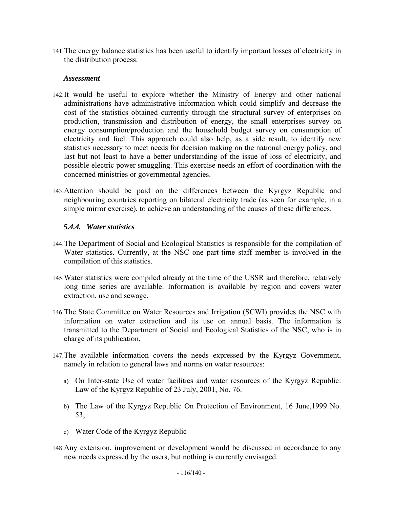141.The energy balance statistics has been useful to identify important losses of electricity in the distribution process.

### *Assessment*

- 142.It would be useful to explore whether the Ministry of Energy and other national administrations have administrative information which could simplify and decrease the cost of the statistics obtained currently through the structural survey of enterprises on production, transmission and distribution of energy, the small enterprises survey on energy consumption/production and the household budget survey on consumption of electricity and fuel. This approach could also help, as a side result, to identify new statistics necessary to meet needs for decision making on the national energy policy, and last but not least to have a better understanding of the issue of loss of electricity, and possible electric power smuggling. This exercise needs an effort of coordination with the concerned ministries or governmental agencies.
- 143.Attention should be paid on the differences between the Kyrgyz Republic and neighbouring countries reporting on bilateral electricity trade (as seen for example, in a simple mirror exercise), to achieve an understanding of the causes of these differences.

## *5.4.4. Water statistics*

- 144.The Department of Social and Ecological Statistics is responsible for the compilation of Water statistics. Currently, at the NSC one part-time staff member is involved in the compilation of this statistics.
- 145.Water statistics were compiled already at the time of the USSR and therefore, relatively long time series are available. Information is available by region and covers water extraction, use and sewage.
- 146.The State Committee on Water Resources and Irrigation (SCWI) provides the NSC with information on water extraction and its use on annual basis. The information is transmitted to the Department of Social and Ecological Statistics of the NSC, who is in charge of its publication.
- 147.The available information covers the needs expressed by the Kyrgyz Government, namely in relation to general laws and norms on water resources:
	- a) On Inter-state Use of water facilities and water resources of the Kyrgyz Republic: Law of the Kyrgyz Republic of 23 July, 2001, No. 76.
	- b) The Law of the Kyrgyz Republic On Protection of Environment, 16 June,1999 No. 53;
	- c) Water Code of the Kyrgyz Republic
- 148.Any extension, improvement or development would be discussed in accordance to any new needs expressed by the users, but nothing is currently envisaged.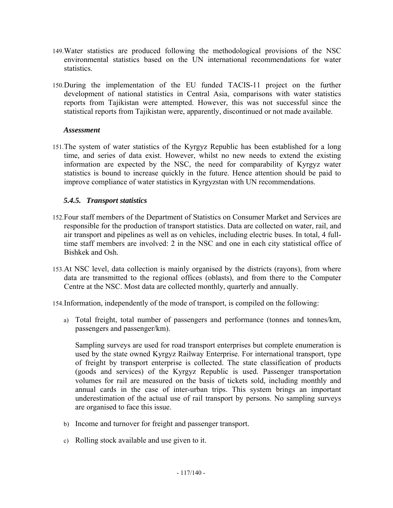- 149.Water statistics are produced following the methodological provisions of the NSC environmental statistics based on the UN international recommendations for water statistics.
- 150.During the implementation of the EU funded TACIS-11 project on the further development of national statistics in Central Asia, comparisons with water statistics reports from Tajikistan were attempted. However, this was not successful since the statistical reports from Tajikistan were, apparently, discontinued or not made available.

## *Assessment*

151.The system of water statistics of the Kyrgyz Republic has been established for a long time, and series of data exist. However, whilst no new needs to extend the existing information are expected by the NSC, the need for comparability of Kyrgyz water statistics is bound to increase quickly in the future. Hence attention should be paid to improve compliance of water statistics in Kyrgyzstan with UN recommendations.

## *5.4.5. Transport statistics*

- 152.Four staff members of the Department of Statistics on Consumer Market and Services are responsible for the production of transport statistics. Data are collected on water, rail, and air transport and pipelines as well as on vehicles, including electric buses. In total, 4 fulltime staff members are involved: 2 in the NSC and one in each city statistical office of Bishkek and Osh.
- 153.At NSC level, data collection is mainly organised by the districts (rayons), from where data are transmitted to the regional offices (oblasts), and from there to the Computer Centre at the NSC. Most data are collected monthly, quarterly and annually.

154.Information, independently of the mode of transport, is compiled on the following:

a) Total freight, total number of passengers and performance (tonnes and tonnes/km, passengers and passenger/km).

Sampling surveys are used for road transport enterprises but complete enumeration is used by the state owned Kyrgyz Railway Enterprise. For international transport, type of freight by transport enterprise is collected. The state classification of products (goods and services) of the Kyrgyz Republic is used. Passenger transportation volumes for rail are measured on the basis of tickets sold, including monthly and annual cards in the case of inter-urban trips. This system brings an important underestimation of the actual use of rail transport by persons. No sampling surveys are organised to face this issue.

- b) Income and turnover for freight and passenger transport.
- c) Rolling stock available and use given to it.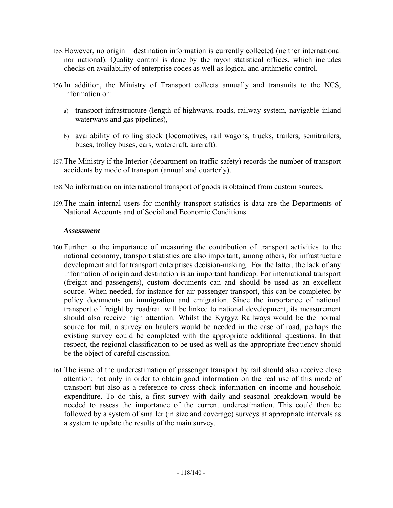- 155.However, no origin destination information is currently collected (neither international nor national). Quality control is done by the rayon statistical offices, which includes checks on availability of enterprise codes as well as logical and arithmetic control.
- 156.In addition, the Ministry of Transport collects annually and transmits to the NCS, information on:
	- a) transport infrastructure (length of highways, roads, railway system, navigable inland waterways and gas pipelines),
	- b) availability of rolling stock (locomotives, rail wagons, trucks, trailers, semitrailers, buses, trolley buses, cars, watercraft, aircraft).
- 157.The Ministry if the Interior (department on traffic safety) records the number of transport accidents by mode of transport (annual and quarterly).
- 158.No information on international transport of goods is obtained from custom sources.
- 159.The main internal users for monthly transport statistics is data are the Departments of National Accounts and of Social and Economic Conditions.

## *Assessment*

- 160.Further to the importance of measuring the contribution of transport activities to the national economy, transport statistics are also important, among others, for infrastructure development and for transport enterprises decision-making. For the latter, the lack of any information of origin and destination is an important handicap. For international transport (freight and passengers), custom documents can and should be used as an excellent source. When needed, for instance for air passenger transport, this can be completed by policy documents on immigration and emigration. Since the importance of national transport of freight by road/rail will be linked to national development, its measurement should also receive high attention. Whilst the Kyrgyz Railways would be the normal source for rail, a survey on haulers would be needed in the case of road, perhaps the existing survey could be completed with the appropriate additional questions. In that respect, the regional classification to be used as well as the appropriate frequency should be the object of careful discussion.
- 161.The issue of the underestimation of passenger transport by rail should also receive close attention; not only in order to obtain good information on the real use of this mode of transport but also as a reference to cross-check information on income and household expenditure. To do this, a first survey with daily and seasonal breakdown would be needed to assess the importance of the current underestimation. This could then be followed by a system of smaller (in size and coverage) surveys at appropriate intervals as a system to update the results of the main survey.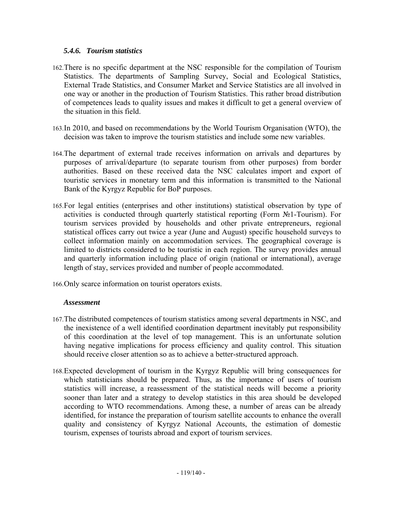### *5.4.6. Tourism statistics*

- 162.There is no specific department at the NSC responsible for the compilation of Tourism Statistics. The departments of Sampling Survey, Social and Ecological Statistics, External Trade Statistics, and Consumer Market and Service Statistics are all involved in one way or another in the production of Tourism Statistics. This rather broad distribution of competences leads to quality issues and makes it difficult to get a general overview of the situation in this field.
- 163.In 2010, and based on recommendations by the World Tourism Organisation (WTO), the decision was taken to improve the tourism statistics and include some new variables.
- 164.The department of external trade receives information on arrivals and departures by purposes of arrival/departure (to separate tourism from other purposes) from border authorities. Based on these received data the NSC calculates import and export of touristic services in monetary term and this information is transmitted to the National Bank of the Kyrgyz Republic for BoP purposes.
- 165.For legal entities (enterprises and other institutions) statistical observation by type of activities is conducted through quarterly statistical reporting (Form №1-Tourism). For tourism services provided by households and other private entrepreneurs, regional statistical offices carry out twice a year (June and August) specific household surveys to collect information mainly on accommodation services. The geographical coverage is limited to districts considered to be touristic in each region. The survey provides annual and quarterly information including place of origin (national or international), average length of stay, services provided and number of people accommodated.
- 166.Only scarce information on tourist operators exists.

### *Assessment*

- 167.The distributed competences of tourism statistics among several departments in NSC, and the inexistence of a well identified coordination department inevitably put responsibility of this coordination at the level of top management. This is an unfortunate solution having negative implications for process efficiency and quality control. This situation should receive closer attention so as to achieve a better-structured approach.
- 168.Expected development of tourism in the Kyrgyz Republic will bring consequences for which statisticians should be prepared. Thus, as the importance of users of tourism statistics will increase, a reassessment of the statistical needs will become a priority sooner than later and a strategy to develop statistics in this area should be developed according to WTO recommendations. Among these, a number of areas can be already identified, for instance the preparation of tourism satellite accounts to enhance the overall quality and consistency of Kyrgyz National Accounts, the estimation of domestic tourism, expenses of tourists abroad and export of tourism services.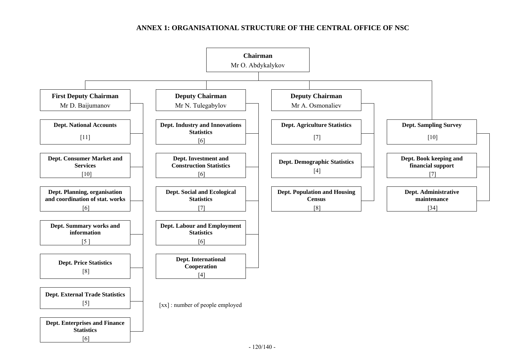## **ANNEX 1: ORGANISATIONAL STRUCTURE OF THE CENTRAL OFFICE OF NSC**

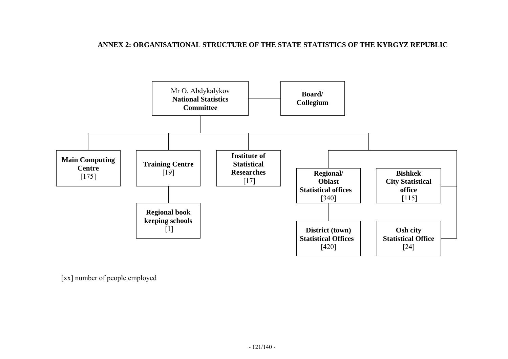### **ANNEX 2: ORGANISATIONAL STRUCTURE OF THE STATE STATISTICS OF THE KYRGYZ REPUBLIC**



[xx] number of people employed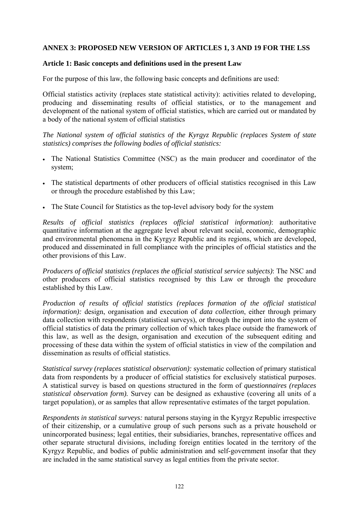## **ANNEX 3: PROPOSED NEW VERSION OF ARTICLES 1, 3 AND 19 FOR THE LSS**

### **Article 1: Basic concepts and definitions used in the present Law**

For the purpose of this law, the following basic concepts and definitions are used:

Official statistics activity (replaces state statistical activity): activities related to developing, producing and disseminating results of official statistics, or to the management and development of the national system of official statistics, which are carried out or mandated by a body of the national system of official statistics

*The National system of official statistics of the Kyrgyz Republic (replaces System of state statistics) comprises the following bodies of official statistics:* 

- The National Statistics Committee (NSC) as the main producer and coordinator of the system;
- The statistical departments of other producers of official statistics recognised in this Law or through the procedure established by this Law;
- The State Council for Statistics as the top-level advisory body for the system

*Results of official statistics (replaces official statistical information)*: authoritative quantitative information at the aggregate level about relevant social, economic, demographic and environmental phenomena in the Kyrgyz Republic and its regions, which are developed, produced and disseminated in full compliance with the principles of official statistics and the other provisions of this Law.

*Producers of official statistics (replaces the official statistical service subjects)*: The NSC and other producers of official statistics recognised by this Law or through the procedure established by this Law.

*Production of results of official statistics (replaces formation of the official statistical information):* design, organisation and execution of *data collection*, either through primary data collection with respondents (statistical surveys), or through the import into the system of official statistics of data the primary collection of which takes place outside the framework of this law, as well as the design, organisation and execution of the subsequent editing and processing of these data within the system of official statistics in view of the compilation and dissemination as results of official statistics.

*Statistical survey (replaces statistical observation):* systematic collection of primary statistical data from respondents by a producer of official statistics for exclusively statistical purposes. A statistical survey is based on questions structured in the form of *questionnaires (replaces statistical observation form).* Survey can be designed as exhaustive (covering all units of a target population), or as samples that allow representative estimates of the target population.

*Respondents in statistical surveys:* natural persons staying in the Kyrgyz Republic irrespective of their citizenship, or a cumulative group of such persons such as a private household or unincorporated business; legal entities, their subsidiaries, branches, representative offices and other separate structural divisions, including foreign entities located in the territory of the Kyrgyz Republic, and bodies of public administration and self-government insofar that they are included in the same statistical survey as legal entities from the private sector.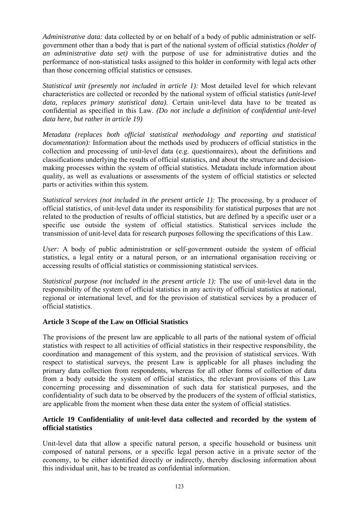*Administrative data:* data collected by or on behalf of a body of public administration or selfgovernment other than a body that is part of the national system of official statistics *(holder of an administrative data set)* with the purpose of use for administrative duties and the performance of non-statistical tasks assigned to this holder in conformity with legal acts other than those concerning official statistics or censuses.

*Statistical unit (presently not included in article 1):* Most detailed level for which relevant characteristics are collected or recorded by the national system of official statistics *(unit-level data, replaces primary statistical data).* Certain unit-level data have to be treated as confidential as specified in this Law. *(Do not include a definition of confidential unit-level data here, but rather in article 19)* 

*Metadata (replaces both official statistical methodology and reporting and statistical documentation):* Information about the methods used by producers of official statistics in the collection and processing of unit-level data (e.g. questionnaires), about the definitions and classifications underlying the results of official statistics, and about the structure and decisionmaking processes within the system of official statistics. Metadata include information about quality, as well as evaluations or assessments of the system of official statistics or selected parts or activities within this system.

*Statistical services (not included in the present article 1):* The processing, by a producer of official statistics, of unit-level data under its responsibility for statistical purposes that are not related to the production of results of official statistics, but are defined by a specific user or a specific use outside the system of official statistics. Statistical services include the transmission of unit-level data for research purposes following the specifications of this Law.

*User:* A body of public administration or self-government outside the system of official statistics, a legal entity or a natural person, or an international organisation receiving or accessing results of official statistics or commissioning statistical services.

*Statistical purpose (not included in the present article 1):* The use of unit-level data in the responsibility of the system of official statistics in any activity of official statistics at national, regional or international level, and for the provision of statistical services by a producer of official statistics.

## **Article 3 Scope of the Law on Official Statistics**

The provisions of the present law are applicable to all parts of the national system of official statistics with respect to all activities of official statistics in their respective responsibility, the coordination and management of this system, and the provision of statistical services. With respect to statistical surveys, the present Law is applicable for all phases including the primary data collection from respondents, whereas for all other forms of collection of data from a body outside the system of official statistics, the relevant provisions of this Law concerning processing and dissemination of such data for statistical purposes, and the confidentiality of such data to be observed by the producers of the system of official statistics, are applicable from the moment when these data enter the system of official statistics.

### **Article 19 Confidentiality of unit-level data collected and recorded by the system of official statistics**

Unit-level data that allow a specific natural person, a specific household or business unit composed of natural persons, or a specific legal person active in a private sector of the economy, to be either identified directly or indirectly, thereby disclosing information about this individual unit, has to be treated as confidential information.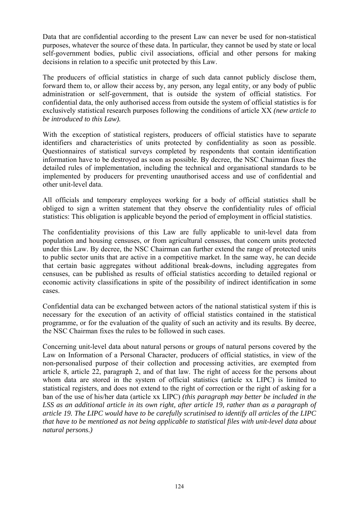Data that are confidential according to the present Law can never be used for non-statistical purposes, whatever the source of these data. In particular, they cannot be used by state or local self-government bodies, public civil associations, official and other persons for making decisions in relation to a specific unit protected by this Law.

The producers of official statistics in charge of such data cannot publicly disclose them, forward them to, or allow their access by, any person, any legal entity, or any body of public administration or self-government, that is outside the system of official statistics. For confidential data, the only authorised access from outside the system of official statistics is for exclusively statistical research purposes following the conditions of article XX *(new article to be introduced to this Law).*

With the exception of statistical registers, producers of official statistics have to separate identifiers and characteristics of units protected by confidentiality as soon as possible. Questionnaires of statistical surveys completed by respondents that contain identification information have to be destroyed as soon as possible. By decree, the NSC Chairman fixes the detailed rules of implementation, including the technical and organisational standards to be implemented by producers for preventing unauthorised access and use of confidential and other unit-level data.

All officials and temporary employees working for a body of official statistics shall be obliged to sign a written statement that they observe the confidentiality rules of official statistics: This obligation is applicable beyond the period of employment in official statistics.

The confidentiality provisions of this Law are fully applicable to unit-level data from population and housing censuses, or from agricultural censuses, that concern units protected under this Law. By decree, the NSC Chairman can further extend the range of protected units to public sector units that are active in a competitive market. In the same way, he can decide that certain basic aggregates without additional break-downs, including aggregates from censuses, can be published as results of official statistics according to detailed regional or economic activity classifications in spite of the possibility of indirect identification in some cases.

Confidential data can be exchanged between actors of the national statistical system if this is necessary for the execution of an activity of official statistics contained in the statistical programme, or for the evaluation of the quality of such an activity and its results. By decree, the NSC Chairman fixes the rules to be followed in such cases.

Concerning unit-level data about natural persons or groups of natural persons covered by the Law on Information of a Personal Character, producers of official statistics, in view of the non-personalised purpose of their collection and processing activities, are exempted from article 8, article 22, paragraph 2, and of that law. The right of access for the persons about whom data are stored in the system of official statistics (article xx LIPC) is limited to statistical registers, and does not extend to the right of correction or the right of asking for a ban of the use of his/her data (article xx LIPC) *(this paragraph may better be included in the LSS as an additional article in its own right, after article 19, rather than as a paragraph of article 19. The LIPC would have to be carefully scrutinised to identify all articles of the LIPC that have to be mentioned as not being applicable to statistical files with unit-level data about natural persons.)*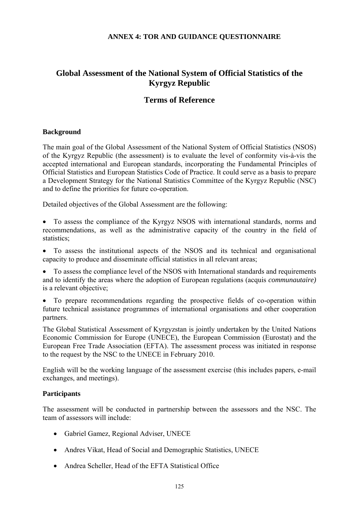### **ANNEX 4: TOR AND GUIDANCE QUESTIONNAIRE**

# **Global Assessment of the National System of Official Statistics of the Kyrgyz Republic**

## **Terms of Reference**

### **Background**

The main goal of the Global Assessment of the National System of Official Statistics (NSOS) of the Kyrgyz Republic (the assessment) is to evaluate the level of conformity vis-à-vis the accepted international and European standards, incorporating the Fundamental Principles of Official Statistics and European Statistics Code of Practice. It could serve as a basis to prepare a Development Strategy for the National Statistics Committee of the Kyrgyz Republic (NSC) and to define the priorities for future co-operation.

Detailed objectives of the Global Assessment are the following:

- To assess the compliance of the Kyrgyz NSOS with international standards, norms and recommendations, as well as the administrative capacity of the country in the field of statistics;
- To assess the institutional aspects of the NSOS and its technical and organisational capacity to produce and disseminate official statistics in all relevant areas;
- To assess the compliance level of the NSOS with International standards and requirements and to identify the areas where the adoption of European regulations (acquis *communautaire)*  is a relevant objective;
- To prepare recommendations regarding the prospective fields of co-operation within future technical assistance programmes of international organisations and other cooperation partners.

The Global Statistical Assessment of Kyrgyzstan is jointly undertaken by the United Nations Economic Commission for Europe (UNECE), the European Commission (Eurostat) and the European Free Trade Association (EFTA). The assessment process was initiated in response to the request by the NSC to the UNECE in February 2010.

English will be the working language of the assessment exercise (this includes papers, e-mail exchanges, and meetings).

### **Participants**

The assessment will be conducted in partnership between the assessors and the NSC. The team of assessors will include:

- Gabriel Gamez, Regional Adviser, UNECE
- Andres Vikat, Head of Social and Demographic Statistics, UNECE
- Andrea Scheller, Head of the EFTA Statistical Office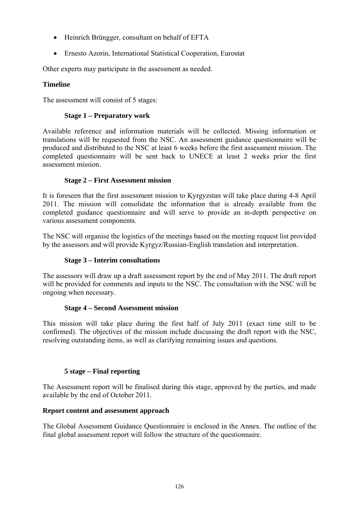- Heinrich Brüngger, consultant on behalf of EFTA
- Ernesto Azorin, International Statistical Cooperation, Eurostat

Other experts may participate in the assessment as needed.

## **Timeline**

The assessment will consist of 5 stages:

## **Stage 1 – Preparatory work**

Available reference and information materials will be collected. Missing information or translations will be requested from the NSC. An assessment guidance questionnaire will be produced and distributed to the NSC at least 6 weeks before the first assessment mission. The completed questionnaire will be sent back to UNECE at least 2 weeks prior the first assessment mission.

## **Stage 2 – First Assessment mission**

It is foreseen that the first assessment mission to Kyrgyzstan will take place during 4-8 April 2011. The mission will consolidate the information that is already available from the completed guidance questionnaire and will serve to provide an in-depth perspective on various assessment components.

The NSC will organise the logistics of the meetings based on the meeting request list provided by the assessors and will provide Kyrgyz/Russian-English translation and interpretation.

## **Stage 3 – Interim consultations**

The assessors will draw up a draft assessment report by the end of May 2011. The draft report will be provided for comments and inputs to the NSC. The consultation with the NSC will be ongoing when necessary.

## **Stage 4 – Second Assessment mission**

This mission will take place during the first half of July 2011 (exact time still to be confirmed). The objectives of the mission include discussing the draft report with the NSC, resolving outstanding items, as well as clarifying remaining issues and questions.

## **5 stage – Final reporting**

The Assessment report will be finalised during this stage, approved by the parties, and made available by the end of October 2011.

## **Report content and assessment approach**

The Global Assessment Guidance Questionnaire is enclosed in the Annex. The outline of the final global assessment report will follow the structure of the questionnaire.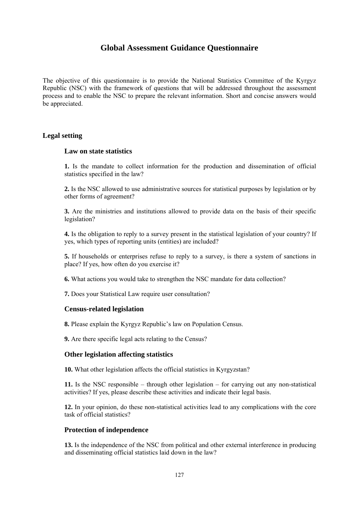## **Global Assessment Guidance Questionnaire**

The objective of this questionnaire is to provide the National Statistics Committee of the Kyrgyz Republic (NSC) with the framework of questions that will be addressed throughout the assessment process and to enable the NSC to prepare the relevant information. Short and concise answers would be appreciated.

#### **Legal setting**

#### **Law on state statistics**

**1.** Is the mandate to collect information for the production and dissemination of official statistics specified in the law?

**2.** Is the NSC allowed to use administrative sources for statistical purposes by legislation or by other forms of agreement?

**3.** Are the ministries and institutions allowed to provide data on the basis of their specific legislation?

**4.** Is the obligation to reply to a survey present in the statistical legislation of your country? If yes, which types of reporting units (entities) are included?

**5.** If households or enterprises refuse to reply to a survey, is there a system of sanctions in place? If yes, how often do you exercise it?

**6.** What actions you would take to strengthen the NSC mandate for data collection?

**7.** Does your Statistical Law require user consultation?

#### **Census-related legislation**

**8.** Please explain the Kyrgyz Republic's law on Population Census.

**9.** Are there specific legal acts relating to the Census?

#### **Other legislation affecting statistics**

**10.** What other legislation affects the official statistics in Kyrgyzstan?

**11.** Is the NSC responsible – through other legislation – for carrying out any non-statistical activities? If yes, please describe these activities and indicate their legal basis.

**12.** In your opinion, do these non-statistical activities lead to any complications with the core task of official statistics?

#### **Protection of independence**

**13.** Is the independence of the NSC from political and other external interference in producing and disseminating official statistics laid down in the law?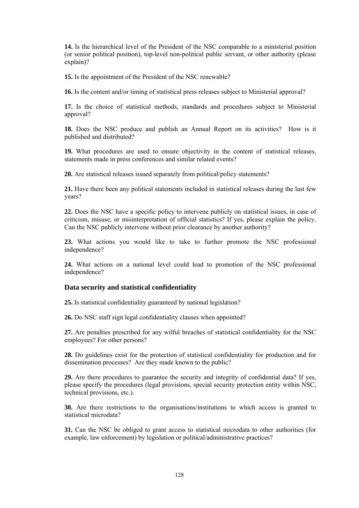**14.** Is the hierarchical level of the President of the NSC comparable to a ministerial position (or senior political position), top-level non-political public servant, or other authority (please explain)?

**15.** Is the appointment of the President of the NSC renewable?

**16.** Is the content and/or timing of statistical press releases subject to Ministerial approval?

**17.** Is the choice of statistical methods, standards and procedures subject to Ministerial approval?

**18.** Does the NSC produce and publish an Annual Report on its activities? How is it published and distributed?

**19.** What procedures are used to ensure objectivity in the content of statistical releases, statements made in press conferences and similar related events?

**20.** Are statistical releases issued separately from political/policy statements?

**21.** Have there been any political statements included in statistical releases during the last few years?

**22.** Does the NSC have a specific policy to intervene publicly on statistical issues, in case of criticism, misuse, or misinterpretation of official statistics? If yes, please explain the policy. Can the NSC publicly intervene without prior clearance by another authority?

**23.** What actions you would like to take to further promote the NSC professional independence?

**24.** What actions on a national level could lead to promotion of the NSC professional independence?

#### **Data security and statistical confidentiality**

**25.** Is statistical confidentiality guaranteed by national legislation?

**26.** Do NSC staff sign legal confidentiality clauses when appointed?

**27.** Are penalties prescribed for any wilful breaches of statistical confidentiality for the NSC employees? For other persons?

**28.** Do guidelines exist for the protection of statistical confidentiality for production and for dissemination processes? Are they made known to the public?

**29.** Are there procedures to guarantee the security and integrity of confidential data? If yes, please specify the procedures (legal provisions, special security protection entity within NSC, technical provisions, etc.).

**30.** Are there restrictions to the organisations/institutions to which access is granted to statistical microdata?

**31.** Can the NSC be obliged to grant access to statistical microdata to other authorities (for example, law enforcement) by legislation or political/administrative practices?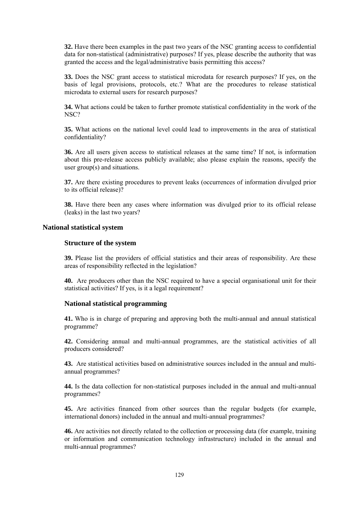**32.** Have there been examples in the past two years of the NSC granting access to confidential data for non-statistical (administrative) purposes? If yes, please describe the authority that was granted the access and the legal/administrative basis permitting this access?

**33.** Does the NSC grant access to statistical microdata for research purposes? If yes, on the basis of legal provisions, protocols, etc.? What are the procedures to release statistical microdata to external users for research purposes?

**34.** What actions could be taken to further promote statistical confidentiality in the work of the NSC?

**35.** What actions on the national level could lead to improvements in the area of statistical confidentiality?

**36.** Are all users given access to statistical releases at the same time? If not, is information about this pre-release access publicly available; also please explain the reasons, specify the user group(s) and situations.

**37.** Are there existing procedures to prevent leaks (occurrences of information divulged prior to its official release)?

**38.** Have there been any cases where information was divulged prior to its official release (leaks) in the last two years?

### **National statistical system**

#### **Structure of the system**

**39.** Please list the providers of official statistics and their areas of responsibility. Are these areas of responsibility reflected in the legislation?

**40.** Are producers other than the NSC required to have a special organisational unit for their statistical activities? If yes, is it a legal requirement?

#### **National statistical programming**

**41.** Who is in charge of preparing and approving both the multi-annual and annual statistical programme?

**42.** Considering annual and multi-annual programmes, are the statistical activities of all producers considered?

**43.** Are statistical activities based on administrative sources included in the annual and multiannual programmes?

**44.** Is the data collection for non-statistical purposes included in the annual and multi-annual programmes?

**45.** Are activities financed from other sources than the regular budgets (for example, international donors) included in the annual and multi-annual programmes?

**46.** Are activities not directly related to the collection or processing data (for example, training or information and communication technology infrastructure) included in the annual and multi-annual programmes?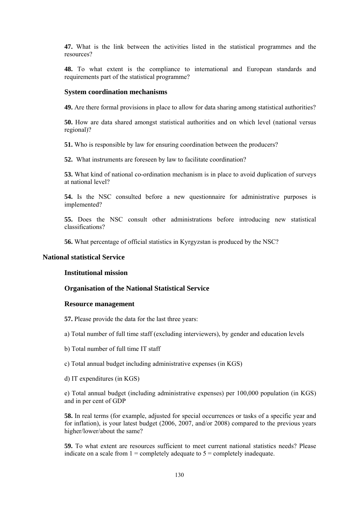**47.** What is the link between the activities listed in the statistical programmes and the resources?

**48.** To what extent is the compliance to international and European standards and requirements part of the statistical programme?

#### **System coordination mechanisms**

**49.** Are there formal provisions in place to allow for data sharing among statistical authorities?

**50.** How are data shared amongst statistical authorities and on which level (national versus regional)?

**51.** Who is responsible by law for ensuring coordination between the producers?

**52.** What instruments are foreseen by law to facilitate coordination?

**53.** What kind of national co-ordination mechanism is in place to avoid duplication of surveys at national level?

**54.** Is the NSC consulted before a new questionnaire for administrative purposes is implemented?

**55.** Does the NSC consult other administrations before introducing new statistical classifications?

**56.** What percentage of official statistics in Kyrgyzstan is produced by the NSC?

#### **National statistical Service**

#### **Institutional mission**

#### **Organisation of the National Statistical Service**

#### **Resource management**

**57.** Please provide the data for the last three years:

a) Total number of full time staff (excluding interviewers), by gender and education levels

b) Total number of full time IT staff

c) Total annual budget including administrative expenses (in KGS)

d) IT expenditures (in KGS)

e) Total annual budget (including administrative expenses) per 100,000 population (in KGS) and in per cent of GDP

**58.** In real terms (for example, adjusted for special occurrences or tasks of a specific year and for inflation), is your latest budget (2006, 2007, and/or 2008) compared to the previous years higher/lower/about the same?

**59.** To what extent are resources sufficient to meet current national statistics needs? Please indicate on a scale from  $1 =$  completely adequate to  $5 =$  completely inadequate.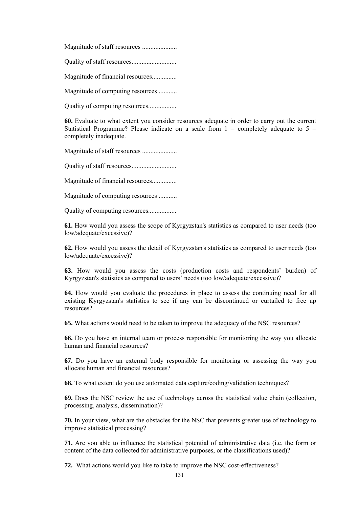Magnitude of staff resources .....................

Quality of staff resources...........................

Magnitude of financial resources...............

Magnitude of computing resources ...........

Quality of computing resources.................

**60.** Evaluate to what extent you consider resources adequate in order to carry out the current Statistical Programme? Please indicate on a scale from  $1 =$  completely adequate to  $5 =$ completely inadequate.

Magnitude of staff resources .....................

Quality of staff resources...........................

Magnitude of financial resources...............

Magnitude of computing resources ...........

Quality of computing resources.................

**61.** How would you assess the scope of Kyrgyzstan's statistics as compared to user needs (too low/adequate/excessive)?

**62.** How would you assess the detail of Kyrgyzstan's statistics as compared to user needs (too low/adequate/excessive)?

**63.** How would you assess the costs (production costs and respondents' burden) of Kyrgyzstan's statistics as compared to users' needs (too low/adequate/excessive)?

**64.** How would you evaluate the procedures in place to assess the continuing need for all existing Kyrgyzstan's statistics to see if any can be discontinued or curtailed to free up resources?

**65.** What actions would need to be taken to improve the adequacy of the NSC resources?

**66.** Do you have an internal team or process responsible for monitoring the way you allocate human and financial resources?

**67.** Do you have an external body responsible for monitoring or assessing the way you allocate human and financial resources?

**68.** To what extent do you use automated data capture/coding/validation techniques?

**69.** Does the NSC review the use of technology across the statistical value chain (collection, processing, analysis, dissemination)?

**70.** In your view, what are the obstacles for the NSC that prevents greater use of technology to improve statistical processing?

**71.** Are you able to influence the statistical potential of administrative data (i.e. the form or content of the data collected for administrative purposes, or the classifications used)?

**72.** What actions would you like to take to improve the NSC cost-effectiveness?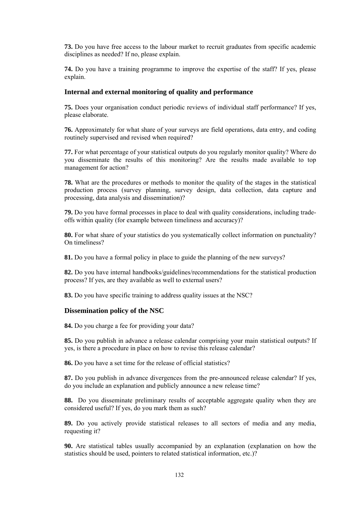**73.** Do you have free access to the labour market to recruit graduates from specific academic disciplines as needed? If no, please explain.

**74.** Do you have a training programme to improve the expertise of the staff? If yes, please explain.

#### **Internal and external monitoring of quality and performance**

**75.** Does your organisation conduct periodic reviews of individual staff performance? If yes, please elaborate.

**76.** Approximately for what share of your surveys are field operations, data entry, and coding routinely supervised and revised when required?

**77.** For what percentage of your statistical outputs do you regularly monitor quality? Where do you disseminate the results of this monitoring? Are the results made available to top management for action?

**78.** What are the procedures or methods to monitor the quality of the stages in the statistical production process (survey planning, survey design, data collection, data capture and processing, data analysis and dissemination)?

**79.** Do you have formal processes in place to deal with quality considerations, including tradeoffs within quality (for example between timeliness and accuracy)?

**80.** For what share of your statistics do you systematically collect information on punctuality? On timeliness?

**81.** Do you have a formal policy in place to guide the planning of the new surveys?

**82.** Do you have internal handbooks/guidelines/recommendations for the statistical production process? If yes, are they available as well to external users?

**83.** Do you have specific training to address quality issues at the NSC?

#### **Dissemination policy of the NSC**

**84.** Do you charge a fee for providing your data?

**85.** Do you publish in advance a release calendar comprising your main statistical outputs? If yes, is there a procedure in place on how to revise this release calendar?

**86.** Do you have a set time for the release of official statistics?

**87.** Do you publish in advance divergences from the pre-announced release calendar? If yes, do you include an explanation and publicly announce a new release time?

**88.** Do you disseminate preliminary results of acceptable aggregate quality when they are considered useful? If yes, do you mark them as such?

**89.** Do you actively provide statistical releases to all sectors of media and any media, requesting it?

**90.** Are statistical tables usually accompanied by an explanation (explanation on how the statistics should be used, pointers to related statistical information, etc.)?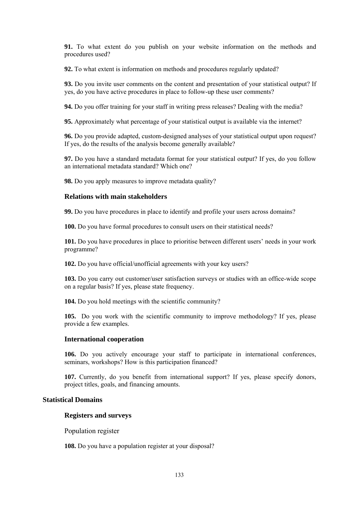**91.** To what extent do you publish on your website information on the methods and procedures used?

**92.** To what extent is information on methods and procedures regularly updated?

**93.** Do you invite user comments on the content and presentation of your statistical output? If yes, do you have active procedures in place to follow-up these user comments?

**94.** Do you offer training for your staff in writing press releases? Dealing with the media?

**95.** Approximately what percentage of your statistical output is available via the internet?

**96.** Do you provide adapted, custom-designed analyses of your statistical output upon request? If yes, do the results of the analysis become generally available?

**97.** Do you have a standard metadata format for your statistical output? If yes, do you follow an international metadata standard? Which one?

**98.** Do you apply measures to improve metadata quality?

#### **Relations with main stakeholders**

**99.** Do you have procedures in place to identify and profile your users across domains?

**100.** Do you have formal procedures to consult users on their statistical needs?

**101.** Do you have procedures in place to prioritise between different users' needs in your work programme?

**102.** Do you have official/unofficial agreements with your key users?

**103.** Do you carry out customer/user satisfaction surveys or studies with an office-wide scope on a regular basis? If yes, please state frequency.

**104.** Do you hold meetings with the scientific community?

**105.** Do you work with the scientific community to improve methodology? If yes, please provide a few examples.

#### **International cooperation**

**106.** Do you actively encourage your staff to participate in international conferences, seminars, workshops? How is this participation financed?

**107.** Currently, do you benefit from international support? If yes, please specify donors, project titles, goals, and financing amounts.

#### **Statistical Domains**

#### **Registers and surveys**

Population register

**108.** Do you have a population register at your disposal?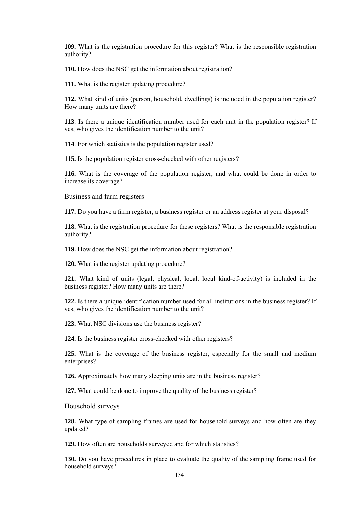**109.** What is the registration procedure for this register? What is the responsible registration authority?

**110.** How does the NSC get the information about registration?

**111.** What is the register updating procedure?

**112.** What kind of units (person, household, dwellings) is included in the population register? How many units are there?

**113**. Is there a unique identification number used for each unit in the population register? If yes, who gives the identification number to the unit?

**114**. For which statistics is the population register used?

**115.** Is the population register cross-checked with other registers?

**116.** What is the coverage of the population register, and what could be done in order to increase its coverage?

Business and farm registers

**117.** Do you have a farm register, a business register or an address register at your disposal?

**118.** What is the registration procedure for these registers? What is the responsible registration authority?

**119.** How does the NSC get the information about registration?

**120.** What is the register updating procedure?

**121.** What kind of units (legal, physical, local, local kind-of-activity) is included in the business register? How many units are there?

**122.** Is there a unique identification number used for all institutions in the business register? If yes, who gives the identification number to the unit?

**123.** What NSC divisions use the business register?

**124.** Is the business register cross-checked with other registers?

**125.** What is the coverage of the business register, especially for the small and medium enterprises?

**126.** Approximately how many sleeping units are in the business register?

**127.** What could be done to improve the quality of the business register?

Household surveys

**128.** What type of sampling frames are used for household surveys and how often are they updated?

**129.** How often are households surveyed and for which statistics?

**130.** Do you have procedures in place to evaluate the quality of the sampling frame used for household surveys?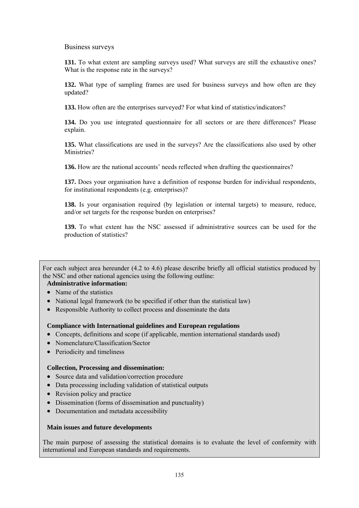Business surveys

**131.** To what extent are sampling surveys used? What surveys are still the exhaustive ones? What is the response rate in the surveys?

**132.** What type of sampling frames are used for business surveys and how often are they updated?

**133.** How often are the enterprises surveyed? For what kind of statistics/indicators?

**134.** Do you use integrated questionnaire for all sectors or are there differences? Please explain.

**135.** What classifications are used in the surveys? Are the classifications also used by other Ministries?

**136.** How are the national accounts' needs reflected when drafting the questionnaires?

**137.** Does your organisation have a definition of response burden for individual respondents, for institutional respondents (e.g. enterprises)?

**138.** Is your organisation required (by legislation or internal targets) to measure, reduce, and/or set targets for the response burden on enterprises?

**139.** To what extent has the NSC assessed if administrative sources can be used for the production of statistics?

For each subject area hereunder (4.2 to 4.6) please describe briefly all official statistics produced by the NSC and other national agencies using the following outline:

## **Administrative information:**

- Name of the statistics
- National legal framework (to be specified if other than the statistical law)
- Responsible Authority to collect process and disseminate the data

#### **Compliance with International guidelines and European regulations**

- Concepts, definitions and scope (if applicable, mention international standards used)
- Nomenclature/Classification/Sector
- Periodicity and timeliness

#### **Collection, Processing and dissemination:**

- Source data and validation/correction procedure
- Data processing including validation of statistical outputs
- Revision policy and practice
- Dissemination (forms of dissemination and punctuality)
- Documentation and metadata accessibility

#### **Main issues and future developments**

The main purpose of assessing the statistical domains is to evaluate the level of conformity with international and European standards and requirements.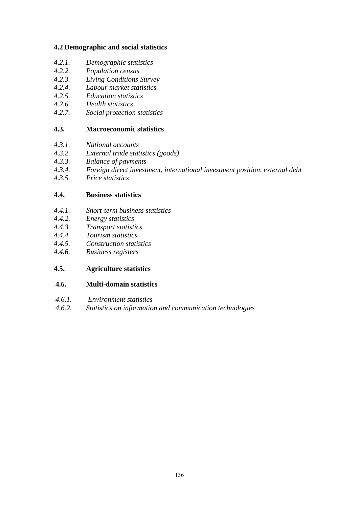## **4.2 Demographic and social statistics**

- *4.2.1. Demographic statistics*
- *4.2.2. Population census*
- *4.2.3. Living Conditions Survey*
- *4.2.4. Labour market statistics*
- *4.2.5. Education statistics*
- *4.2.6. Health statistics*
- *4.2.7. Social protection statistics*

## **4.3. Macroeconomic statistics**

- *4.3.1. National accounts*
- *4.3.2. External trade statistics (goods)*
- *4.3.3. Balance of payments*
- *4.3.4. Foreign direct investment, international investment position, external debt*
- *4.3.5. Price statistics*

## **4.4. Business statistics**

- *4.4.1. Short-term business statistics*
- *4.4.2. Energy statistics*
- *4.4.3. Transport statistics*
- *4.4.4. Tourism statistics*
- *4.4.5. Construction statistics*
- *4.4.6. Business registers*

## **4.5. Agriculture statistics**

## **4.6. Multi-domain statistics**

- *4.6.1. Environment statistics*
- *4.6.2. Statistics on information and communication technologies*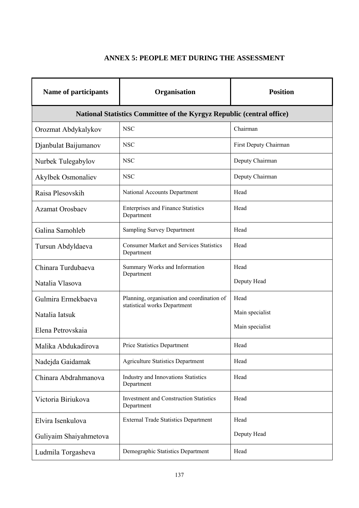# **ANNEX 5: PEOPLE MET DURING THE ASSESSMENT**

| <b>Name of participants</b>                                           | Organisation                                                               | <b>Position</b>       |  |  |
|-----------------------------------------------------------------------|----------------------------------------------------------------------------|-----------------------|--|--|
| National Statistics Committee of the Kyrgyz Republic (central office) |                                                                            |                       |  |  |
| Orozmat Abdykalykov                                                   | <b>NSC</b>                                                                 | Chairman              |  |  |
| Djanbulat Baijumanov                                                  | <b>NSC</b>                                                                 | First Deputy Chairman |  |  |
| Nurbek Tulegabylov                                                    | <b>NSC</b>                                                                 | Deputy Chairman       |  |  |
| <b>Akylbek Osmonaliev</b>                                             | <b>NSC</b>                                                                 | Deputy Chairman       |  |  |
| Raisa Plesovskih                                                      | National Accounts Department                                               | Head                  |  |  |
| <b>Azamat Orosbaev</b>                                                | <b>Enterprises and Finance Statistics</b><br>Department                    | Head                  |  |  |
| Galina Samohleb                                                       | <b>Sampling Survey Department</b>                                          | Head                  |  |  |
| Tursun Abdyldaeva                                                     | <b>Consumer Market and Services Statistics</b><br>Department               | Head                  |  |  |
| Chinara Turdubaeva                                                    | Summary Works and Information<br>Department                                | Head                  |  |  |
| Natalia Vlasova                                                       |                                                                            | Deputy Head           |  |  |
| Gulmira Ermekbaeva                                                    | Planning, organisation and coordination of<br>statistical works Department | Head                  |  |  |
| Natalia Iatsuk                                                        |                                                                            | Main specialist       |  |  |
| Elena Petrovskaia                                                     |                                                                            | Main specialist       |  |  |
| Malika Abdukadirova                                                   | Price Statistics Department                                                | Head                  |  |  |
| Nadejda Gaidamak                                                      | <b>Agriculture Statistics Department</b>                                   | Head                  |  |  |
| Chinara Abdrahmanova                                                  | <b>Industry and Innovations Statistics</b><br>Department                   | Head                  |  |  |
| Victoria Biriukova                                                    | <b>Investment and Construction Statistics</b><br>Department                | Head                  |  |  |
| Elvira Isenkulova                                                     | <b>External Trade Statistics Department</b>                                | Head                  |  |  |
| Guliyaim Shaiyahmetova                                                |                                                                            | Deputy Head           |  |  |
| Ludmila Torgasheva                                                    | Demographic Statistics Department                                          | Head                  |  |  |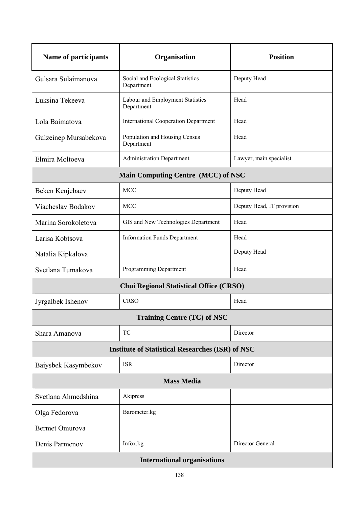| <b>Name of participants</b>                             | Organisation                                   | <b>Position</b>           |  |  |
|---------------------------------------------------------|------------------------------------------------|---------------------------|--|--|
| Gulsara Sulaimanova                                     | Social and Ecological Statistics<br>Department | Deputy Head               |  |  |
| Luksina Tekeeva                                         | Labour and Employment Statistics<br>Department | Head                      |  |  |
| Lola Baimatova                                          | <b>International Cooperation Department</b>    | Head                      |  |  |
| Gulzeinep Mursabekova                                   | Population and Housing Census<br>Department    | Head                      |  |  |
| Elmira Moltoeva                                         | <b>Administration Department</b>               | Lawyer, main specialist   |  |  |
| <b>Main Computing Centre (MCC) of NSC</b>               |                                                |                           |  |  |
| Beken Kenjebaev                                         | <b>MCC</b>                                     | Deputy Head               |  |  |
| Viacheslav Bodakov                                      | <b>MCC</b>                                     | Deputy Head, IT provision |  |  |
| Marina Sorokoletova                                     | GIS and New Technologies Department            | Head                      |  |  |
| Larisa Kobtsova                                         | <b>Information Funds Department</b>            | Head                      |  |  |
| Natalia Kipkalova                                       |                                                | Deputy Head               |  |  |
| Svetlana Tumakova                                       | Programming Department                         | Head                      |  |  |
| <b>Chui Regional Statistical Office (CRSO)</b>          |                                                |                           |  |  |
| Jyrgalbek Ishenov                                       | <b>CRSO</b>                                    | Head                      |  |  |
| <b>Training Centre (TC) of NSC</b>                      |                                                |                           |  |  |
| Shara Amanova                                           | TC                                             | Director                  |  |  |
| <b>Institute of Statistical Researches (ISR) of NSC</b> |                                                |                           |  |  |
| Baiysbek Kasymbekov                                     | <b>ISR</b>                                     | Director                  |  |  |
| <b>Mass Media</b>                                       |                                                |                           |  |  |
| Svetlana Ahmedshina                                     | Akipress                                       |                           |  |  |
| Olga Fedorova                                           | Barometer.kg                                   |                           |  |  |
| <b>Bermet Omurova</b>                                   |                                                |                           |  |  |
| Denis Parmenov                                          | Infox.kg                                       | Director General          |  |  |
| <b>International organisations</b>                      |                                                |                           |  |  |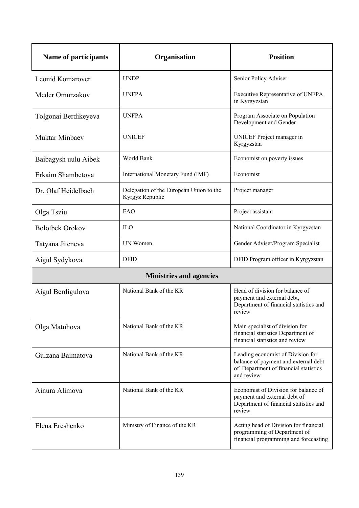| <b>Name of participants</b>    | Organisation                                               | <b>Position</b>                                                                                                                  |  |
|--------------------------------|------------------------------------------------------------|----------------------------------------------------------------------------------------------------------------------------------|--|
| Leonid Komarover               | <b>UNDP</b>                                                | Senior Policy Adviser                                                                                                            |  |
| Meder Omurzakov                | <b>UNFPA</b>                                               | Executive Representative of UNFPA<br>in Kyrgyzstan                                                                               |  |
| Tolgonai Berdikeyeva           | <b>UNFPA</b>                                               | Program Associate on Population<br>Development and Gender                                                                        |  |
| Muktar Minbaev                 | <b>UNICEF</b>                                              | UNICEF Project manager in<br>Kyrgyzstan                                                                                          |  |
| Baibagysh uulu Aibek           | World Bank                                                 | Economist on poverty issues                                                                                                      |  |
| Erkaim Shambetova              | International Monetary Fund (IMF)                          | Economist                                                                                                                        |  |
| Dr. Olaf Heidelbach            | Delegation of the European Union to the<br>Kyrgyz Republic | Project manager                                                                                                                  |  |
| Olga Tsziu                     | FAO                                                        | Project assistant                                                                                                                |  |
| <b>Bolotbek Orokov</b>         | <b>ILO</b>                                                 | National Coordinator in Kyrgyzstan                                                                                               |  |
| Tatyana Jiteneva               | UN Women                                                   | Gender Adviser/Program Specialist                                                                                                |  |
| Aigul Sydykova                 | <b>DFID</b>                                                | DFID Program officer in Kyrgyzstan                                                                                               |  |
| <b>Ministries and agencies</b> |                                                            |                                                                                                                                  |  |
| Aigul Berdigulova              | National Bank of the KR                                    | Head of division for balance of<br>payment and external debt,<br>Department of financial statistics and<br>review                |  |
| Olga Matuhova                  | National Bank of the KR                                    | Main specialist of division for<br>financial statistics Department of<br>financial statistics and review                         |  |
| Gulzana Baimatova              | National Bank of the KR                                    | Leading economist of Division for<br>balance of payment and external debt<br>of Department of financial statistics<br>and review |  |
| Ainura Alimova                 | National Bank of the KR                                    | Economist of Division for balance of<br>payment and external debt of<br>Department of financial statistics and<br>review         |  |
| Elena Ereshenko                | Ministry of Finance of the KR                              | Acting head of Division for financial<br>programming of Department of<br>financial programming and forecasting                   |  |